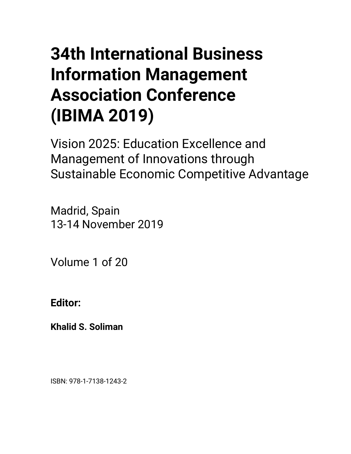## • **34th International Business Information Management Association Conference (IBIMA 2019)**

Vision 2025: Education Excellence and Management of Innovations through Sustainable Economic Competitive Advantage

Madrid, Spain 13-14 November 2019

Volume 1 of 20

**Editor:** 

**Khalid S. Soliman**

ISBN: 978-1-7138-1243-2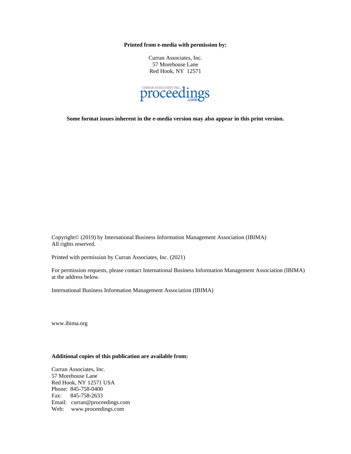**Printed from e-media with permission by:**

Curran Associates, Inc. 57 Morehouse Lane Red Hook, NY 12571



**Some format issues inherent in the e-media version may also appear in this print version.**

Copyright© (2019) by International Business Information Management Association (IBIMA) All rights reserved.

Printed with permission by Curran Associates, Inc. (2021)

For permission requests, please contact International Business Information Management Association (IBIMA) at the address below.

International Business Information Management Association (IBIMA)

www.ibima.org

## **Additional copies of this publication are available from:**

Curran Associates, Inc. 57 Morehouse Lane Red Hook, NY 12571 USA Phone: 845-758-0400 Fax: 845-758-2633 Email: curran@proceedings.com Web: www.proceedings.com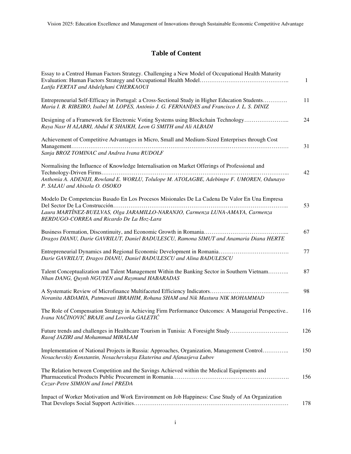## **Table of Content**

| Essay to a Centred Human Factors Strategy. Challenging a New Model of Occupational Health Maturity<br>Latifa FERTAT and Abdelghani CHERKAOUI                                                                                | $\mathbf{1}$ |
|-----------------------------------------------------------------------------------------------------------------------------------------------------------------------------------------------------------------------------|--------------|
| Entrepreneurial Self-Efficacy in Portugal: a Cross-Sectional Study in Higher Education Students<br>Maria I. B. RIBEIRO, Isabel M. LOPES, António J. G. FERNANDES and Francisco J. L. S. DINIZ                               | 11           |
| Designing of a Framework for Electronic Voting Systems using Blockchain Technology<br>Raya Nasr H ALABRI, Abdul K SHAIKH, Leon G SMITH and Ali ALBADI                                                                       | 24           |
| Achievement of Competitive Advantages in Micro, Small and Medium-Sized Enterprises through Cost<br>Sanja BROZ TOMINAC and Andrea Ivana RUDOLF                                                                               | 31           |
| Normalising the Influence of Knowledge Internalisation on Market Offerings of Professional and<br>Anthonia A. ADENIJI, Rowland E. WORLU, Tolulope M. ATOLAGBE, Adebimpe F. UMOREN, Odunayo<br>P. SALAU and Abisola O. OSOKO | 42           |
| Modelo De Competencias Basado En Los Procesos Misionales De La Cadena De Valor En Una Empresa<br>Laura MARTÍNEZ-BUELVAS, Olga JARAMILLO-NARANJO, Carmenza LUNA-AMAYA, Carmenza<br>BERDUGO-CORREA and Ricardo De La Hoz-Lara | 53           |
| Dragos DIANU, Darie GAVRILUT, Daniel BADULESCU, Ramona SIMUT and Anamaria Diana HERTE                                                                                                                                       | 67           |
| Darie GAVRILUT, Dragos DIANU, Daniel BADULESCU and Alina BADULESCU                                                                                                                                                          | 77           |
| Talent Conceptualization and Talent Management Within the Banking Sector in Southern Vietnam<br>Nhan DANG, Quynh NGUYEN and Raymund HABARADAS                                                                               | 87           |
| Noranita ABDAMIA, Patmawati IBRAHIM, Rohana SHAM and Nik Mastura NIK MOHAMMAD                                                                                                                                               | 98           |
| The Role of Compensation Strategy in Achieving Firm Performance Outcomes: A Managerial Perspective<br>Ivana NAČINOVIĆ BRAJE and Lovorka GALETIĆ                                                                             | 116          |
| Future trends and challenges in Healthcare Tourism in Tunisia: A Foresight Study<br>Raouf JAZIRI and Mohammad MIRALAM                                                                                                       | 126          |
| Implementation of National Projects in Russia: Approaches, Organization, Management Control<br>Nosachevskiy Konstantin, Nosachevskaya Ekaterina and Afanasjeva Lubov                                                        | 150          |
| The Relation between Competition and the Savings Achieved within the Medical Equipments and<br>Cezar-Petre SIMION and Ionel PREDA                                                                                           | 156          |
| Impact of Worker Motivation and Work Environment on Job Happiness: Case Study of An Organization                                                                                                                            | 178          |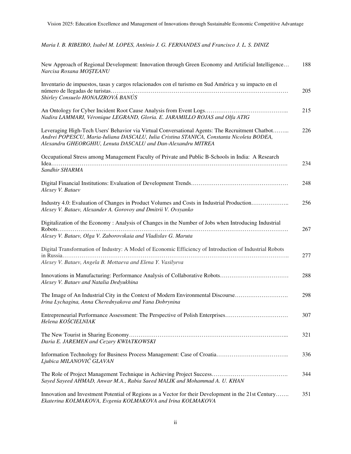*Maria I. B. RIBEIRO, Isabel M. LOPES, António J. G. FERNANDES and Francisco J. L. S. DINIZ* 

| New Approach of Regional Development: Innovation through Green Economy and Artificial Intelligence<br>Narcisa Roxana MOŞTEANU                                                                                                                               | 188 |
|-------------------------------------------------------------------------------------------------------------------------------------------------------------------------------------------------------------------------------------------------------------|-----|
| Inventario de impuestos, tasas y cargos relacionados con el turismo en Sud América y su impacto en el<br>Shirley Consuelo HONAJZROVÁ BANÚS                                                                                                                  | 205 |
| Nadira LAMMARI, Véronique LEGRAND, Gloria. E. JARAMILLO ROJAS and Olfa ATIG                                                                                                                                                                                 | 215 |
| Leveraging High-Tech Users' Behavior via Virtual Conversational Agents: The Recruitment Chatbot<br>Andrei POPESCU, Maria-Iuliana DASCALU, Iulia Cristina STANICA, Constanta Nicoleta BODEA,<br>Alexandru GHEORGHIU, Lenuta DASCALU and Dan-Alexandru MITREA | 226 |
| Occupational Stress among Management Faculty of Private and Public B-Schools in India: A Research<br>Sandhir SHARMA                                                                                                                                         | 234 |
| Alexey V. Bataev                                                                                                                                                                                                                                            | 248 |
| Industry 4.0: Evaluation of Changes in Product Volumes and Costs in Industrial Production<br>Alexey V. Bataev, Alexander A. Gorovoy and Dmitrii V. Ovsyanko                                                                                                 | 256 |
| Digitalization of the Economy: Analysis of Changes in the Number of Jobs when Introducing Industrial<br>Alexey V. Bataev, Olga V. Zaborovskaia and Vladislav G. Maruta                                                                                      | 267 |
| Digital Transformation of Industry: A Model of Economic Efficiency of Introduction of Industrial Robots<br>Alexey V. Bataev, Angela B. Mottaeva and Elena Y. Vasilyeva                                                                                      | 277 |
| Alexey V. Bataev and Natalia Dedyukhina                                                                                                                                                                                                                     | 288 |
| The Image of An Industrial City in the Context of Modern Environmental Discourse<br>Irina Lychagina, Anna Cherednyakova and Yana Dobrynina                                                                                                                  | 298 |
| Entrepreneurial Performance Assessment: The Perspective of Polish Enterprises<br>Helena KOŚCIELNIAK                                                                                                                                                         | 307 |
| Daria E. JAREMEN and Cezary KWIATKOWSKI                                                                                                                                                                                                                     | 321 |
| Ljubica MILANOVIĆ GLAVAN                                                                                                                                                                                                                                    | 336 |
| Sayed Sayeed AHMAD, Anwar M.A., Rabia Saeed MALIK and Mohammad A. U. KHAN                                                                                                                                                                                   | 344 |
| Innovation and Investment Potential of Regions as a Vector for their Development in the 21st Century<br>Ekaterina KOLMAKOVA, Evgenia KOLMAKOVA and Irina KOLMAKOVA                                                                                          | 351 |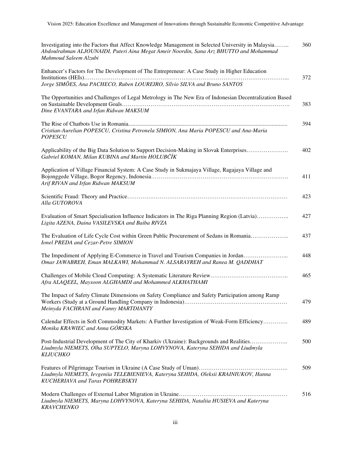| Investigating into the Factors that Affect Knowledge Management in Selected University in Malaysia<br>Abdoulrahman ALJOUNAIDI, Puteri Aina Megat Ameir Noordin, Sana Arz BHUTTO and Mohammad<br>Mahmoud Saleem Alzubi | 360 |
|-----------------------------------------------------------------------------------------------------------------------------------------------------------------------------------------------------------------------|-----|
| Enhancer's Factors for The Development of The Entrepreneur: A Case Study in Higher Education<br>Jorge SIMÕES, Ana PACHECO, Ruben LOUREIRO, Sílvio SILVA and Bruno SANTOS                                              | 372 |
| The Opportunities and Challenges of Legal Metrology in The New Era of Indonesian Decentralization Based<br>Dine EVANTARA and Irfan Ridwan MAKSUM                                                                      | 383 |
| Cristian-Aurelian POPESCU, Cristina Petronela SIMION, Ana Maria POPESCU and Ana-Maria<br><b>POPESCU</b>                                                                                                               | 394 |
| Applicability of the Big Data Solution to Support Decision-Making in Slovak Enterprises<br>Gabriel KOMAN, Milan KUBINA and Martin HOLUBCIK                                                                            | 402 |
| Application of Village Financial System: A Case Study in Sukmajaya Village, Ragajaya Village and<br>Arif RIVAN and Irfan Ridwan MAKSUM                                                                                | 411 |
| Alla GUTOROVA                                                                                                                                                                                                         | 423 |
| Evaluation of Smart Specialisation Influence Indicators in The Riga Planning Region (Latvia)<br>Ligita AZENA, Daina VASILEVSKA and Baiba RIVZA                                                                        | 427 |
| The Evaluation of Life Cycle Cost within Green Public Procurement of Sedans in Romania<br>Ionel PREDA and Cezar-Petre SIMION                                                                                          | 437 |
| The Impediment of Applying E-Commerce in Travel and Tourism Companies in Jordan<br>Omar JAWABREH, Eman MALKAWI, Mohammad N. ALSARAYREH and Ranea M. QADDHAT                                                           | 448 |
| Afra ALAQEEL, Maysoon ALGHAMDI and Mohammed ALKHATHAMI                                                                                                                                                                | 465 |
| The Impact of Safety Climate Dimensions on Safety Compliance and Safety Participation among Ramp<br>Meinyda FACHRANI and Fanny MARTDIANTY                                                                             | 479 |
| Calendar Effects in Soft Commodity Markets: A Further Investigation of Weak-Form Efficiency<br>Monika KRAWIEC and Anna GÓRSKA                                                                                         | 489 |
| Post-Industrial Development of The City of Kharkiv (Ukraine): Backgrounds and Realities<br>Liudmyla NIEMETS, Olha SUPTELO, Maryna LOHVYNOVA, Kateryna SEHIDA and Liudmyla<br><b>KLIUCHKO</b>                          | 500 |
| Liudmyla NIEMETS, Ievgeniia TELEBIENIEVA, Kateryna SEHIDA, Oleksii KRAINIUKOV, Hanna<br>KUCHERIAVA and Taras POHREBSKYI                                                                                               | 509 |
| Liudmyla NIEMETS, Maryna LOHVYNOVA, Kateryna SEHIDA, Nataliia HUSIEVA and Kateryna<br><b>KRAVCHENKO</b>                                                                                                               | 516 |

iii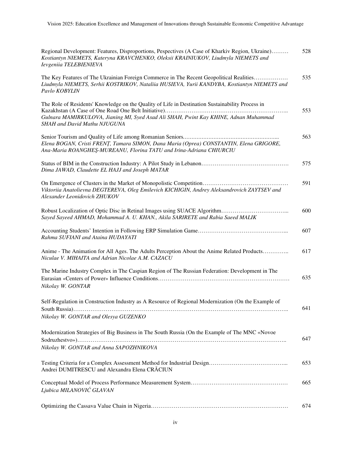| Regional Development: Features, Disproportions, Pespectives (A Case of Kharkiv Region, Ukraine)<br>Kostiantyn NIEMETS, Kateryna KRAVCHENKO, Oleksii KRAINIUKOV, Liudmyla NIEMETS and<br>Ievgeniia TELEBIENIEVA           | 528 |
|--------------------------------------------------------------------------------------------------------------------------------------------------------------------------------------------------------------------------|-----|
| The Key Features of The Ukrainian Foreign Commerce in The Recent Geopolitical Realities<br>Liudmyla NIEMETS, Serhii KOSTRIKOV, Nataliia HUSIEVA, Yurii KANDYBA, Kostiantyn NIEMETS and<br>Pavlo KOBYLIN                  | 535 |
| The Role of Residents' Knowledge on the Quality of Life in Destination Sustainability Process in<br>Gulnara MAMIRKULOVA, Jianing MI, Syed Asad Ali SHAH, Pwint Kay KHINE, Adnan Muhammad<br>SHAH and David Mathu NJUGUNA | 553 |
| Elena BOGAN, Cristi FRENȚ, Tamara SIMON, Dana Maria (Oprea) CONSTANTIN, Elena GRIGORE,<br>Ana-Maria ROANGHEȘ-MUREANU, Florina TATU and Irina-Adriana CHIURCIU                                                            | 563 |
| Dima JAWAD, Claudette EL HAJJ and Joseph MATAR                                                                                                                                                                           | 575 |
| Viktoriia Anatolievna DEGTEREVA, Oleg Emilevich KICHIGIN, Andrey Aleksandrovich ZAYTSEV and<br>Alexander Leonidovich ZHUKOV                                                                                              | 591 |
| Sayed Sayeed AHMAD, Mohammad A. U. KHAN., Akila SARIRETE and Rabia Saeed MALIK                                                                                                                                           | 600 |
| Rahma SUFIANI and Ataina HUDAYATI                                                                                                                                                                                        | 607 |
| Anime - The Animation for All Ages. The Adults Perception About the Anime Related Products<br>Niculae V. MIHAITA and Adrian Nicolae A.M. CAZACU                                                                          | 617 |
| The Marine Industry Complex in The Caspian Region of The Russian Federation: Development in The<br>Nikolay W. GONTAR                                                                                                     | 635 |
| Self-Regulation in Construction Industry as A Resource of Regional Modernization (On the Example of<br>Nikolay W. GONTAR and Olesya GUZENKO                                                                              | 641 |
| Modernization Strategies of Big Business in The South Russia (On the Example of The MNC «Novoe<br>Nikolay W. GONTAR and Anna SAPOZHNIKOVA                                                                                | 647 |
| Andrei DUMITRESCU and Alexandra Elena CRĂCIUN                                                                                                                                                                            | 653 |
| Ljubica MILANOVIĆ GLAVAN                                                                                                                                                                                                 | 665 |
|                                                                                                                                                                                                                          | 674 |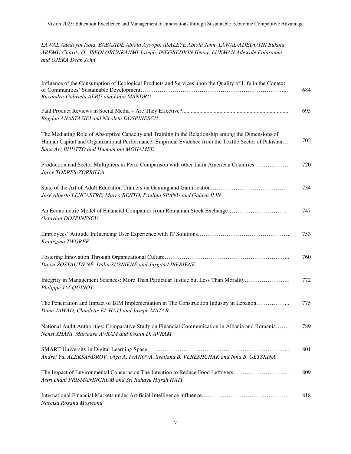*LAWAL Adedoyin Isola, BABAJIDE Abiola Ayoopo, ASALEYE Abiola John, LAWAL-ADEDOYIN Bukola, AREMU Charity O., ISEOLORUNKANMI Joseph, INEGBEDION Henry, LUKMAN Adewale Folaranmi and OJEKA Dean John* 

| Influence of the Consumption of Ecological Products and Services upon the Quality of Life in the Context<br>Ruxandra-Gabriela ALBU and Lidia MANDRU                                                                                                 | 684 |
|-----------------------------------------------------------------------------------------------------------------------------------------------------------------------------------------------------------------------------------------------------|-----|
| Bogdan ANASTASIEI and Nicoleta DOSPINESCU                                                                                                                                                                                                           | 693 |
| The Mediating Role of Absorptive Capacity and Training in the Relationship among the Dimensions of<br>Human Capital and Organizational Performance: Empirical Evidence from the Textile Sector of Pakistan<br>Sana Arz BHUTTO and Humam bin MOHAMED | 702 |
| Production and Sector Multipliers in Peru: Comparison with other Latin American Countries<br>Jorge TORRES-ZORRILLA                                                                                                                                  | 720 |
| José Alberto LENCASTRE, Marco BENTO, Paulina SPANU and Gülden İLIN                                                                                                                                                                                  | 734 |
| An Econometric Model of Financial Companies from Romanian Stock Exchange<br>Octavian DOSPINESCU                                                                                                                                                     | 747 |
| Katarzyna TWOREK                                                                                                                                                                                                                                    | 753 |
| Daiva ŽOSTAUTIENĖ, Dalia SUSNIENĖ and Jurgita LIBERIENĖ                                                                                                                                                                                             | 760 |
| Integrity in Management Sciences: More Than Particular Justice but Less Than Morality<br>Philippe JACQUINOT                                                                                                                                         | 772 |
| The Penetration and Impact of BIM Implementation in The Construction Industry in Lebanon<br>Dima JAWAD, Claudette EL HAJJ and Joseph MATAR                                                                                                          | 775 |
| National Audit Authorities: Comparative Study on Financial Communication in Albania and Romania<br>Nensi XHANI, Marioara AVRAM and Costin D. AVRAM                                                                                                  | 789 |
| Andrei Yu. ALEKSANDROV, Olga A. IVANOVA, Svetlana B. VERESHCHAK and Inna B. GETSKINA                                                                                                                                                                | 801 |
| The Impact of Environmental Concerns on The Intention to Reduce Food Leftovers<br>Astri Diani PRISMANINGRUM and Sri Rahayu Hijrah HATI                                                                                                              | 809 |
| Narcisa Roxana Moșteanu                                                                                                                                                                                                                             | 818 |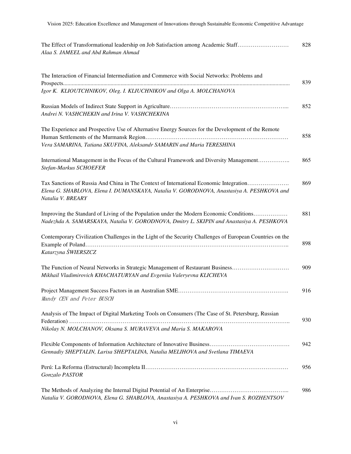| The Effect of Transformational leadership on Job Satisfaction among Academic Staff | 828 |
|------------------------------------------------------------------------------------|-----|
| Alaa S. JAMEEL and Abd Rahman Ahmad                                                |     |

| The Interaction of Financial Intermediation and Commerce with Social Networks: Problems and                                                                                                             | 839 |
|---------------------------------------------------------------------------------------------------------------------------------------------------------------------------------------------------------|-----|
| Igor K. KLIOUTCHNIKOV, Oleg. I. KLIUCHNIKOV and Olga A. MOLCHANOVA                                                                                                                                      |     |
| Andrei N. VASHCHEKIN and Irina V. VASHCHEKINA                                                                                                                                                           | 852 |
| The Experience and Prospective Use of Alternative Energy Sources for the Development of the Remote<br>Vera SAMARINA, Tatiana SKUFINA, Aleksandr SAMARIN and Maria TERESHINA                             | 858 |
| International Management in the Focus of the Cultural Framework and Diversity Management<br>Stefan-Markus SCHOEFER                                                                                      | 865 |
| Tax Sanctions of Russia And China in The Context of International Economic Integration<br>Elena G. SHABLOVA, Elena I. DUMANSKAYA, Natalia V. GORODNOVA, Anastasiya A. PESHKOVA and<br>Natalia V. BREARY | 869 |
| Improving the Standard of Living of the Population under the Modern Economic Conditions<br>Nadezhda A. SAMARSKAYA, Natalia V. GORODNOVA, Dmitry L. SKIPIN and Anastasiya A. PESHKOVA                    | 881 |
| Contemporary Civilization Challenges in the Light of the Security Challenges of European Countries on the<br>Katarzyna ŚWIERSZCZ                                                                        | 898 |
| The Function of Neural Networks in Strategic Management of Restaurant Business<br>Mikhail Vladimirovich KHACHATURYAN and Evgeniia Valeryevna KLICHEVA                                                   | 909 |
| Mandy CEN and Peter BUSCH                                                                                                                                                                               | 916 |
| Analysis of The Impact of Digital Marketing Tools on Consumers (The Case of St. Petersburg, Russian<br>Nikolay N. MOLCHANOV, Oksana S. MURAVEVA and Maria S. MAKAROVA                                   | 930 |
| Gennadiy SHEPTALIN, Larisa SHEPTALINA, Natalia MELIHOVA and Svetlana TIMAEVA                                                                                                                            | 942 |
| Gonzalo PASTOR                                                                                                                                                                                          | 956 |
| Natalia V. GORODNOVA, Elena G. SHABLOVA, Anastasiya A. PESHKOVA and Ivan S. ROZHENTSOV                                                                                                                  | 986 |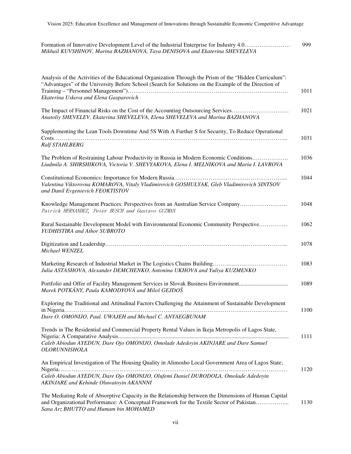| Formation of Innovative Development Level of the Industrial Enterprise for Industry 4.0 | 999 |
|-----------------------------------------------------------------------------------------|-----|
| Mikhail KUVSHINOV, Marina BAZHANOVA, Taya DENISOVA and Ekaterina SHEVELEVA              |     |

| Analysis of the Activities of the Educational Organization Through the Prism of the "Hidden Curriculum":<br>"Advantages" of the University Before School (Search for Solutions on the Example of the Direction of<br>Ekaterina Uskova and Elena Gasparovich                  | 1011 |
|------------------------------------------------------------------------------------------------------------------------------------------------------------------------------------------------------------------------------------------------------------------------------|------|
| The Impact of Financial Risks on the Cost of the Accounting Outsourcing Services<br>Anatoliy SHEVELEV, Ekaterina SHEVELEVA, Elena SHEVELEVA and Marina BAZHANOVA                                                                                                             | 1021 |
| Supplementing the Lean Tools Downtime And 5S With A Further S for Security, To Reduce Operational<br><b>Ralf STAHLBERG</b>                                                                                                                                                   | 1031 |
| The Problem of Restraining Labour Productivity in Russia in Modern Economic Conditions<br>Liudmila A. SHIRSHIKOVA, Victoria V. SHEVYAKOVA, Elena I. MELNIKOVA and Maria I. LAVROVA                                                                                           | 1036 |
| Valentina Viktorovna KOMAROVA, Vitaly Vladimirovich GOSHULYAK, Gleb Vladimirovich SINTSOV<br>and Danil Evgenievich FEOKTISTOV                                                                                                                                                | 1044 |
| Knowledge Management Practices: Perspectives from an Australian Service Company<br>Patrick HERNANDEZ, Peter BUSCH and Gustavo GUZMAN                                                                                                                                         | 1048 |
| Rural Sustainable Development Model with Environmental Economic Community Perspective<br>YUDHISTIRA and Athor SUBROTO                                                                                                                                                        | 1062 |
| Michael WENZEL                                                                                                                                                                                                                                                               | 1078 |
| Julia ASTASHOVA, Alexander DEMCHENKO, Antonina UKHOVA and Yuliya KUZMENKO                                                                                                                                                                                                    | 1083 |
| Marek POTKÁNY, Paula KAMODYOVÁ and Miloš GEJDOŠ                                                                                                                                                                                                                              | 1089 |
| Exploring the Traditional and Attitudinal Factors Challenging the Attainment of Sustainable Development                                                                                                                                                                      | 1100 |
| Dare O. OMONIJO, Paul. UWAJEH and Michael C. ANYAEGBUNAM<br>Trends in The Residential and Commercial Property Rental Values in Ikeja Metropolis of Lagos State,<br>Caleb Abiodun AYEDUN, Dare Ojo OMONIJO, Omolade Adedoyin AKINJARE and Dare Samuel<br><b>OLORUNNISHOLA</b> | 1111 |
| An Empirical Investigation of The Housing Quality in Alimosho Local Government Area of Lagos State;                                                                                                                                                                          | 1120 |
| Caleb Abiodun AYEDUN, Dare Ojo OMONIJO, Olufemi Daniel DURODOLA, Omolade Adedoyin<br>AKINJARE and Kehinde Oluwatoyin AKANNNI                                                                                                                                                 |      |
| The Mediating Role of Absorptive Capacity in the Relationship between the Dimensions of Human Capital<br>and Organizational Performance: A Conceptual Framework for the Textile Sector of Pakistan<br>Sana Arz BHUTTO and Humam bin MOHAMED                                  | 1130 |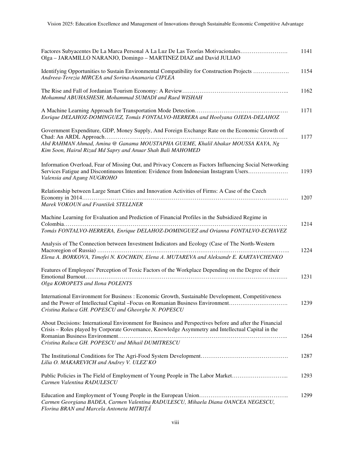| Factores Subyacentes De La Marca Personal A La Luz De Las Teorías Motivacionales<br>Olga - JARAMILLO NARANJO, Domingo - MARTINEZ DIAZ and David JULIAO                                                                                      | 1141 |
|---------------------------------------------------------------------------------------------------------------------------------------------------------------------------------------------------------------------------------------------|------|
| Identifying Opportunities to Sustain Environmental Compatibility for Construction Projects<br>Andreea-Terezia MIRCEA and Sorina-Anamaria CIPLEA                                                                                             | 1154 |
| Mohammd ABUHASHESH, Mohammad SUMADI and Raed WISHAH                                                                                                                                                                                         | 1162 |
| Enrique DELAHOZ-DOMINGUEZ, Tomás FONTALVO-HERRERA and Hoolyana OJEDA-DELAHOZ                                                                                                                                                                | 1171 |
| Government Expenditure, GDP, Money Supply, And Foreign Exchange Rate on the Economic Growth of                                                                                                                                              |      |
| Abd RAHMAN Ahmad, Amina @ Ganama MOUSTAPHA GUEME, Khalil Abakar MOUSSA KAYA, Ng<br>Kim Soon, Hairul Rizad Md Sapry and Anuar Shah Bali MAHOMED                                                                                              | 1177 |
| Information Overload, Fear of Missing Out, and Privacy Concern as Factors Influencing Social Networking<br>Services Fatigue and Discontinuous Intention: Evidence from Indonesian Instagram Users<br>Valensia and Agung NUGROHO             | 1193 |
| Relationship between Large Smart Cities and Innovation Activities of Firms: A Case of the Czech                                                                                                                                             |      |
| Marek VOKOUN and František STELLNER                                                                                                                                                                                                         | 1207 |
| Machine Learning for Evaluation and Prediction of Financial Profiles in the Subsidized Regime in                                                                                                                                            |      |
| Tomás FONTALVO-HERRERA, Enrique DELAHOZ-DOMINGUEZ and Orianna FONTALVO-ECHAVEZ                                                                                                                                                              | 1214 |
| Analysis of The Connection between Investment Indicators and Ecology (Case of The North-Western                                                                                                                                             |      |
| Elena A. BORKOVA, Timofei N. KOCHKIN, Elena A. MUTAREVA and Aleksandr E. KARTAVCHENKO                                                                                                                                                       | 1224 |
| Features of Employees' Perception of Toxic Factors of the Workplace Depending on the Degree of their                                                                                                                                        |      |
| Olga KOROPETS and Ilona POLENTS                                                                                                                                                                                                             | 1231 |
| International Environment for Business : Economic Growth, Sustainable Development, Competitiveness<br>and the Power of Intellectual Capital - Focus on Romanian Business Environment<br>Cristina Raluca GH. POPESCU and Gheorghe N. POPESCU | 1239 |
| About Decisions: International Environment for Business and Perspectives before and after the Financial<br>Crisis - Roles played by Corporate Governance, Knowledge Asymmetry and Intellectual Capital in the                               | 1264 |
| Cristina Raluca GH. POPESCU and Mihail DUMITRESCU                                                                                                                                                                                           |      |
| Lilia O. MAKAREVICH and Andrey V. ULEZ'KO                                                                                                                                                                                                   | 1287 |
| Public Policies in The Field of Employment of Young People in The Labor Market<br>Carmen Valentina RADULESCU                                                                                                                                | 1293 |
| Carmen Georgiana BADEA, Carmen Valentina RADULESCU, Mihaela Diana OANCEA NEGESCU,<br>Florina BRAN and Marcela Antoneta MITRIȚĂ                                                                                                              | 1299 |

viii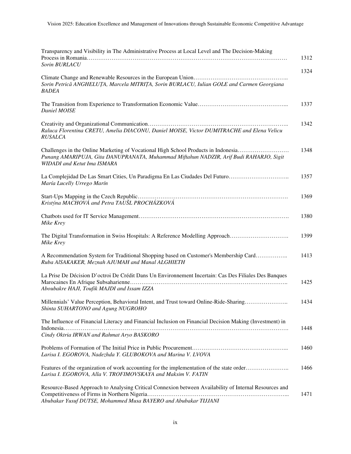| Transparency and Visibility in The Administrative Process at Local Level and The Decision-Making<br>Sorin BURLACU                                                                                                  | 1312 |
|--------------------------------------------------------------------------------------------------------------------------------------------------------------------------------------------------------------------|------|
| Sorin Petrică ANGHELUȚA, Marcela MITRIȚA, Sorin BURLACU, Iulian GOLE and Carmen Georgiana<br><b>BADEA</b>                                                                                                          | 1324 |
| Daniel MOISE                                                                                                                                                                                                       | 1337 |
| Raluca Florentina CRETU, Amelia DIACONU, Daniel MOISE, Victor DUMITRACHE and Elena Velicu<br><b>RUSALCA</b>                                                                                                        | 1342 |
| Challenges in the Online Marketing of Vocational High School Products in Indonesia<br>Punang AMARIPUJA, Gita DANUPRANATA, Muhammad Miftahun NADZIR, Arif Budi RAHARJO, Sigit<br><b>WIDADI</b> and Ketut Ima ISMARA | 1348 |
| La Complejidad De Las Smart Cities, Un Paradigma En Las Ciudades Del Futuro<br>María Lucelly Urrego Marín                                                                                                          | 1357 |
| Kristýna MACHOVÁ and Petra TAUŠL PROCHÁZKOVÁ                                                                                                                                                                       | 1369 |
| Mike Krey                                                                                                                                                                                                          | 1380 |
| The Digital Transformation in Swiss Hospitals: A Reference Modelling Approach<br>Mike Krey                                                                                                                         | 1399 |
| A Recommendation System for Traditional Shopping based on Customer's Membership Card<br>Ruba AlSAKAKER, Meznah AJUMAH and Manal ALGHIETH                                                                           | 1413 |
| La Prise De Décision D'octroi De Crédit Dans Un Environnement Incertain: Cas Des Filiales Des Banques<br>Aboubakre HAJI, Toufik MAJDI and Issam IZZA                                                               | 1425 |
| Millennials' Value Perception, Behavioral Intent, and Trust toward Online-Ride-Sharing<br>Shinta SUHARTONO and Agung NUGROHO                                                                                       | 1434 |
| The Influence of Financial Literacy and Financial Inclusion on Financial Decision Making (Investment) in<br>Cindy Oktria IRWAN and Rahmat Aryo BASKORO                                                             | 1448 |
| Larisa I. EGOROVA, Nadezhda Y. GLUBOKOVA and Marina V. LVOVA                                                                                                                                                       | 1460 |
| Features of the organization of work accounting for the implementation of the state order<br>Larisa I. EGOROVA, Alla V. TROFIMOVSKAYA and Maksim V. FATIN                                                          | 1466 |
| Resource-Based Approach to Analysing Critical Connexion between Availability of Internal Resources and<br>Abubakar Yusuf DUTSE, Mohammed Musa BAYERO and Abubakar TIJJANI                                          | 1471 |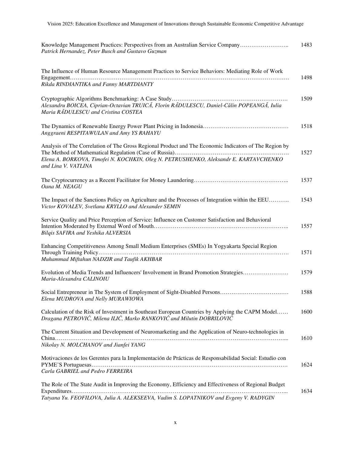| Knowledge Management Practices: Perspectives from an Australian Service Company<br>Patrick Hernandez, Peter Busch and Gustavo Guzman                                                                                  | 1483 |
|-----------------------------------------------------------------------------------------------------------------------------------------------------------------------------------------------------------------------|------|
| The Influence of Human Resource Management Practices to Service Behaviors: Mediating Role of Work<br>Rikda RINDIANTIKA and Fanny MARTDIANTY                                                                           | 1498 |
| Alexandru BOICEA, Ciprian-Octavian TRUICĂ, Florin RĂDULESCU, Daniel-Călin POPEANGĂ, Iulia<br>Maria RADULESCU and Cristina COSTEA                                                                                      | 1509 |
| Anggraeni RESPITAWULAN and Amy YS RAHAYU                                                                                                                                                                              | 1518 |
| Analysis of The Correlation of The Gross Regional Product and The Economic Indicators of The Region by<br>Elena A. BORKOVA, Timofei N. KOCHKIN, Oleg N. PETRUSHENKO, Aleksandr E. KARTAVCHENKO<br>and Lina V. VATLINA | 1527 |
| Oana M. NEAGU                                                                                                                                                                                                         | 1537 |
| The Impact of the Sanctions Policy on Agriculture and the Processes of Integration within the EEU<br>Victor KOVALEV, Svetlana KRYLLO and Alexander SEMIN                                                              | 1543 |
| Service Quality and Price Perception of Service: Influence on Customer Satisfaction and Behavioral<br>Bilgis SAFIRA and Yeshika ALVERSIA                                                                              | 1557 |
| Enhancing Competitiveness Among Small Medium Enterprises (SMEs) In Yogyakarta Special Region<br>Muhammad Miftahun NADZIR and Taufik AKHBAR                                                                            | 1571 |
| Evolution of Media Trends and Influencers' Involvement in Brand Promotion Strategies<br>Maria-Alexandra CALINOIU                                                                                                      | 1579 |
| Elena MUDROVA and Nelly MURAWIOWA                                                                                                                                                                                     | 1588 |
| Calculation of the Risk of Investment in Southeast European Countries by Applying the CAPM Model<br>Dragana PETROVIĆ, Milena ILIĆ, Marko RANKOVIĆ and Milutin DOBRILOVIĆ                                              | 1600 |
| The Current Situation and Development of Neuromarketing and the Application of Neuro-technologies in<br>Nikolay N. MOLCHANOV and Jianfei YANG                                                                         | 1610 |
| Motivaciones de los Gerentes para la Implementación de Prácticas de Responsabilidad Social: Estudio con<br>Carla GABRIEL and Pedro FERREIRA                                                                           | 1624 |
| The Role of The State Audit in Improving the Economy, Efficiency and Effectiveness of Regional Budget<br>Tatyana Yu. FEOFILOVA, Julia A. ALEKSEEVA, Vadim S. LOPATNIKOV and Evgeny V. RADYGIN                         | 1634 |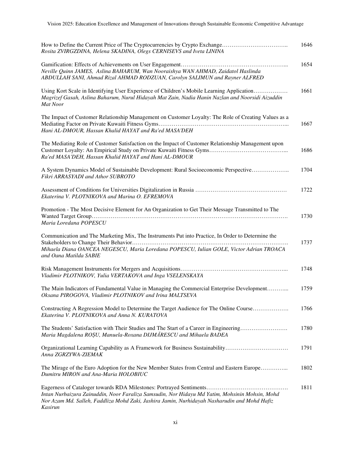| Rosita ZVIRGZDINA, Helena SKADINA, Olegs CERNISEVS and Iveta LININA                                                                                                                                                    | 1646 |
|------------------------------------------------------------------------------------------------------------------------------------------------------------------------------------------------------------------------|------|
| Neville Quinn JAMES, Aslina BAHARUM, Wan Nooraishya WAN AHMAD, Zaidatol Haslinda<br>ABDULLAH SANI, Ahmad Rizal AHMAD RODZUAN, Carolyn SALIMUN and Rayner ALFRED                                                        | 1654 |
| Using Kort Scale in Identifying User Experience of Children's Mobile Learning Application<br>Magrizef Gasah, Aslina Baharum, Nurul Hidayah Mat Zain, Nadia Hanin Nazlan and Noorsidi Aizuddin<br>Mat Noor              | 1661 |
| The Impact of Customer Relationship Management on Customer Loyalty: The Role of Creating Values as a<br>Hani AL-DMOUR, Hassan Khalid HAYAT and Ra'ed MASA'DEH                                                          | 1667 |
| The Mediating Role of Customer Satisfaction on the Impact of Customer Relationship Management upon<br>Ra'ed MASA'DEH, Hassan Khalid HAYAT and Hani AL-DMOUR                                                            | 1686 |
| A System Dynamics Model of Sustainable Development: Rural Socioeconomic Perspective<br>Fikri ARRASYADI and Athor SUBROTO                                                                                               | 1704 |
| Ekaterina V. PLOTNIKOVA and Marina O. EFREMOVA                                                                                                                                                                         | 1722 |
| Promotion - The Most Decisive Element for An Organization to Get Their Message Transmitted to The<br>Maria Loredana POPESCU                                                                                            | 1730 |
| Communication and The Marketing Mix, The Instruments Put into Practice, In Order to Determine the<br>Mihaela Diana OANCEA NEGESCU, Maria Loredana POPESCU, Iulian GOLE, Victor Adrian TROACA<br>and Oana Matilda SABIE | 1737 |
| Vladimir PLOTNIKOV, Yulia VERTAKOVA and Inga VSELENSKAYA                                                                                                                                                               | 1748 |
| The Main Indicators of Fundamental Value in Managing the Commercial Enterprise Development<br>Oksana PIROGOVA, Vladimir PLOTNIKOV and Irina MALTSEVA                                                                   | 1759 |
| Constructing A Regression Model to Determine the Target Audience for The Online Course<br>Ekaterina V. PLOTNIKOVA and Anna N. KURATOVA                                                                                 | 1766 |
| The Students' Satisfaction with Their Studies and The Start of a Career in Engineering<br>Maria Magdalena ROȘU, Manuela-Roxana DIJMĂRESCU and Mihaela BADEA                                                            | 1780 |
| Organizational Learning Capability as A Framework for Business Sustainability<br>Anna ZGRZYWA-ZIEMAK                                                                                                                   | 1791 |
| The Mirage of the Euro Adoption for the New Member States from Central and Eastern Europe<br>Dumitru MIRON and Ana-Maria HOLOBIUC                                                                                      | 1802 |
| Intan Nurbaizura Zainuddin, Noor Faraliza Samsudin, Nor Hidayu Md Yatim, Mohsinin Mohsin, Mohd<br>Nor Azam Md. Salleh, Faddliza Mohd Zaki, Jashira Jamin, Nurhidayah Nasharudin and Mohd Hafiz<br>Kasirun              | 1811 |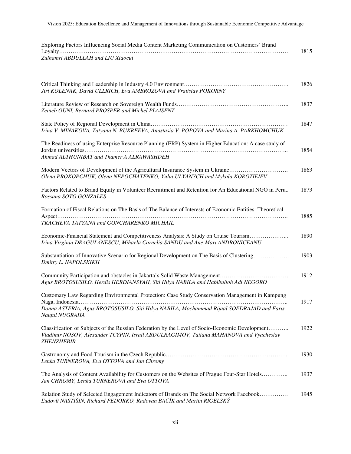| Exploring Factors Influencing Social Media Content Marketing Communication on Customers' Brand |      |
|------------------------------------------------------------------------------------------------|------|
|                                                                                                | 1815 |
| Zulhamri ABDULLAH and LIU Xiaocui                                                              |      |

| Jiri KOLENAK, David ULLRICH, Eva AMBROZOVA and Vratislav POKORNY                                                                                                                                               | 1826 |
|----------------------------------------------------------------------------------------------------------------------------------------------------------------------------------------------------------------|------|
| Zeineb OUNI, Bernard PROSPER and Michel PLAISENT                                                                                                                                                               | 1837 |
| Irina V. MINAKOVA, Tatyana N. BUKREEVA, Anastasia V. POPOVA and Marina A. PARKHOMCHUK                                                                                                                          | 1847 |
| The Readiness of using Enterprise Resource Planning (ERP) System in Higher Education: A case study of<br>Ahmad ALTHUNIBAT and Thamer A ALRAWASHDEH                                                             | 1854 |
| Modern Vectors of Development of the Agricultural Insurance System in Ukraine<br>Olena PROKOPCHUK, Olena NEPOCHATENKO, Yulia ULYANYCH and Mykola KOROTIEIEV                                                    | 1863 |
| Factors Related to Brand Equity in Volunteer Recruitment and Retention for An Educational NGO in Peru<br>Rossana SOTO GONZALES                                                                                 | 1873 |
| Formation of Fiscal Relations on The Basis of The Balance of Interests of Economic Entities: Theoretical<br>TKACHEVA TATYANA and GONCHARENKO MICHAIL                                                           | 1885 |
| Economic-Financial Statement and Competitiveness Analysis: A Study on Cruise Tourism<br>Irina Virginia DRĂGULĂNESCU, Mihaela Cornelia SANDU and Ane-Mari ANDRONICEANU                                          | 1890 |
| Substantiation of Innovative Scenario for Regional Development on The Basis of Clustering<br>Dmitry L. NAPOLSKIKH                                                                                              | 1903 |
| Agus BROTOSUSILO, Herdis HERDIANSYAH, Siti Hilya NABILA and Habibulloh Adi NEGORO                                                                                                                              | 1912 |
| Customary Law Regarding Environmental Protection: Case Study Conservation Management in Kampung<br>Donna ASTERIA, Agus BROTOSUSILO, Siti Hilya NABILA, Mochammad Rijaal SOEDRAJAD and Faris<br>Naufal NUGRAHA  | 1917 |
| Classification of Subjects of the Russian Federation by the Level of Socio-Economic Development<br>Vladimir NOSOV, Alexander TCYPIN, Israil ABDULRAGIMOV, Tatiana MAHANOVA and Vyacheslav<br><b>ZHENZHEBIR</b> | 1922 |
| Lenka TURNEROVA, Eva OTTOVA and Jan Chromy                                                                                                                                                                     | 1930 |
| The Analysis of Content Availability for Customers on the Websites of Prague Four-Star Hotels<br>Jan CHROMY, Lenka TURNEROVA and Eva OTTOVA                                                                    | 1937 |
| Relation Study of Selected Engagement Indicators of Brands on The Social Network Facebook<br>Ľudovít NASTIŠIN, Richard FEDORKO, Radovan BAČÍK and Martin RIGELSKÝ                                              | 1945 |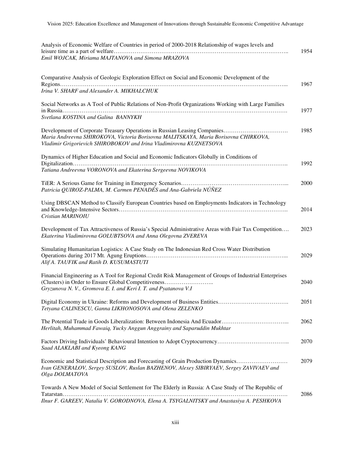| Analysis of Economic Welfare of Countries in period of 2000-2018 Relationship of wages levels and<br>Emil WOJCAK, Miriama MAJTANOVA and Simona MRAZOVA                                                                             | 1954 |
|------------------------------------------------------------------------------------------------------------------------------------------------------------------------------------------------------------------------------------|------|
| Comparative Analysis of Geologic Exploration Effect on Social and Economic Development of the<br>Irina V. SHARF and Alexander A. MIKHALCHUK                                                                                        | 1967 |
| Social Networks as A Tool of Public Relations of Non-Profit Organizations Working with Large Families<br>Svetlana KOSTINA and Galina BANNYKH                                                                                       | 1977 |
| Maria Andreevna SHIROKOVA, Victoria Borisovna MALITSKAYA, Maria Borisovna CHIRKOVA,<br>Vladimir Grigorievich SHIROBOKOV and Irina Vladimirovna KUZNETSOVA                                                                          | 1985 |
| Dynamics of Higher Education and Social and Economic Indicators Globally in Conditions of<br>Tatiana Andreevna VORONOVA and Ekaterina Sergeevna NOVIKOVA                                                                           | 1992 |
| Patricia QUIROZ-PALMA, M. Carmen PENADÉS and Ana-Gabriela NÚÑEZ                                                                                                                                                                    | 2000 |
| Using DBSCAN Method to Classify European Countries based on Employments Indicators in Technology<br>Cristian MARINOIU                                                                                                              | 2014 |
| Development of Tax Attractiveness of Russia's Special Administrative Areas with Fair Tax Competition<br>Ekaterina Vladimirovna GOLUBTSOVA and Anna Olegovna ZVEREVA                                                                | 2023 |
| Simulating Humanitarian Logistics: A Case Study on The Indonesian Red Cross Water Distribution<br>Alif A. TAUFIK and Ratih D. KUSUMASTUTI                                                                                          | 2029 |
| Financial Engineering as A Tool for Regional Credit Risk Management of Groups of Industrial Enterprises<br>(Clusters) in Order to Ensure Global Competitiveness<br>Gryzunova N. V., Gromova E. I. and Keri I. T. and Pyatanova V.I | 2040 |
| Tetyana CALINESCU, Ganna LIKHONOSOVA and Olena ZELENKO                                                                                                                                                                             | 2051 |
| Herlitah, Muhammad Fawaiq, Yucky Anggun Anggrainy and Saparuddin Mukhtar                                                                                                                                                           | 2062 |
| Saad ALAKLABI and Kyeong KANG                                                                                                                                                                                                      | 2070 |
| Economic and Statistical Description and Forecasting of Grain Production Dynamics<br>Ivan GENERALOV, Sergey SUSLOV, Ruslan BAZHENOV, Alexey SIBIRYAEV, Sergey ZAVIVAEV and<br>Olga DOLMATOVA                                       | 2079 |
| Towards A New Model of Social Settlement for The Elderly in Russia: A Case Study of The Republic of<br>Ilnur F. GAREEV, Natalia V. GORODNOVA, Elena A. TSYGALNITSKY and Anastasiya A. PESHKOVA                                     | 2086 |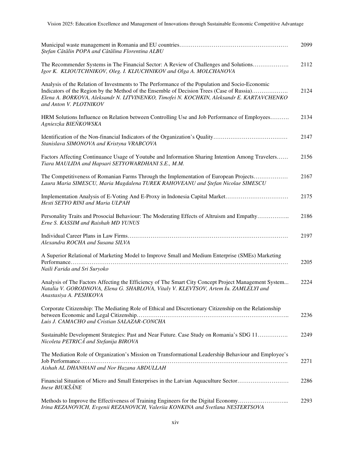| Ștefan Cătălin POPA and Cătălina Florentina ALBU                                                                                                                                                                                                                                                                        | 2099 |
|-------------------------------------------------------------------------------------------------------------------------------------------------------------------------------------------------------------------------------------------------------------------------------------------------------------------------|------|
| The Recommender Systems in The Financial Sector: A Review of Challenges and Solutions<br>Igor K. KLIOUTCHNIKOV, Oleg. I. KLIUCHNIKOV and Olga A. MOLCHANOVA                                                                                                                                                             | 2112 |
| Analysis of the Relation of Investments to The Performance of the Population and Socio-Economic<br>Indicators of the Region by the Method of the Ensemble of Decision Trees (Case of Russia)<br>.<br>Elena A. BORKOVA, Aleksandr N. LITVINENKO, Timofei N. KOCHKIN, Aleksandr E. KARTAVCHENKO<br>and Anton V. PLOTNIKOV | 2124 |
| HRM Solutions Influence on Relation between Controlling Use and Job Performance of Employees<br>Agnieszka BIEŃKOWSKA                                                                                                                                                                                                    | 2134 |
| Identification of the Non-financial Indicators of the Organization's Quality<br>Stanislava SIMONOVA and Kristyna VRABCOVA                                                                                                                                                                                               | 2147 |
| Factors Affecting Continuance Usage of Youtube and Information Sharing Intention Among Travelers<br>Tiara MAULIDA and Hapsari SETYOWARDHANI S.E., M.M.                                                                                                                                                                  | 2156 |
| The Competitiveness of Romanian Farms Through the Implementation of European Projects<br>Laura Maria SIMESCU, Maria Magdalena TUREK RAHOVEANU and Stefan Nicolae SIMESCU                                                                                                                                                | 2167 |
| Implementation Analysis of E-Voting And E-Proxy in Indonesia Capital Market<br>Hesti SETYO RINI and Maria ULPAH                                                                                                                                                                                                         | 2175 |
| Personality Traits and Prosocial Behaviour: The Moderating Effects of Altruism and Empathy<br>Erne S. KASSIM and Raishah MD YUNUS                                                                                                                                                                                       | 2186 |
| Alexandra ROCHA and Susana SILVA                                                                                                                                                                                                                                                                                        | 2197 |
| A Superior Relational of Marketing Model to Improve Small and Medium Enterprise (SMEs) Marketing<br>Performance<br>Naili Farida and Sri Suryoko                                                                                                                                                                         | 2205 |
| Analysis of The Factors Affecting the Efficiency of The Smart City Concept Project Management System<br>Natalia V. GORODNOVA, Elena G. SHABLOVA, Vitaly V. KLEVTSOV, Artem Iu. ZAMLELYI and<br>Anastasiya A. PESHKOVA                                                                                                   | 2224 |
| Corporate Citizenship: The Mediating Role of Ethical and Discretionary Citizenship on the Relationship<br>Luis J. CAMACHO and Cristian SALAZAR-CONCHA                                                                                                                                                                   | 2236 |
| Sustainable Development Strategies: Past and Near Future. Case Study on Romania's SDG 11<br>Nicoleta PETRICĂ and Stefanija BIROVA                                                                                                                                                                                       | 2249 |
| The Mediation Role of Organization's Mission on Transformational Leadership Behaviour and Employee's<br>Aishah AL DHANHANI and Nor Hazana ABDULLAH                                                                                                                                                                      | 2271 |
| Financial Situation of Micro and Small Enterprises in the Latvian Aquaculture Sector<br><b>Inese BIUKŠĀNE</b>                                                                                                                                                                                                           | 2286 |
| Methods to Improve the Effectiveness of Training Engineers for the Digital Economy<br>Irina REZANOVICH, Evgenii REZANOVICH, Valeriia KONKINA and Svetlana NESTERTSOVA                                                                                                                                                   | 2293 |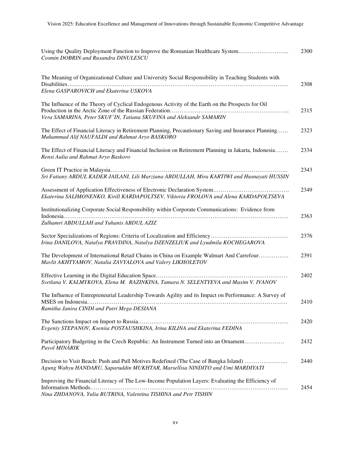| Using the Quality Deployment Function to Improve the Romanian Healthcare System<br>Cosmin DOBRIN and Ruxandra DINULESCU                                                  | 2300 |
|--------------------------------------------------------------------------------------------------------------------------------------------------------------------------|------|
| The Meaning of Organizational Culture and University Social Responsibility in Teaching Students with<br>Elena GASPAROVICH and Ekaterina USKOVA                           | 2308 |
| The Influence of the Theory of Cyclical Endogenous Activity of the Earth on the Prospects for Oil<br>Vera SAMARINA, Peter SKUF'IN, Tatiana SKUFINA and Aleksandr SAMARIN | 2315 |
| The Effect of Financial Literacy in Retirement Planning, Precautionary Saving and Insurance Planning<br>Muhammad Alif NAUFALDI and Rahmat Aryo BASKORO                   | 2323 |
| The Effect of Financial Literacy and Financial Inclusion on Retirement Planning in Jakarta, Indonesia<br>Rensi Aulia and Rahmat Aryo Baskoro                             | 2334 |
| Sri Fatiany ABDUL KADER JAILANI, Lili Marziana ABDULLAH, Mira KARTIWI and Husnayati HUSSIN                                                                               | 2343 |
| Ekaterina SALIMONENKO, Kirill KARDAPOLTSEV, Viktoria FROLOVA and Alena KARDAPOLTSEVA                                                                                     | 2349 |
| Institutionalizing Corporate Social Responsibility within Corporate Communications: Evidence from<br>Zulhamri ABDULLAH and Yuhanis ABDUL AZIZ                            | 2363 |
| Irina DANILOVA, Natalya PRAVDINA, Natalya DZENZELIUK and Lyudmila KOCHEGAROVA                                                                                            | 2376 |
| The Development of International Retail Chains in China on Example Walmart And Carrefour<br>Mavlit AKHTYAMOV, Natalia ZAVYALOVA and Valery LIKHOLETOV                    | 2391 |
| Svetlana V. KALMYKOVA, Elena M. RAZINKINA, Tamara N. SELENTYEVA and Maxim V. IVANOV                                                                                      | 2402 |
| The Influence of Entrepreneurial Leadership Towards Agility and its Impact on Performance: A Survey of<br>Ramitha Janira CINDI and Putri Mega DESIANA                    | 2410 |
| Evgeniy STEPANOV, Kseniia POSTAUSHKINA, Irina KILINA and Ekaterina FEDINA                                                                                                | 2420 |
| Participatory Budgeting in the Czech Republic: An Instrument Turned into an Ornament<br>Pavol MINARIK                                                                    | 2432 |
| Decision to Visit Beach: Push and Pull Motives Redefined (The Case of Bangka Island)<br>Agung Wahyu HANDARU, Saparuddin MUKHTAR, Marsellisa NINDITO and Umi MARDIYATI    | 2440 |
| Improving the Financial Literacy of The Low-Income Population Layers: Evaluating the Efficiency of<br>Nina ZHDANOVA, Yulia BUTRINA, Valentina TISHINA and Petr TISHIN    | 2454 |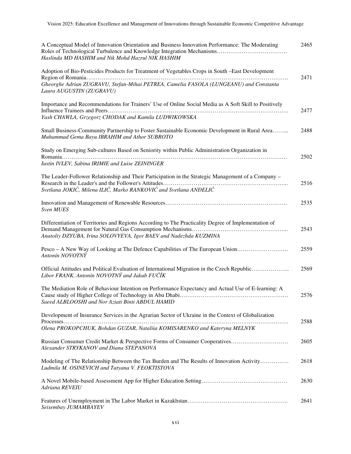| A Conceptual Model of Innovation Orientation and Business Innovation Performance: The Moderating<br>Haslinda MD HASHIM and Nik Mohd Hazrul NIK HASHIM                    | 2465 |
|--------------------------------------------------------------------------------------------------------------------------------------------------------------------------|------|
| Adoption of Bio-Pesticides Products for Treatment of Vegetables Crops in South -East Development                                                                         | 2471 |
| Gheorghe Adrian ZUGRAVU, Stefan-Mihai PETREA, Camelia FASOLA (LUNGEANU) and Constanta<br>Laura AUGUSTIN (ZUGRAVU)                                                        |      |
| Importance and Recommendations for Trainers' Use of Online Social Media as A Soft Skill to Positively                                                                    | 2477 |
| Yash CHAWLA, Grzegorz CHODAK and Kamila LUDWIKOWSKA                                                                                                                      |      |
| Small Business-Community Partnership to Foster Sustainable Economic Development in Rural Area<br>Muhammad Gema Bayu IBRAHIM and Athor SUBROTO                            | 2488 |
| Study on Emerging Sub-cultures Based on Seniority within Public Administration Organization in                                                                           | 2502 |
| Iustin IVLEV, Sabina IRIMIE and Luise ZEININGER                                                                                                                          |      |
| The Leader-Follower Relationship and Their Participation in the Strategic Management of a Company –                                                                      |      |
| Svetlana JOKIĆ, Milena ILIĆ, Marko RANKOVIĆ and Svetlana ANĐELIĆ                                                                                                         | 2516 |
| Sven MUES                                                                                                                                                                | 2535 |
| Differentiation of Territories and Regions According to The Practicality Degree of Implementation of<br>Anatoliy DZYUBA, Irina SOLOVYEVA, Igor BAEV and Nadezhda KUZMINA | 2543 |
| Pesco – A New Way of Looking at The Defence Capabilities of The European Union                                                                                           | 2559 |
| Antonín NOVOTNÝ                                                                                                                                                          |      |
| Official Attitudes and Political Evaluation of International Migration in the Czech Republic<br>Libor FRANK, Antonín NOVOTNÝ and Jakub FUČÍK                             | 2569 |
| The Mediation Role of Behaviour Intention on Performance Expectancy and Actual Use of E-learning: A<br>Saeed ALBLOOSHI and Nor Aziati Binti ABDUL HAMID                  | 2576 |
| Development of Insurance Services in the Agrarian Sector of Ukraine in the Context of Globalization                                                                      |      |
| Olena PROKOPCHUK, Bohdan GUZAR, Nataliia KOMISARENKO and Kateryna MELNYK                                                                                                 | 2588 |
| Russian Consumer Credit Market & Perspective Forms of Consumer Cooperatives<br>Alexander STRYKANOV and Diana STEPANOVA                                                   | 2605 |
| Modeling of The Relationship Between the Tax Burden and The Results of Innovation Activity<br>Ludmila M. OSINEVICH and Tatyana V. FEOKTISTOVA                            | 2618 |
| Adriana REVEIU                                                                                                                                                           | 2630 |
| Seisembay JUMAMBAYEV                                                                                                                                                     | 2641 |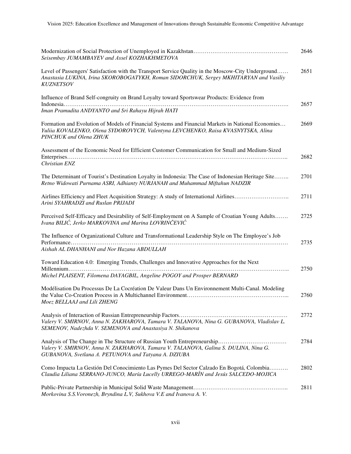| Seisembay JUMAMBAYEV and Assel KOZHAKHMETOVA                                                                                                                                                                     | 2646 |
|------------------------------------------------------------------------------------------------------------------------------------------------------------------------------------------------------------------|------|
| Level of Passengers' Satisfaction with the Transport Service Quality in the Moscow-City Underground<br>Anastasia LUKINA, Irina SKOROBOGATYKH, Roman SIDORCHUK, Sergey MKHITARYAN and Vasiliy<br><b>KUZNETSOV</b> | 2651 |
| Influence of Brand Self-congruity on Brand Loyalty toward Sportswear Products: Evidence from<br>Iman Pramudita ANDYANTO and Sri Rahayu Hijrah HATI                                                               | 2657 |
| Formation and Evolution of Models of Financial Systems and Financial Markets in National Economies<br>Yuliia KOVALENKO, Olena SYDOROVYCH, Valentyna LEVCHENKO, Raisa KVASNYTSKA, Alina<br>PINCHUK and Olena ZHUK | 2669 |
| Assessment of the Economic Need for Efficient Customer Communication for Small and Medium-Sized<br>Christian ENZ                                                                                                 | 2682 |
| The Determinant of Tourist's Destination Loyalty in Indonesia: The Case of Indonesian Heritage Site<br>Retno Widowati Purnama ASRI, Adhianty NURJANAH and Muhammad Miftahun NADZIR                               | 2701 |
| Airlines Efficiency and Fleet Acquisition Strategy: A study of International Airlines<br>Arini SYAHRADZI and Ruslan PRIJADI                                                                                      | 2711 |
| Perceived Self-Efficacy and Desirability of Self-Employment on A Sample of Croatian Young Adults<br>Ivana BILIĆ, Jerko MARKOVINA and Marina LOVRINČEVIĆ                                                          | 2725 |
| The Influence of Organizational Culture and Transformational Leadership Style on The Employee's Job<br>Aishah AL DHANHANI and Nor Hazana ABDULLAH                                                                | 2735 |
| Toward Education 4.0: Emerging Trends, Challenges and Innovative Approaches for the Next<br>Michel PLAISENT, Filomena DAYAGBIL, Angeline POGOY and Prosper BERNARD                                               | 2750 |
| Modélisation Du Processus De La Cocréation De Valeur Dans Un Environnement Multi-Canal. Modeling<br>Moez BELLAAJ and Lili ZHENG                                                                                  | 2760 |
| Valery V. SMIRNOV, Anna N. ZAKHAROVA, Tamara V. TALANOVA, Nina G. GUBANOVA, Vladislav L.<br>SEMENOV, Nadezhda V. SEMENOVA and Anastasiya N. Shikanova                                                            | 2772 |
| Valery V. SMIRNOV, Anna N. ZAKHAROVA, Tamara V. TALANOVA, Galina S. DULINA, Nina G.<br>GUBANOVA, Svetlana A. PETUNOVA and Tatyana A. DZIUBA                                                                      | 2784 |
| Como Impacta La Gestión Del Conocimiento Las Pymes Del Sector Calzado En Bogotá, Colombia<br>Claudia Liliana SERRANO-JUNCO, María Lucelly URREGO-MARÍN and Jesús SALCEDO-MOJICA                                  | 2802 |
| Morkovina S.S.Voronezh, Bryndina L.V, Sukhova V.E and Ivanova A.V.                                                                                                                                               | 2811 |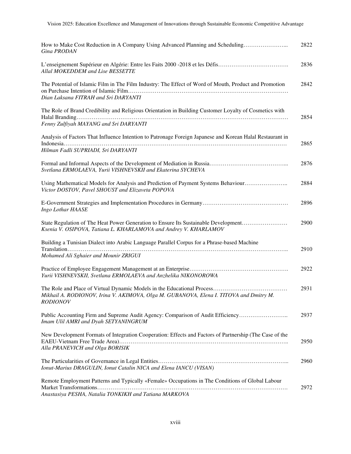| How to Make Cost Reduction in A Company Using Advanced Planning and Scheduling<br>Gina PRODAN                                                             | 2822 |
|-----------------------------------------------------------------------------------------------------------------------------------------------------------|------|
| L'enseignement Supérieur en Algérie: Entre les Faits 2000 -2018 et les Défis<br>Allal MOKEDDEM and Lise BESSETTE                                          | 2836 |
| The Potential of Islamic Film in The Film Industry: The Effect of Word of Mouth, Product and Promotion<br>Dian Laksana FITRAH and Sri DARYANTI            | 2842 |
| The Role of Brand Credibility and Religious Orientation in Building Customer Loyalty of Cosmetics with<br>Fenny Zulfiyah MAYANG and Sri DARYANTI          | 2854 |
| Analysis of Factors That Influence Intention to Patronage Foreign Japanese and Korean Halal Restaurant in<br>Hilman Fadli SUPRIADI, Sri DARYANTI          | 2865 |
| Svetlana ERMOLAEVA, Yurii VISHNEVSKII and Ekaterina SYCHEVA                                                                                               | 2876 |
| Using Mathematical Models for Analysis and Prediction of Payment Systems Behaviour<br>Victor DOSTOV, Pavel SHOUST and Elizaveta POPOVA                    | 2884 |
| Ingo Lothar HAASE                                                                                                                                         | 2896 |
| State Regulation of The Heat Power Generation to Ensure Its Sustainable Development<br>Ksenia V. OSIPOVA, Tatiana L. KHARLAMOVA and Andrey V. KHARLAMOV   | 2900 |
| Building a Tunisian Dialect into Arabic Language Parallel Corpus for a Phrase-based Machine<br>Mohamed Ali Sghaier and Mounir ZRIGUI                      | 2910 |
| Yurii VISHNEVSKII, Svetlana ERMOLAEVA and Anzhelika NIKONOROWA                                                                                            | 2922 |
| Mikhail A. RODIONOV, Irina V. AKIMOVA, Olga M. GUBANOVA, Elena I. TITOVA and Dmitry M.<br><b>RODIONOV</b>                                                 | 2931 |
| Public Accounting Firm and Supreme Audit Agency: Comparison of Audit Efficiency<br>Imam Ulil AMRI and Dyah SETYANINGRUM                                   | 2937 |
| New Development Formats of Integration Cooperation: Effects and Factors of Partnership (The Case of the<br>Alla PRANEVICH and Olga BORISIK                | 2950 |
| Ionut-Marius DRAGULIN, Ionut Catalin NICA and Elena IANCU (VISAN)                                                                                         | 2960 |
| Remote Employment Patterns and Typically «Female» Occupations in The Conditions of Global Labour<br>Anastasiya PESHA, Natalia TONKIKH and Tatiana MARKOVA | 2972 |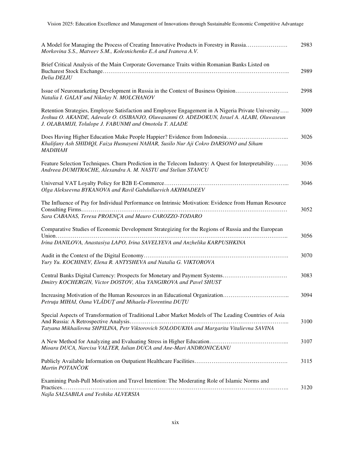| A Model for Managing the Process of Creating Innovative Products in Forestry in Russia<br>Morkovina S.S., Matveev S.M., Kolesnichenko E.A and Ivanova A.V.                                                                                                 | 2983 |
|------------------------------------------------------------------------------------------------------------------------------------------------------------------------------------------------------------------------------------------------------------|------|
| Brief Critical Analysis of the Main Corporate Governance Traits within Romanian Banks Listed on<br>Delia DELIU                                                                                                                                             | 2989 |
| Issue of Neuromarketing Development in Russia in the Context of Business Opinion<br>Natalia I. GALAY and Nikolay N. MOLCHANOV                                                                                                                              | 2998 |
| Retention Strategies, Employee Satisfaction and Employee Engagement in A Nigeria Private University<br>Joshua O. AKANDE, Adewale O. OSIBANJO, Oluwasanmi O. ADEDOKUN, Israel A. ALABI, Oluwaseun<br>J. OLABAMIJI, Tolulope J. FABUNMI and Omotola T. ALADE | 3009 |
| Khalifany Ash SHIDIQI, Faiza Husnayeni NAHAR, Susilo Nur Aji Cokro DARSONO and Siham<br><b>MADIHAH</b>                                                                                                                                                     | 3026 |
| Feature Selection Techniques. Churn Prediction in the Telecom Industry: A Quest for Interpretability<br>Andreea DUMITRACHE, Alexandra A. M. NASTU and Stelian STANCU                                                                                       | 3036 |
| Olga Alekseevna BYKANOVA and Ravil Gabdullaevich AKHMADEEV                                                                                                                                                                                                 | 3046 |
| The Influence of Pay for Individual Performance on Intrinsic Motivation: Evidence from Human Resource<br>Sara CABANAS, Teresa PROENÇA and Mauro CAROZZO-TODARO                                                                                             | 3052 |
| Comparative Studies of Economic Development Strategizing for the Regions of Russia and the European<br>Irina DANILOVA, Anastasiya LAPO, Irina SAVELYEVA and Anzhelika KARPUSHKINA                                                                          | 3056 |
| Yury Yu. KOCHINEV, Elena R. ANTYSHEVA and Natalia G. VIKTOROVA                                                                                                                                                                                             | 3070 |
| Dmitry KOCHERGIN, Victor DOSTOV, Alsu YANGIROVA and Pavel SHUST                                                                                                                                                                                            | 3083 |
| Increasing Motivation of the Human Resources in an Educational Organization<br>Petruța MIHAI, Oana VLĂDUȚ and Mihaela-Florentina DUȚU                                                                                                                      | 3094 |
| Special Aspects of Transformation of Traditional Labor Market Models of The Leading Countries of Asia<br>Tatyana Mikhailovna SHPILINA, Petr Viktorovich SOLODUKHA and Margarita Vitalievna SAVINA                                                          | 3100 |
| Mioara DUCA, Narcisa VALTER, Iulian DUCA and Ane-Mari ANDRONICEANU                                                                                                                                                                                         | 3107 |
| Martin POTANČOK                                                                                                                                                                                                                                            | 3115 |
| Examining Push-Pull Motivation and Travel Intention: The Moderating Role of Islamic Norms and<br>Najla SALSABILA and Yeshika ALVERSIA                                                                                                                      | 3120 |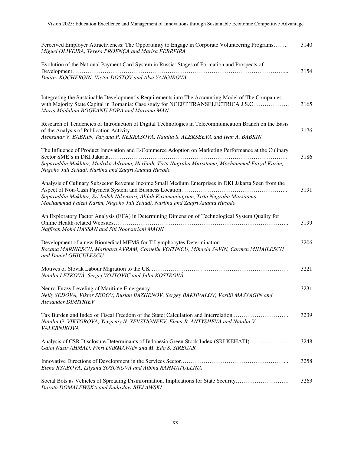| Perceived Employer Attractiveness: The Opportunity to Engage in Corporate Volunteering Programs<br>Miguel OLIVEIRA, Teresa PROENÇA and Marisa FERREIRA                                                                                                                          | 3140 |
|---------------------------------------------------------------------------------------------------------------------------------------------------------------------------------------------------------------------------------------------------------------------------------|------|
| Evolution of the National Payment Card System in Russia: Stages of Formation and Prospects of                                                                                                                                                                                   | 3154 |
| Dmitry KOCHERGIN, Victor DOSTOV and Alsu YANGIROVA                                                                                                                                                                                                                              |      |
| Integrating the Sustainable Development's Requirements into The Accounting Model of The Companies<br>with Majority State Capital in Romania: Case study for NCEET TRANSELECTRICA J.S.C<br>Maria Mădălina BOGEANU POPA and Mariana MAN                                           | 3165 |
| Research of Tendencies of Introduction of Digital Technologies in Telecommunication Branch on the Basis<br>Aleksandr V. BABKIN, Tatyana P. NEKRASOVA, Natalia S. ALEKSEEVA and Ivan A. BABKIN                                                                                   | 3176 |
| The Influence of Product Innovation and E-Commerce Adoption on Marketing Performance at the Culinary                                                                                                                                                                            | 3186 |
| Saparuddin Mukhtar, Mudrika Adriana, Herlitah, Tirta Nugraha Mursitama, Mochammad Faizal Karim,<br>Nugoho Juli Setiadi, Nurlina and Zaafri Ananta Husodo                                                                                                                        |      |
| Analysis of Culinary Subsector Revenue Income Small Medium Enterprises in DKI Jakarta Seen from the<br>Saparuddin Mukhtar, Sri Indah Nikensari, Alifah Kusumaningrum, Tirta Nugraha Mursitama,<br>Mochammad Faizal Karim, Nugoho Juli Setiadi, Nurlina and Zaafri Ananta Husodo | 3191 |
| An Exploratory Factor Analysis (EFA) in Determining Dimension of Technological System Quality for<br>Naffisah Mohd HASSAN and Siti Noorsuriani MAON                                                                                                                             | 3199 |
| Development of a new Biomedical MEMS for T Lymphocytes Determination<br>Roxana MARINESCU, Marioara AVRAM, Corneliu VOITINCU, Mihaela SAVIN, Carmen MIHAILESCU<br>and Daniel GHICULESCU                                                                                          | 3206 |
| Natália LETKOVÁ, Sergej VOJTOVIČ and Júlia KOSTROVÁ                                                                                                                                                                                                                             | 3221 |
| Nelly SEDOVA, Viktor SEDOV, Ruslan BAZHENOV, Sergey BAKHVALOV, Vasilii MASYAGIN and<br>Alexander DIMITRIEV                                                                                                                                                                      | 3231 |
| Tax Burden and Index of Fiscal Freedom of the State: Calculation and Interrelation<br>Natalia G. VIKTOROVA, Yevgeniy N. YEVSTIGNEEV, Elena R. ANTYSHEVA and Natalia V.<br>VALEBNIKOVA                                                                                           | 3239 |
| Analysis of CSR Disclosure Determinants of Indonesia Green Stock Index (SRI KEHATI)<br>Gatot Nazir AHMAD, Fikri DARMAWAN and M. Edo S. SIREGAR                                                                                                                                  | 3248 |
| Elena RYABOVA, Lilyana SOSUNOVA and Albina RAHMATULLINA                                                                                                                                                                                                                         | 3258 |
| Social Bots as Vehicles of Spreading Disinformation. Implications for State Security<br>Dorota DOMALEWSKA and Radosław BIELAWSKI                                                                                                                                                | 3263 |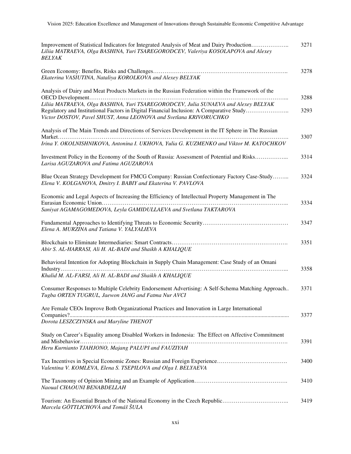| Improvement of Statistical Indicators for Integrated Analysis of Meat and Dairy Production<br>Liliia MATRAEVA, Olga BASHINA, Yuri TSAREGORODCEV, Valeriya KOSOLAPOVA and Alexey<br><b>BELYAK</b>                                                                                                                                                         | 3271         |
|----------------------------------------------------------------------------------------------------------------------------------------------------------------------------------------------------------------------------------------------------------------------------------------------------------------------------------------------------------|--------------|
| Ekaterina VASIUTINA, Nataliya KOROLKOVA and Alexey BELYAK                                                                                                                                                                                                                                                                                                | 3278         |
| Analysis of Dairy and Meat Products Markets in the Russian Federation within the Framework of the<br>Liliia MATRAEVA, Olga BASHINA, Yuri TSAREGORODCEV, Julia SUNAEVA and Alexey BELYAK<br>Regulatory and Institutional Factors in Digital Financial Inclusion: A Comparative Study<br>Victor DOSTOV, Pavel SHUST, Anna LEONOVA and Svetlana KRIVORUCHKO | 3288<br>3293 |
| Analysis of The Main Trends and Directions of Services Development in the IT Sphere in The Russian<br>Irina Y. OKOLNISHNIKOVA, Antonina I. UKHOVA, Yulia G. KUZMENKO and Viktor M. KATOCHKOV                                                                                                                                                             | 3307         |
| Investment Policy in the Economy of the South of Russia: Assessment of Potential and Risks<br>Larisa AGUZAROVA and Fatima AGUZAROVA                                                                                                                                                                                                                      | 3314         |
| Blue Ocean Strategy Development for FMCG Company: Russian Confectionary Factory Case-Study<br>Elena V. KOLGANOVA, Dmitry I. BABIY and Ekaterina V. PAVLOVA                                                                                                                                                                                               | 3324         |
| Economic and Legal Aspects of Increasing the Efficiency of Intellectual Property Management in The<br>Saniyat AGAMAGOMEDOVA, Leyla GAMIDULLAEVA and Svetlana TAKTAROVA                                                                                                                                                                                   | 3334         |
| Elena A. MURZINA and Tatiana V. YALYALIEVA                                                                                                                                                                                                                                                                                                               | 3347         |
| Abir S. AL-HARRASI, Ali H. AL-BADI and Shaikh A KHALIQUE                                                                                                                                                                                                                                                                                                 | 3351         |
| Behavioral Intention for Adopting Blockchain in Supply Chain Management: Case Study of an Omani<br>Khalid M. AL-FARSI, Ali H. AL-BADI and Shaikh A KHALIQUE                                                                                                                                                                                              | 3358         |
| Consumer Responses to Multiple Celebrity Endorsement Advertising: A Self-Schema Matching Approach<br>Tugba ORTEN TUGRUL, Jaewon JANG and Fatma Nur AVCI                                                                                                                                                                                                  | 3371         |
| Are Female CEOs Improve Both Organizational Practices and Innovation in Large International<br>Dorota LESZCZYNSKA and Maryline THENOT                                                                                                                                                                                                                    | 3377         |
| Study on Career's Equality among Disabled Workers in Indonesia: The Effect on Affective Commitment<br>Heru Kurnianto TJAHJONO, Majang PALUPI and FAUZIYAH                                                                                                                                                                                                | 3391         |
| Valentina V. KOMLEVA, Elena S. TSEPILOVA and Olga I. BELYAEVA                                                                                                                                                                                                                                                                                            | 3400         |
| Naoual CHAOUNI BENABDELLAH                                                                                                                                                                                                                                                                                                                               | 3410         |
| Marcela GÖTTLICHOVÁ and Tomáš ŠULA                                                                                                                                                                                                                                                                                                                       | 3419         |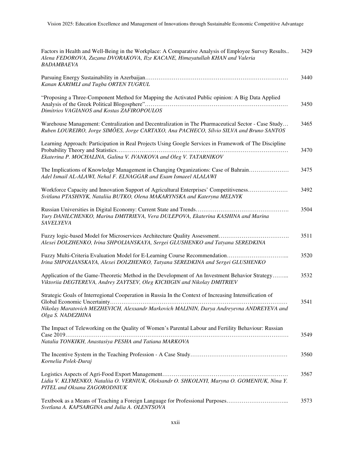| Factors in Health and Well-Being in the Workplace: A Comparative Analysis of Employee Survey Results<br>Alena FEDOROVA, Zuzana DVORAKOVA, Ilze KACANE, Himayatullah KHAN and Valeria<br><b>BADAMBAEVA</b>                | 3429 |
|--------------------------------------------------------------------------------------------------------------------------------------------------------------------------------------------------------------------------|------|
| Kanan KARIMLI and Tugba ORTEN TUGRUL                                                                                                                                                                                     | 3440 |
| "Proposing a Three-Component Method for Mapping the Activated Public opinion: A Big Data Applied<br>Dimitrios VAGIANOS and Kostas ZAFIROPOULOS                                                                           | 3450 |
| Warehouse Management: Centralization and Decentralization in The Pharmaceutical Sector - Case Study<br>Ruben LOUREIRO, Jorge SIMÕES, Jorge CARTAXO, Ana PACHECO, Sílvio SILVA and Bruno SANTOS                           | 3465 |
| Learning Approach: Participation in Real Projects Using Google Services in Framework of The Discipline<br>Ekaterina P. MOCHALINA, Galina V. IVANKOVA and Oleg V. TATARNIKOV                                              | 3470 |
| The Implications of Knowledge Management in Changing Organizations: Case of Bahrain<br>Adel Ismail AL-ALAWI, Nehal F. ELNAGGAR and Esam Ismaeel ALALAWI                                                                  | 3475 |
| Workforce Capacity and Innovation Support of Agricultural Enterprises' Competitiveness<br>Svitlana PTASHNYK, Nataliia BUTKO, Olena MAKARYNSKA and Kateryna MELNYK                                                        | 3492 |
| Yury DANILCHENKO, Marina DMITRIEVA, Vera DULEPOVA, Ekaterina KASHINA and Marina<br><b>SAVELYEVA</b>                                                                                                                      | 3504 |
| Alexei DOLZHENKO, Irina SHPOLIANSKAYA, Sergei GLUSHENKO and Tatyana SEREDKINA                                                                                                                                            | 3511 |
| Irina SHPOLIANSKAYA, Alexei DOLZHENKO, Tatyana SEREDKINA and Sergei GLUSHENKO                                                                                                                                            | 3520 |
| Application of the Game-Theoretic Method in the Development of An Investment Behavior Strategy<br>Viktoriia DEGTEREVA, Andrey ZAYTSEV, Oleg KICHIGIN and Nikolay DMITRIEV                                                | 3532 |
| Strategic Goals of Interregional Cooperation in Russia In the Context of Increasing Intensification of<br>Nikolay Maratovich MEZHEVICH, Alexsandr Markovich MALININ, Darya Andreyevna ANDREYEVA and<br>Olga S. NADEZHINA | 3541 |
| The Impact of Teleworking on the Quality of Women's Parental Labour and Fertility Behaviour: Russian<br>Natalia TONKIKH, Anastasiya PESHA and Tatiana MARKOVA                                                            | 3549 |
| Kornelia Polek-Duraj                                                                                                                                                                                                     | 3560 |
| Lidia V. KLYMENKO, Nataliia O. VERNIUK, Oleksandr O. SHKOLNYI, Maryna O. GOMENIUK, Nina Y.<br>PITEL and Oksana ZAGORODNIUK                                                                                               | 3567 |
| Textbook as a Means of Teaching a Foreign Language for Professional Purposes<br>Svetlana A. KAPSARGINA and Julia A. OLENTSOVA                                                                                            | 3573 |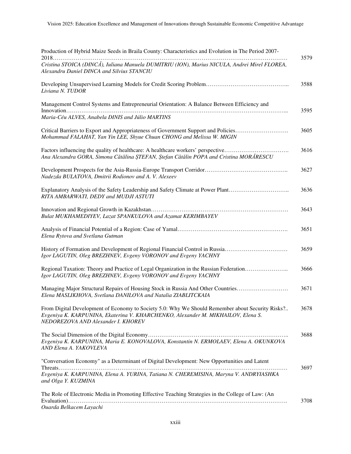| Production of Hybrid Maize Seeds in Braila County: Characteristics and Evolution in The Period 2007-                                                                                                                       | 3579 |
|----------------------------------------------------------------------------------------------------------------------------------------------------------------------------------------------------------------------------|------|
| Cristina STOICA (DINCĂ), Iuliana Manuela DUMITRIU (ION), Marius NICULA, Andrei Mirel FLOREA,<br>Alexandru Daniel DINCA and Silvius STANCIU                                                                                 |      |
| Liviana N. TUDOR                                                                                                                                                                                                           | 3588 |
| Management Control Systems and Entrepreneurial Orientation: A Balance Between Efficiency and                                                                                                                               | 3595 |
| Maria-Céu ALVES, Anabela DINIS and Júlio MARTINS                                                                                                                                                                           |      |
| Critical Barriers to Export and Appropriateness of Government Support and Policies<br>Mohammad FALAHAT, Yan Yin LEE, Shyue Chuan CHONG and Melissa W. MIGIN                                                                | 3605 |
| Factors influencing the quality of healthcare: A healthcare workers' perspective<br>Ana Alexandra GORA, Simona Cătălina ȘTEFAN, Ștefan Cătălin POPA and Cristina MORĂRESCU                                                 | 3616 |
| Nadezda BULATOVA, Dmitrii Rodionov and A. V. Alexeev                                                                                                                                                                       | 3627 |
| Explanatory Analysis of the Safety Leadership and Safety Climate at Power Plant<br>RITA AMBARWATI, DEDY and MUDJI ASTUTI                                                                                                   | 3636 |
| Bulat MUKHAMEDIYEV, Lazat SPANKULOVA and Azamat KERIMBAYEV                                                                                                                                                                 | 3643 |
| Elena Rytova and Svetlana Gutman                                                                                                                                                                                           | 3651 |
| History of Formation and Development of Regional Financial Control in Russia<br>Igor LAGUTIN, Oleg BREZHNEV, Evgeny VORONOV and Evgeny YACHNY                                                                              | 3659 |
| Regional Taxation: Theory and Practice of Legal Organization in the Russian Federation<br>Igor LAGUTIN, Oleg BREZHNEV, Evgeny VORONOV and Evgeny YACHNY                                                                    | 3666 |
| Managing Major Structural Repairs of Housing Stock in Russia And Other Countries<br>Elena MASLIKHOVA, Svetlana DANILOVA and Natalia ZIABLITCKAIA                                                                           | 3671 |
| From Digital Development of Economy to Society 5.0: Why We Should Remember about Security Risks?<br>Evgeniya K. KARPUNINA, Ekaterina V. KHARCHENKO, Alexander M. MIKHAILOV, Elena S.<br>NEDOREZOVA AND Alexander I. KHOREV | 3678 |
| Evgeniya K. KARPUNINA, Maria E. KONOVALOVA, Konstantin N. ERMOLAEV, Elena A. OKUNKOVA<br>AND Elena A. YAKOVLEVA                                                                                                            | 3688 |
| "Conversation Economy" as a Determinant of Digital Development: New Opportunities and Latent<br>Evgeniya K. KARPUNINA, Elena A. YURINA, Tatiana N. CHEREMISINA, Maryna V. ANDRYIASHKA<br>and Olga Y. KUZMINA               | 3697 |
| The Role of Electronic Media in Promoting Effective Teaching Strategies in the College of Law: (An<br>Ouarda Belkacem Layachi                                                                                              | 3708 |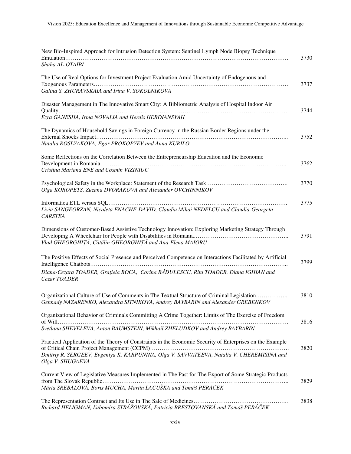| New Bio-Inspired Approach for Intrusion Detection System: Sentinel Lymph Node Biopsy Technique                                                                                |      |
|-------------------------------------------------------------------------------------------------------------------------------------------------------------------------------|------|
| Shaha AL-OTAIBI                                                                                                                                                               | 3730 |
| The Use of Real Options for Investment Project Evaluation Amid Uncertainty of Endogenous and                                                                                  | 3737 |
| Galina S. ZHURAVSKAIA and Irina V. SOKOLNIKOVA                                                                                                                                |      |
| Disaster Management in The Innovative Smart City: A Bibliometric Analysis of Hospital Indoor Air                                                                              | 3744 |
| Ezra GANESHA, Irma NOVALIA and Herdis HERDIANSYAH                                                                                                                             |      |
| The Dynamics of Household Savings in Foreign Currency in the Russian Border Regions under the                                                                                 | 3752 |
| Natalia ROSLYAKOVA, Egor PROKOPYEV and Anna KURILO                                                                                                                            |      |
| Some Reflections on the Correlation Between the Entrepreneurship Education and the Economic                                                                                   | 3762 |
| Cristina Mariana ENE and Cosmin VIZINIUC                                                                                                                                      |      |
| Olga KOROPETS, Zuzana DVORAKOVA and Alexander OVCHINNIKOV                                                                                                                     | 3770 |
| Livia SANGEORZAN, Nicoleta ENACHE-DAVID, Claudiu Mihai NEDELCU and Claudia-Georgeta<br><b>CARSTEA</b>                                                                         | 3775 |
| Dimensions of Customer-Based Assistive Technology Innovation: Exploring Marketing Strategy Through<br>Vlad GHEORGHIȚĂ, Cătălin GHEORGHIȚĂ and Ana-Elena MAIORU                | 3791 |
| The Positive Effects of Social Presence and Perceived Competence on Interactions Facilitated by Artificial                                                                    | 3799 |
| Diana-Cezara TOADER, Grațiela BOCA, Corina RĂDULESCU, Rita TOADER, Diana IGHIAN and<br>Cezar TOADER                                                                           |      |
| Organizational Culture of Use of Comments in The Textual Structure of Criminal Legislation<br>Gennady NAZARENKO, Alexandra SITNIKOVA, Andrey BAYBARIN and Alexander GREBENKOV | 3810 |
| Organizational Behavior of Criminals Committing A Crime Together: Limits of The Exercise of Freedom                                                                           | 3816 |
| Svetlana SHEVELEVA, Anton BAUMSTEIN, Mikhail ZHELUDKOV and Andrey BAYBARIN                                                                                                    |      |
| Practical Application of the Theory of Constraints in the Economic Security of Enterprises on the Example                                                                     | 3820 |
| Dmitriy R. SERGEEV, Evgeniya K. KARPUNINA, Olga V. SAVVATEEVA, Natalia V. CHEREMISINA and<br>Olga V. SHUGAEVA                                                                 |      |
| Current View of Legislative Measures Implemented in The Past for The Export of Some Strategic Products                                                                        | 3829 |
| Mária SREBALOVÁ, Boris MUCHA, Martin LACUŠKA and Tomáš PERÁČEK                                                                                                                |      |
| Richard HELIGMAN, Ľubomíra STRÁŽOVSKÁ, Patrícia BRESTOVANSKÁ and Tomáš PERÁČEK                                                                                                | 3838 |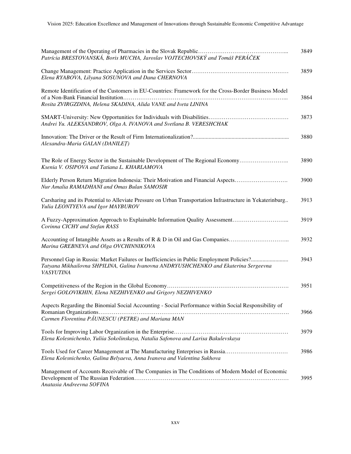| Patrícia BRESTOVANSKÁ, Boris MUCHA, Jaroslav VOJTECHOVSKÝ and Tomáš PERÁČEK                                                                                             | 3849 |
|-------------------------------------------------------------------------------------------------------------------------------------------------------------------------|------|
| Elena RYABOVA, Lilyana SOSUNOVA and Dana CHERNOVA                                                                                                                       | 3859 |
| Remote Identification of the Customers in EU-Countries: Framework for the Cross-Border Business Model<br>Rosita ZVIRGZDINA, Helena SKADINA, Alida VANE and Iveta LININA | 3864 |
| Andrei Yu. ALEKSANDROV, Olga A. IVANOVA and Svetlana B. VERESHCHAK                                                                                                      | 3873 |
| Alexandra-Maria GALAN (DANILET)                                                                                                                                         | 3880 |
| The Role of Energy Sector in the Sustainable Development of The Regional Economy<br>Ksenia V. OSIPOVA and Tatiana L. KHARLAMOVA                                         | 3890 |
| Elderly Person Return Migration Indonesia: Their Motivation and Financial Aspects<br>Nur Amalia RAMADHANI and Omas Bulan SAMOSIR                                        | 3900 |
| Carsharing and its Potential to Alleviate Pressure on Urban Transportation Infrastructure in Yekaterinburg<br>Yulia LEONTYEVA and Igor MAYBUROV                         | 3913 |
| A Fuzzy-Approximation Approach to Explainable Information Quality Assessment<br>Corinna CICHY and Stefan RASS                                                           | 3919 |
| Accounting of Intangible Assets as a Results of R & D in Oil and Gas Companies<br>Marina GREBNEVA and Olga OVCHINNIKOVA                                                 | 3932 |
| Tatyana Mikhailovna SHPILINA, Galina Ivanovna ANDRYUSHCHENKO and Ekaterina Sergeevna<br><b>VASYUTINA</b>                                                                | 3943 |
| Sergei GOLOVIKHIN, Elena NEZHIVENKO and Grigory NEZHIVENKO                                                                                                              | 3951 |
| Aspects Regarding the Binomial Social Accounting - Social Performance within Social Responsibility of<br>Carmen Florentina PAUNESCU (PETRE) and Mariana MAN             | 3966 |
| Elena Kolesnichenko, Yuliia Sokolinskaya, Natalia Safonova and Larisa Bakulevskaya                                                                                      | 3979 |
| Elena Kolesnichenko, Galina Belyaeva, Anna Ivanova and Valentina Sukhova                                                                                                | 3986 |
| Management of Accounts Receivable of The Companies in The Conditions of Modern Model of Economic<br>Anatasia Andreevna SOFINA                                           | 3995 |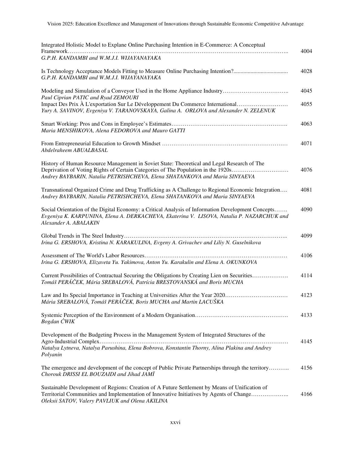| Integrated Holistic Model to Explane Online Purchasing Intention in E-Commerce: A Conceptual                                                                                                                                                                   | 4004         |
|----------------------------------------------------------------------------------------------------------------------------------------------------------------------------------------------------------------------------------------------------------------|--------------|
| G.P.H. KANDAMBI and W.M.J.I. WIJAYANAYAKA                                                                                                                                                                                                                      |              |
| G.P.H. KANDAMBI and W.M.J.I. WIJAYANAYAKA                                                                                                                                                                                                                      | 4028         |
| Paul Ciprian PATIC and Ryad ZEMOURI<br>Impact Des Prix À L'exportation Sur Le Développement Du Commerce International                                                                                                                                          | 4045<br>4055 |
| Yury A. SAVINOV, Evgeniya V. TARANOVSKAYA, Galina A. ORLOVA and Alexander N. ZELENUK                                                                                                                                                                           |              |
| Maria MENSHIKOVA, Alena FEDOROVA and Mauro GATTI                                                                                                                                                                                                               | 4063         |
| Abdelraheem ABUALBASAL                                                                                                                                                                                                                                         | 4071         |
| History of Human Resource Management in Soviet State: Theoretical and Legal Research of The<br>Deprivation of Voting Rights of Certain Categories of The Population in the 1920s<br>Andrey BAYBARIN, Natalia PETRISHCHEVA, Elena SHATANKOVA and Maria SINYAEVA | 4076         |
| Transnational Organized Crime and Drug Trafficking as A Challenge to Regional Economic Integration<br>Andrey BAYBARIN, Natalia PETRISHCHEVA, Elena SHATANKOVA and Maria SINYAEVA                                                                               | 4081         |
| Social Orientation of the Digital Economy: a Critical Analysis of Information Development Concepts<br>Evgeniya K. KARPUNINA, Elena A. DERKACHEVA, Ekaterina V. LISOVA, Natalia P. NAZARCHUK and<br>Alexander A. ABALAKIN                                       | 4090         |
| Irina G. ERSHOVA, Kristina N. KARAKULINA, Evgeny A. Grivachev and Liliy N. Guselnikova                                                                                                                                                                         | 4099         |
| Irina G. ERSHOVA, Elizaveta Yu. Yakimova, Anton Yu. Karakulin and Elena A. OKUNKOVA                                                                                                                                                                            | 4106         |
| Current Possibilities of Contractual Securing the Obligations by Creating Lien on Securities<br>Tomáš PERÁČEK, Mária SREBALOVÁ, Patrícia BRESTOVANSKÁ and Boris MUCHA                                                                                          | 4114         |
| Law and Its Special Importance in Teaching at Universities After the Year 2020<br>Mária SREBALOVÁ, Tomáš PERÁČEK, Boris MUCHA and Martin LACUŠKA                                                                                                               | 4123         |
| Bogdan CWIK                                                                                                                                                                                                                                                    | 4133         |
| Development of the Budgeting Process in the Management System of Integrated Structures of the                                                                                                                                                                  |              |
| Natalya Lytneva, Natalya Parushina, Elena Bobrova, Konstantin Thorny, Alina Plakina and Andrey<br>Polyanin                                                                                                                                                     | 4145         |
| The emergence and development of the concept of Public Private Partnerships through the territory<br>Chorouk DRISSI EL BOUZAIDI and Jihad JAMÏ                                                                                                                 | 4156         |
| Sustainable Development of Regions: Creation of A Future Settlement by Means of Unification of<br>Territorial Communities and Implementation of Innovative Initiatives by Agents of Change<br>Oleksii SATOV, Valery PAVLIUK and Olena AKILINA                  | 4166         |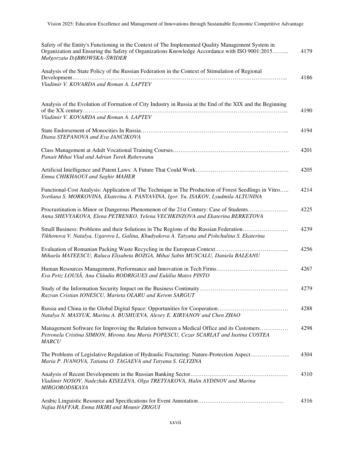| Safety of the Entity's Functioning in the Context of The Implemented Quality Management System in<br>Organization and Ensuring the Safety of Organizations Knowledge Accordance with ISO 9001:2015<br>Małgorzata DĄBROWSKA-ŚWIDER | 4179 |
|-----------------------------------------------------------------------------------------------------------------------------------------------------------------------------------------------------------------------------------|------|
| Analysis of the State Policy of the Russian Federation in the Context of Stimulation of Regional<br>Vladimir V. KOVARDA and Roman A. LAPTEV                                                                                       | 4186 |
| Analysis of the Evolution of Formation of City Industry in Russia at the End of the XIX and the Beginning<br>Vladimir V. KOVARDA and Roman A. LAPTEV                                                                              | 4190 |
| Diana STEPANOVA and Eva JANCIKOVA                                                                                                                                                                                                 | 4194 |
| Panait Mihai Vlad and Adrian Turek Rahoveanu                                                                                                                                                                                      | 4201 |
| Emna CHIKHAOUI and Saghir MAHER                                                                                                                                                                                                   | 4205 |
| Functional-Cost Analysis: Application of The Technique in The Production of Forest Seedlings in Vitro<br>Svetlana S. MORKOVINA, Ekaterina A. PANYAVINA, Igor. Yu. ISAKOV, Lyudmila ALTUNINA                                       | 4214 |
| Procrastination is Minor or Dangerous Phenomenon of the 21st Century: Case of Students<br>Anna SHEVYAKOVA, Elena PETRENKO, Yelena VECHKINZOVA and Ekaterina BERKETOVA                                                             | 4225 |
| Small Business: Problems and their Solutions in The Regions of the Russian Federation<br>Tikhonova V. Natalya, Ugarova L. Galina, Khudyakova A. Tatyana and Pishchulina S. Ekaterina                                              | 4239 |
| Mihaela MATEESCU, Raluca Elisabeta BOZGA, Mihai Sabin MUSCALU, Daniela BALEANU                                                                                                                                                    | 4256 |
| Eva Petiz LOUSÃ, Ana Cláudia RODRIGUES and Eulália Matos PINTO                                                                                                                                                                    | 4267 |
| Razvan Cristian IONESCU, Marieta OLARU and Kerem SARGUT                                                                                                                                                                           | 4279 |
| Russia and China in the Global Digital Space: Opportunities for Cooperation<br>Natalya N. MASYUK, Marina A. BUSHUEVA, Alexey E. KIRYANOV and Chen ZHAO                                                                            | 4288 |
| Management Software for Improving the Relation between a Medical Office and its Customers<br>Petronela Cristina SIMION, Mirona Ana Maria POPESCU, Cezar SCARLAT and Iustina COSTEA<br><b>MARCU</b>                                | 4298 |
| The Problems of Legislative Regulation of Hydraulic Fracturing: Nature-Protection Aspect<br>Maria P. IVANOVA, Tatiana O. TAGAEVA and Tatyana S. GLYZINA                                                                           | 4304 |
| Vladimir NOSOV, Nadezhda KISELEVA, Olga TRETYAKOVA, Halin AYDINOV and Marina<br><b>MIRGORODSKAYA</b>                                                                                                                              | 4310 |
| Nafaa HAFFAR, Emna HKIRI and Mounir ZRIGUI                                                                                                                                                                                        | 4316 |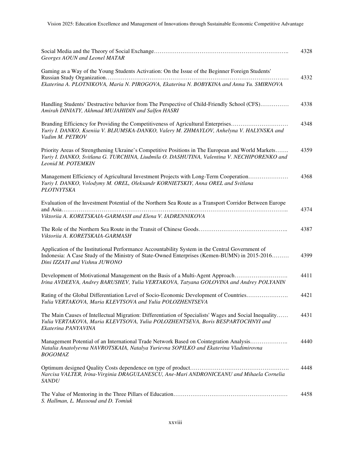| Georges AOUN and Leonel MATAR                                                                                                                                                                                                    | 4328 |
|----------------------------------------------------------------------------------------------------------------------------------------------------------------------------------------------------------------------------------|------|
| Gaming as a Way of the Young Students Activation: On the Issue of the Beginner Foreign Students'<br>Ekaterina A. PLOTNIKOVA, Maria N. PIROGOVA, Ekaterina N. BOBYKINA and Anna Yu. SMIRNOVA                                      | 4332 |
| Handling Students' Destructive behavior from The Perspective of Child-Friendly School (CFS)<br>Amirah DINIATY, Akhmad MUJAHIDIN and Salfen HASRI                                                                                 | 4338 |
| Branding Efficiency for Providing the Competitiveness of Agricultural Enterprises<br>Yuriy I. DANKO, Kseniia V. BLIUMSKA-DANKO, Valery M. ZHMAYLOV, Anhelyna V. HALYNSKA and<br>Vadim M. PETROV                                  | 4348 |
| Priority Areas of Strengthening Ukraine's Competitive Positions in The European and World Markets<br>Yuriy I. DANKO, Svitlana G. TURCHINA, Liudmila O. DASHUTINA, Valentina V. NECHIPORENKO and<br>Leonid M. POTEMKIN            | 4359 |
| Management Efficiency of Agricultural Investment Projects with Long-Term Cooperation<br>Yuriy I. DANKO, Volodymy M. OREL, Oleksandr KORNIETSKIY, Anna OREL and Svitlana<br>PLOTNYTSKA                                            | 4368 |
| Evaluation of the Investment Potential of the Northern Sea Route as a Transport Corridor Between Europe                                                                                                                          | 4374 |
| Viktoriia A. KORETSKAIA-GARMASH and Elena V. IADRENNIKOVA                                                                                                                                                                        |      |
| Viktoriia A. KORETSKAIA-GARMASH                                                                                                                                                                                                  | 4387 |
| Application of the Institutional Performance Accountability System in the Central Government of<br>Indonesia: A Case Study of the Ministry of State-Owned Enterprises (Kemen-BUMN) in 2015-2016<br>Dini IZZATI and Vishnu JUWONO | 4399 |
| Development of Motivational Management on the Basis of a Multi-Agent Approach<br>Irina AVDEEVA, Andrey BARUSHEV, Yulia VERTAKOVA, Tatyana GOLOVINA and Andrey POLYANIN                                                           | 4411 |
| Rating of the Global Differentiation Level of Socio-Economic Development of Countries<br>Yulia VERTAKOVA, Maria KLEVTSOVA and Yulia POLOZHENTSEVA                                                                                | 4421 |
| The Main Causes of Intellectual Migration: Differentiation of Specialists' Wages and Social Inequality<br>Yulia VERTAKOVA, Maria KLEVTSOVA, Yulia POLOZHENTSEVA, Boris BESPARTOCHNYI and<br>Ekaterina PANYAVINA                  | 4431 |
| Management Potential of an International Trade Network Based on Cointegration Analysis<br>Natalia Anatolyevna NAVROTSKAIA, Natalya Yurievna SOPILKO and Ekaterina Vladimirovna<br><b>BOGOMAZ</b>                                 | 4440 |
| Narcisa VALTER, Irina-Virginia DRAGULANESCU, Ane-Mari ANDRONICEANU and Mihaela Cornelia<br><b>SANDU</b>                                                                                                                          | 4448 |
| S. Hallman, L. Massoud and D. Tomiuk                                                                                                                                                                                             | 4458 |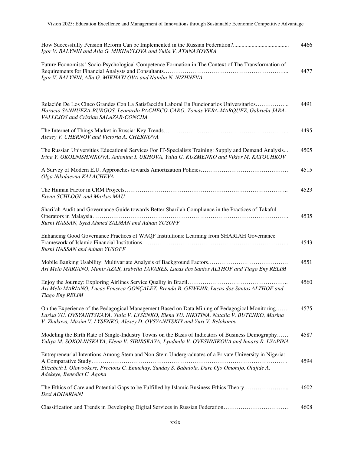| Igor V. BALYNIN and Alla G. MIKHAYLOVA and Yulia V. ATANASOVSKA                                                                                                                                                                                                            | 4466 |
|----------------------------------------------------------------------------------------------------------------------------------------------------------------------------------------------------------------------------------------------------------------------------|------|
| Future Economists' Socio-Psychological Competence Formation in The Context of The Transformation of<br>Igor V. BALYNIN, Alla G. MIKHAYLOVA and Natalia N. NIZHNEVA                                                                                                         | 4477 |
| Relación De Los Cinco Grandes Con La Satisfacción Laboral En Funcionarios Universitarios<br>Horacio SANHUEZA-BURGOS, Leonardo PACHECO-CARO, Tomás VERA-MARQUEZ, Gabriela JARA-<br>VALLEJOS and Cristian SALAZAR-CONCHA                                                     | 4491 |
| Alexey V. CHERNOV and Victoria A. CHERNOVA                                                                                                                                                                                                                                 | 4495 |
| The Russian Universities Educational Services For IT-Specialists Training: Supply and Demand Analysis<br>Irina Y. OKOLNISHNIKOVA, Antonina I. UKHOVA, Yulia G. KUZMENKO and Viktor M. KATOCHKOV                                                                            | 4505 |
| Olga Nikolaevna KALACHEVA                                                                                                                                                                                                                                                  | 4515 |
| Erwin SCHLÖGL and Markus MAU                                                                                                                                                                                                                                               | 4523 |
| Shari'ah Audit and Governance Guide towards Better Shari'ah Compliance in the Practices of Takaful<br>Rusni HASSAN, Syed Ahmed SALMAN and Adnan YUSOFF                                                                                                                     | 4535 |
| Enhancing Good Governance Practices of WAQF Institutions: Learning from SHARIAH Governance<br>Rusni HASSAN and Adnan YUSOFF                                                                                                                                                | 4543 |
| Ari Melo MARIANO, Munir AZAR, Isabella TAVARES, Lucas dos Santos ALTHOF and Tiago Eny RELIM                                                                                                                                                                                | 4551 |
| Ari Melo MARIANO, Lucas Fonseca GONÇALEZ, Brenda B. GEWEHR, Lucas dos Santos ALTHOF and<br>Tiago Eny RELIM                                                                                                                                                                 | 4560 |
| On the Experience of the Pedagogical Management Based on Data Mining of Pedagogical Monitoring<br>Larisa YU. OVSYANITSKAYA, Yulia V. LYSENKO, Elena YU. NIKITINA, Natalia V. BUTENKO, Marina<br>V. Zhukova, Maxim V. LYSENKO, Alexey D. OVSYANITSKIY and Yuri V. Belokonov | 4575 |
| Modeling the Birth Rate of Single-Industry Towns on the Basis of Indicators of Business Demography<br>Yuliya M. SOKOLINSKAYA, Elena V. SIBIRSKAYA, Lyudmila V. OVESHNIKOVA and Innara R. LYAPINA                                                                           | 4587 |
| Entrepreneurial Intentions Among Stem and Non-Stem Undergraduates of a Private University in Nigeria:<br>Elizabeth I. Olowookere, Precious C. Emuchay, Sunday S. Babalola, Dare Ojo Omonijo, Olujide A.<br>Adekeye, Benedict C. Agoha                                      | 4594 |
| The Ethics of Care and Potential Gaps to be Fulfilled by Islamic Business Ethics Theory<br>Desi ADHARIANI                                                                                                                                                                  | 4602 |
| Classification and Trends in Developing Digital Services in Russian Federation                                                                                                                                                                                             | 4608 |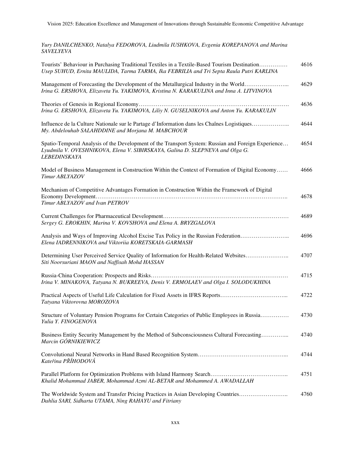*Yury DANILCHENKO, Natalya FEDOROVA, Liudmila IUSHKOVA, Evgenia KOREPANOVA and Marina SAVELYEVA* 

| Tourists' Behaviour in Purchasing Traditional Textiles in a Textile-Based Tourism Destination<br>Usep SUHUD, Ernita MAULIDA, Tarma TARMA, Ika FEBRILIA and Tri Septa Raula Putri KARLINA                   | 4616 |
|------------------------------------------------------------------------------------------------------------------------------------------------------------------------------------------------------------|------|
| Management of Forecasting the Development of the Metallurgical Industry in the World<br>Irina G. ERSHOVA, Elizaveta Yu. YAKIMOVA, Kristina N. KARAKULINA and Inna A. LITVINOVA                             | 4629 |
| Irina G. ERSHOVA, Elizaveta Yu. YAKIMOVA, Liliy N. GUSELNIKOVA and Anton Yu. KARAKULIN                                                                                                                     | 4636 |
| Influence de la Culture Nationale sur le Partage d'Information dans les Chaînes Logistiques<br>My. Abdelouhab SALAHDDINE and Morjana M. MABCHOUR                                                           | 4644 |
| Spatio-Temporal Analysis of the Development of the Transport System: Russian and Foreign Experience<br>Lyudmila V. OVESHNIKOVA, Elena V. SIBIRSKAYA, Galina D. SLEPNEVA and Olga G.<br><b>LEBEDINSKAYA</b> | 4654 |
| Model of Business Management in Construction Within the Context of Formation of Digital Economy<br>Timur ABLYAZOV                                                                                          | 4666 |
| Mechanism of Competitive Advantages Formation in Construction Within the Framework of Digital<br>Timur ABLYAZOV and Ivan PETROV                                                                            | 4678 |
| Sergey G. EROKHIN, Marina V. KOVSHOVA and Elena A. BRYZGALOVA                                                                                                                                              | 4689 |
| Analysis and Ways of Improving Alcohol Excise Tax Policy in the Russian Federation<br>Elena IADRENNIKOVA and Viktoriia KORETSKAIA-GARMASH                                                                  | 4696 |
| Determining User Perceived Service Quality of Information for Health-Related Websites<br>Siti Noorsuriani MAON and Naffisah Mohd HASSAN                                                                    | 4707 |
| Irina V. MINAKOVA, Tatyana N. BUKREEVA, Denis V. ERMOLAEV and Olga I. SOLODUKHINA                                                                                                                          | 4715 |
| Practical Aspects of Useful Life Calculation for Fixed Assets in IFRS Reports<br>Tatyana Viktorovna MOROZOVA                                                                                               | 4722 |
| Structure of Voluntary Pension Programs for Certain Categories of Public Employees in Russia<br>Yulia Y. FINOGENOVA                                                                                        | 4730 |
| Business Entity Security Management by the Method of Subconsciousness Cultural Forecasting<br>Marcin GÓRNIKIEWICZ                                                                                          | 4740 |
| Kateřina PŘÍHODOVÁ                                                                                                                                                                                         | 4744 |
| Khalid Mohammad JABER, Mohammad Azmi AL-BETAR and Mohammed A. AWADALLAH                                                                                                                                    | 4751 |
| The Worldwide System and Transfer Pricing Practices in Asian Developing Countries<br>Dahlia SARI, Sidharta UTAMA, Ning RAHAYU and Fitriany                                                                 | 4760 |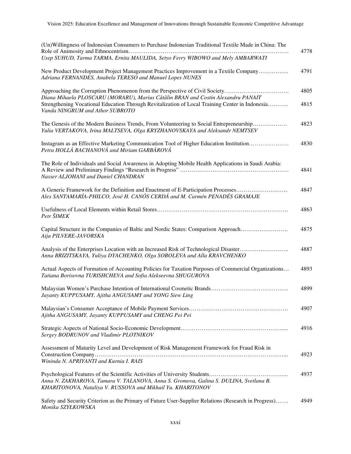| (Un) Willingness of Indonesian Consumers to Purchase Indonesian Traditional Textile Made in China: The<br>Usep SUHUD, Tarma TARMA, Ernita MAULIDA, Setyo Ferry WIBOWO and Mely AMBARWATI                                                                                                              | 4778         |
|-------------------------------------------------------------------------------------------------------------------------------------------------------------------------------------------------------------------------------------------------------------------------------------------------------|--------------|
| New Product Development Project Management Practices Improvement in a Textile Company<br>Adriana FERNANDES, Anabela TERESO and Manuel Lopes NUNES                                                                                                                                                     | 4791         |
| Approaching the Corruption Phenomenon from the Perspective of Civil Society<br>Diana Mihaela PLOSCARU (MORARU), Marius Cătălin BRAN and Costin Alexandru PANAIT<br>Strengthening Vocational Education Through Revitalization of Local Training Center in Indonesia<br>Vanda NINGRUM and Athor SUBROTO | 4805<br>4815 |
| The Genesis of the Modern Business Trends, From Volunteering to Social Entrepreneurship<br>Yulia VERTAKOVA, Irina MALTSEVA, Olga KRYZHANOVSKAYA and Aleksandr NEMTSEV                                                                                                                                 | 4823         |
| Instagram as an Effective Marketing Communication Tool of Higher Education Institution<br>Petra HOLLÁ BACHANOVÁ and Miriam GARBÁROVÁ                                                                                                                                                                  | 4830         |
| The Role of Individuals and Social Awareness in Adopting Mobile Health Applications in Saudi Arabia:<br>Nasser ALJOHANI and Daniel CHANDRAN                                                                                                                                                           | 4841         |
| A Generic Framework for the Definition and Enactment of E-Participation Processes<br>Alex SANTAMARÍA-PHILCO, José H. CANÓS CERDÁ and M. Carmén PENADÉS GRAMAJE                                                                                                                                        | 4847         |
| Petr ŠIMEK                                                                                                                                                                                                                                                                                            | 4863         |
| Capital Structure in the Companies of Baltic and Nordic States: Comparison Approach<br>Aija PILVERE-JAVORSKA                                                                                                                                                                                          | 4875         |
| Analysis of the Enterprises Location with an Increased Risk of Technological Disaster<br>Anna BRIZITSKAYA, Yuliya DYACHENKO, Olga SOBOLEVA and Alla KRAVCHENKO                                                                                                                                        | 4887         |
| Actual Aspects of Formation of Accounting Policies for Taxation Purposes of Commercial Organizations<br>Tatiana Borisovna TURISHCHEVA and Sofia Alekseevna SHUGUROVA                                                                                                                                  | 4893         |
| Jayanty KUPPUSAMY, Ajitha ANGUSAMY and YONG Siew Ling                                                                                                                                                                                                                                                 | 4899         |
| Ajitha ANGUSAMY, Jayanty KUPPUSAMY and CHENG Pei Pei                                                                                                                                                                                                                                                  | 4907         |
| Sergey BODRUNOV and Vladimir PLOTNIKOV                                                                                                                                                                                                                                                                | 4916         |
| Assessment of Maturity Level and Development of Risk Management Framework for Fraud Risk in<br>Wininda N. APRIYANTI and Kurnia I. RAIS                                                                                                                                                                | 4923         |
| Anna N. ZAKHAROVA, Tamara V. TALANOVA, Anna S. Gromova, Galina S. DULINA, Svetlana B.<br>KHARITONOVA, Nataliya V. RUSSOVA and Mikhail Yu. KHARITONOV                                                                                                                                                  | 4937         |
| Safety and Security Criterion as the Primary of Future User-Supplier Relations (Research in Progress)<br>Monika SZYŁKOWSKA                                                                                                                                                                            | 4949         |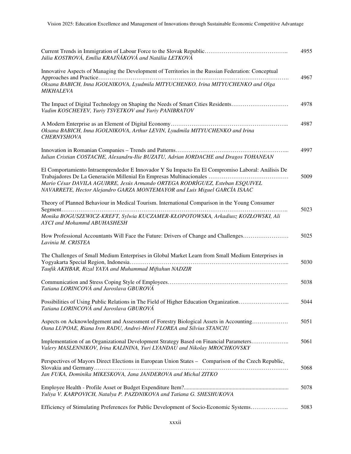| Júlia KOSTROVÁ, Emília KRAJŇÁKOVÁ and Natália LETKOVÁ                                                                                                                                   | 4955 |
|-----------------------------------------------------------------------------------------------------------------------------------------------------------------------------------------|------|
| Innovative Aspects of Managing the Development of Territories in the Russian Federation: Conceptual<br>Oksana BABICH, Inna IGOLNIKOVA, Lyudmila MITYUCHENKO, Irina MITYUCHENKO and Olga | 4967 |
| MIKHALEVA                                                                                                                                                                               |      |
| The Impact of Digital Technology on Shaping the Needs of Smart Cities Residents<br>Vadim KOSCHEYEV, Yuriy TSVETKOV and Yuriy PANIBRATOV                                                 | 4978 |
| Oksana BABICH, Inna IGOLNIKOVA, Arthur LEVIN, Lyudmila MITYUCHENKO and Irina<br><b>CHERNYSHOVA</b>                                                                                      | 4987 |
| Iulian Cristian COSTACHE, Alexandru-Ilie BUZATU, Adrian IORDACHE and Dragos TOHANEAN                                                                                                    | 4997 |
| El Comportamiento Intraemprendedor E Innovador Y Su Impacto En El Compromiso Laboral: Análisis De                                                                                       | 5009 |
| Mario César DAVILA AGUIRRE, Jesús Armando ORTEGA RODRÍGUEZ, Esteban ESQUIVEL<br>NAVARRETE, Hector Alejandro GARZA MONTEMAYOR and Luis Miguel GARCÍA ISAAC                               |      |
| Theory of Planned Behaviour in Medical Tourism. International Comparison in the Young Consumer                                                                                          | 5023 |
| Monika BOGUSZEWICZ-KREFT, Sylwia KUCZAMER-KŁOPOTOWSKA, Arkadiusz KOZŁOWSKI, Ali<br>AYCI and Mohammd ABUHASHESH                                                                          |      |
| How Professional Accountants Will Face the Future: Drivers of Change and Challenges<br>Lavinia M. CRISTEA                                                                               | 5025 |
| The Challenges of Small Medium Enterprises in Global Market Learn from Small Medium Enterprises in<br>Taufik AKHBAR, Rizal YAYA and Muhammad Miftahun NADZIR                            | 5030 |
| Tatiana LORINCOVÁ and Jaroslava GBUROVÁ                                                                                                                                                 | 5038 |
| Possibilities of Using Public Relations in The Field of Higher Education Organization<br>Tatiana LORINCOVÁ and Jaroslava GBUROVÁ                                                        | 5044 |
| Aspects on Acknowledgement and Assessment of Forestry Biological Assets in Accounting<br>Oana LUPOAE, Riana Iren RADU, Andrei-Mirel FLOREA and Silvius STANCIU                          | 5051 |
| Implementation of an Organizational Development Strategy Based on Financial Parameters<br>Valery MASLENNIKOV, Irina KALININA, Yuri LYANDAU and Nikolay MROCHKOVSKY                      | 5061 |
| Perspectives of Mayors Direct Elections in European Union States - Comparison of the Czech Republic,<br>Jan FUKA, Dominika MIKESKOVA, Jana JANDEROVA and Michal ZITKO                   | 5068 |
| Yuliya V. KARPOVICH, Natalya P. PAZDNIKOVA and Tatiana G. SHESHUKOVA                                                                                                                    | 5078 |
| Efficiency of Stimulating Preferences for Public Development of Socio-Economic Systems                                                                                                  | 5083 |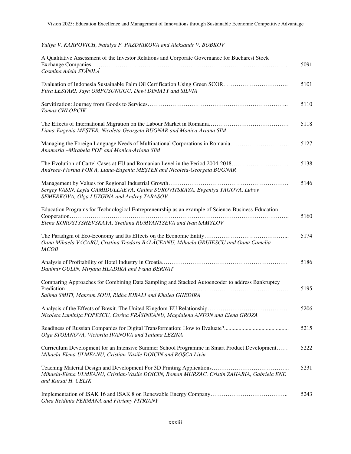## *Yuliya V. KARPOVICH, Natalya P. PAZDNIKOVA and Aleksandr V. BOBKOV*

| A Qualitative Assessment of the Investor Relations and Corporate Governance for Bucharest Stock                                                                    | 5091 |
|--------------------------------------------------------------------------------------------------------------------------------------------------------------------|------|
| Cosmina Adela STĂNILĂ                                                                                                                                              |      |
| Evaluation of Indonesia Sustainable Palm Oil Certification Using Green SCOR<br>Fitra LESTARI, Jaya OMPUSUNGGU, Dewi DINIATY and SILVIA                             | 5101 |
| Tomas CHLOPCIK                                                                                                                                                     | 5110 |
| Liana-Eugenia MEȘTER, Nicoleta-Georgeta BUGNAR and Monica-Ariana SIM                                                                                               | 5118 |
| Managing the Foreign Language Needs of Multinational Corporations in Romania<br>Anamaria -Mirabela POP and Monica-Ariana SIM                                       | 5127 |
| The Evolution of Cartel Cases at EU and Romanian Level in the Period 2004-2018<br>Andreea-Florina FOR A, Liana-Eugenia MEȘTER and Nicoleta-Georgeta BUGNAR         | 5138 |
| Sergey VASIN, Leyla GAMIDULLAEVA, Galina SUROVITSKAYA, Evgeniya YAGOVA, Lubov<br>SEMERKOVA, Olga LUZGINA and Andrey TARASOV                                        | 5146 |
| Education Programs for Technological Entrepreneurship as an example of Science-Business-Education<br>Elena KOROSTYSHEVSKAYA, Svetlana RUMYANTSEVA and Ivan SAMYLOV | 5160 |
| Oana Mihaela VĂCARU, Cristina Teodora BĂLĂCEANU, Mihaela GRUIESCU and Oana Camelia<br><b>IACOB</b>                                                                 | 5174 |
| Danimir GULIN, Mirjana HLADIKA and Ivana BERNAT                                                                                                                    | 5186 |
| Comparing Approaches for Combining Data Sampling and Stacked Autoencoder to address Bankruptcy                                                                     | 5195 |
| Salima SMITI, Makram SOUI, Ridha EJBALI and Khaled GHEDIRA                                                                                                         |      |
| Nicoleta Luminița POPESCU, Corina FRĂSINEANU, Magdalena ANTON and Elena GROZA                                                                                      | 5206 |
| Olga STOIANOVA, Victoriia IVANOVA and Tatiana LEZINA                                                                                                               | 5215 |
| Curriculum Development for an Intensive Summer School Programme in Smart Product Development<br>Mihaela-Elena ULMEANU, Cristian-Vasile DOICIN and ROȘCA Liviu      | 5222 |
| Mihaela-Elena ULMEANU, Cristian-Vasile DOICIN, Roman MURZAC, Cristin ZAHARIA, Gabriela ENE<br>and Kursat H. CELIK                                                  | 5231 |
| Ghea Reidinta PERMANA and Fitriany FITRIANY                                                                                                                        | 5243 |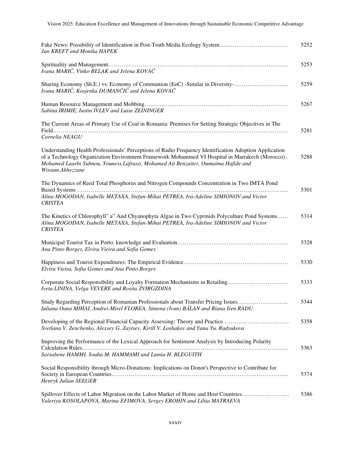| Fake News: Possibility of Identification in Post-Truth Media Ecology System<br>Jan KREFT and Monika HAPEK                                                                                                                                                                                                         | 5252 |
|-------------------------------------------------------------------------------------------------------------------------------------------------------------------------------------------------------------------------------------------------------------------------------------------------------------------|------|
| Ivana MARIĆ, Vinko BELAK and Jelena KOVAČ                                                                                                                                                                                                                                                                         | 5253 |
| Sharing Economy (Sh.E.) vs. Economy of Communion (EoC) -Similar in Diversity-<br>Ivana MARIĆ, Kosjenka DUMANČIĆ and Jelena KOVAČ                                                                                                                                                                                  | 5259 |
| Sabina IRIMIE, Iustin IVLEV and Luise ZEININGER                                                                                                                                                                                                                                                                   | 5267 |
| The Current Areas of Primary Use of Coal in Romania: Premises for Setting Strategic Objectives in The<br>Cornelia NEAGU                                                                                                                                                                                           | 5281 |
| Understanding Health Professionals' Perceptions of Radio Frequency Identification Adoption Application<br>of a Technology Organization Environment Framework Mohammed VI Hospital in Marrakech (Morocco)<br>Mohamed Laarbi Sidmou, Youness.Lafraxo, Mohamed Ait Benzaiter, Oumaima Hafide and<br>Wissam.Akhezzane | 5288 |
| The Dynamics of Reed Total Phosphorus and Nitrogen Compounds Concentration in Two IMTA Pond<br>Alina MOGODAN, Isabelle METAXA, Stefan-Mihai PETREA, Ira-Adeline SIMIONOV and Victor<br><b>CRISTEA</b>                                                                                                             | 5301 |
| The Kinetics of Chlorophyll" a" And Chyanophyta Algae in Two Cyprinids Polyculture Pond Systems<br>Alina MOGODAN, Isabelle METAXA, Stefan-Mihai PETREA, Ira-Adeline SIMIONOV and Victor<br><b>CRISTEA</b>                                                                                                         | 5314 |
| Ana Pinto Borges, Elvira Vieira and Sofia Gomes                                                                                                                                                                                                                                                                   | 5328 |
| Elvira Vieira, Sofia Gomes and Ana Pinto Borges                                                                                                                                                                                                                                                                   | 5330 |
| Corporate Social Responsibility and Loyalty Formation Mechanisms in Retailing<br>Iveta LININA, Velga VEVERE and Rosita ZVIRGZDINA                                                                                                                                                                                 | 5333 |
| Study Regarding Perception of Romanian Professionals about Transfer Pricing Issues<br>Iuliana Oana MIHAI, Andrei-Mirel FLOREA, Simona (Ivan) BĂLAN and Riana Iren RADU                                                                                                                                            | 5344 |
| Developing of the Regional Financial Capacity Assessing: Theory and Practice<br>Svetlana V. Zenchenko, Alexsey G. Zaytsev, Kirill V. Loshakov and Yana Yu. Radyukova                                                                                                                                              | 5358 |
| Improving the Performance of the Lexical Approach for Sentiment Analysis by Introducing Polarity<br>Sarsabene HAMMI, Souha M. HAMMAMI and Lamia H. BLEGUITH                                                                                                                                                       | 5363 |
| Social Responsibility through Micro-Donations: Implications on Donor's Perspective to Contribute for<br>Henryk Julian SEEGER                                                                                                                                                                                      | 5374 |
| Spillover Effects of Labor Migration on the Labor Market of Home and Host Countries<br>Valeriya KOSOLAPOVA, Marina EFIMOVA, Sergey EROHIN and Liliia MATRAEVA                                                                                                                                                     | 5386 |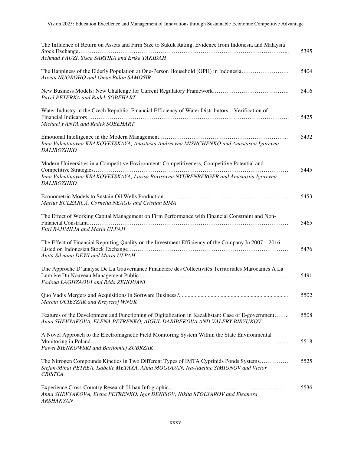| The Influence of Return on Assets and Firm Size to Sukuk Rating, Evidence from Indonesia and Malaysia                                                                                            | 5395 |
|--------------------------------------------------------------------------------------------------------------------------------------------------------------------------------------------------|------|
| Achmad FAUZI, Sisca SARTIKA and Erika TAKIDAH                                                                                                                                                    |      |
| The Happiness of the Elderly Population at One-Person Household (OPH) in Indonesia<br>Arwan NUGROHO and Omas Bulan SAMOSIR                                                                       | 5404 |
| Pavel PETERKA and Radek SOBEHART                                                                                                                                                                 | 5416 |
| Water Industry in the Czech Republic: Financial Efficiency of Water Distributors - Verification of<br>Michael FANTA and Radek SOBĚHART                                                           | 5425 |
| Inna Valentinovna KRAKOVETSKAYA, Anastasia Andreevna MISHCHENKO and Anastasiia Igorevna<br><b>DALIBOZHKO</b>                                                                                     | 5432 |
| Modern Universities in a Competitive Environment: Competitiveness, Competitive Potential and                                                                                                     |      |
| Inna Valentinovna KRAKOVETSKAYA, Larisa Borisovna NYURENBERGER and Anastasiia Igorevna<br><b>DALIBOZHKO</b>                                                                                      | 5445 |
| Marius BULEARCĂ, Cornelia NEAGU and Cristian SIMA                                                                                                                                                | 5453 |
| The Effect of Working Capital Management on Firm Performance with Financial Constraint and Non-<br>Fitri RAHMILIA and Maria ULPAH                                                                | 5465 |
| The Effect of Financial Reporting Quality on the Investment Efficiency of the Company In 2007 – 2016<br>Anita Silviana DEWI and Maria ULPAH                                                      | 5476 |
| Une Approche D'analyse De La Gouvernance Financière des Collectivités Territoriales Marocaines A La<br>Fadoua LAGHZAOUI and Réda ZEHOUANI                                                        | 5491 |
| Marcin OCIESZAK and Krzysztof WNUK                                                                                                                                                               | 5502 |
| Features of the Development and Functioning of Digitalization in Kazakhstan: Case of E-government<br>Anna SHEVYAKOVA, ELENA PETRENKO, AIGUL DARIBEKOVA AND VALERY BIRYUKOV                       | 5508 |
| A Novel Approach to the Electromagnetic Field Monitoring System Within the State Environmental<br>Pawel BIENKOWSKI and Bartlomiej ZUBRZAK                                                        | 5518 |
| The Nitrogen Compounds Kinetics in Two Different Types of IMTA Cyprinids Ponds Systems<br>Stefan-Mihai PETREA, Isabelle METAXA, Alina MOGODAN, Ira-Adeline SIMIONOV and Victor<br><b>CRISTEA</b> | 5525 |
| Anna SHEVYAKOVA, Elena PETRENKO, Igor DENISOV, Nikita STOLYAROV and Eleanora                                                                                                                     | 5536 |

*ARSHAKYAN*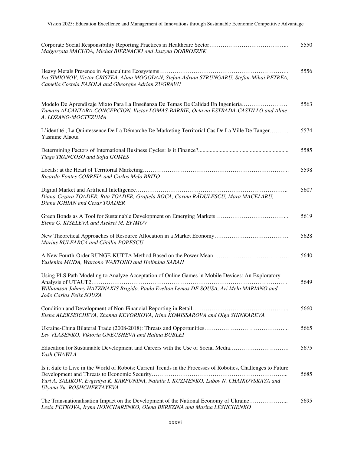| Małgorzata MACUDA, Michał BIERNACKI and Justyna DOBROSZEK                                                                                                                                                                                     | 5550 |
|-----------------------------------------------------------------------------------------------------------------------------------------------------------------------------------------------------------------------------------------------|------|
| Ira SIMIONOV, Victor CRISTEA, Alina MOGODAN, Stefan-Adrian STRUNGARU, Stefan-Mihai PETREA,<br>Camelia Costela FASOLA and Gheorghe Adrian ZUGRAVU                                                                                              | 5556 |
| Modelo De Aprendizaje Mixto Para La Enseñanza De Temas De Calidad En Ingeniería<br>Tamara ALCANTARA-CONCEPCION, Victor LOMAS-BARRIE, Octavio ESTRADA-CASTILLO and Aline<br>A. LOZANO-MOCTEZUMA                                                | 5563 |
| L'identité ; La Quintessence De La Démarche De Marketing Territorial Cas De La Ville De Tanger<br>Yasmine Alaoui                                                                                                                              | 5574 |
| Tiago TRANCOSO and Sofia GOMES                                                                                                                                                                                                                | 5585 |
| Ricardo Fontes CORREIA and Carlos Melo BRITO                                                                                                                                                                                                  | 5598 |
| Diana-Cezara TOADER, Rita TOADER, Grațiela BOCA, Corina RĂDULESCU, Mara MACELARU,<br>Diana IGHIAN and Cezar TOADER                                                                                                                            | 5607 |
| Elena G. KISELEVA and Aleksei M. EFIMOV                                                                                                                                                                                                       | 5619 |
| Marius BULEARCĂ and Cătălin POPESCU                                                                                                                                                                                                           | 5628 |
| Yuslenita MUDA, Wartono WARTONO and Holimina SARAH                                                                                                                                                                                            | 5640 |
| Using PLS Path Modeling to Analyze Acceptation of Online Games in Mobile Devices: An Exploratory<br>Analysis of UTAUT2<br>Williamson Johnny HATZINAKIS Brigido, Paulo Evelton Lemos DE SOUSA, Ari Melo MARIANO and<br>João Carlos Felix SOUZA | 5649 |
| Elena ALEKSEICHEVA, Zhanna KEVORKOVA, Irina KOMISSAROVA and Olga SHINKAREVA                                                                                                                                                                   | 5660 |
| Lev VLASENKO, Viktoria GNEUSHEVA and Halina BUBLEI                                                                                                                                                                                            | 5665 |
| Education for Sustainable Development and Careers with the Use of Social Media<br>Yash CHAWLA                                                                                                                                                 | 5675 |
| Is it Safe to Live in the World of Robots: Current Trends in the Processes of Robotics, Challenges to Future<br>Yuri A. SALIKOV, Evgeniya K. KARPUNINA, Natalia I. KUZMENKO, Lubov N. CHAIKOVSKAYA and<br>Ulyana Yu. ROSHCHEKTAYEVA           | 5685 |
| The Transnationalisation Impact on the Development of the National Economy of Ukraine<br>Lesia PETKOVA, Iryna HONCHARENKO, Olena BEREZINA and Marina LESHCHENKO                                                                               | 5695 |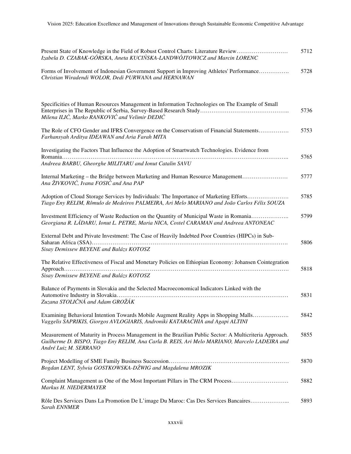| Present State of Knowledge in the Field of Robust Control Charts: Literature Review<br>Izabela D. CZABAK-GÓRSKA, Aneta KUCIŃSKA-LANDWÓJTOWICZ and Marcin LORENC                                                                   | 5712 |
|-----------------------------------------------------------------------------------------------------------------------------------------------------------------------------------------------------------------------------------|------|
| Forms of Involvement of Indonesian Government Support in Improving Athletes' Performance<br>Christian Wiradendi WOLOR, Dedi PURWANA and HERNAWAN                                                                                  | 5728 |
| Specificities of Human Resources Management in Information Technologies on The Example of Small<br>Milena ILIĆ, Marko RANKOVIĆ and Velimir DEDIĆ                                                                                  | 5736 |
| The Role of CFO Gender and IFRS Convergence on the Conservatism of Financial Statements<br>Farhansyah Arditya IDEAWAN and Aria Farah MITA                                                                                         | 5753 |
| Investigating the Factors That Influence the Adoption of Smartwatch Technologies. Evidence from<br>Andreea BARBU, Gheorghe MILITARU and Ionut Catalin SAVU                                                                        | 5765 |
| Internal Marketing – the Bridge between Marketing and Human Resource Management<br>Ana ŽIVKOVIĆ, Ivana FOSIĆ and Ana PAP                                                                                                          | 5777 |
| Adoption of Cloud Storage Services by Individuals: The Importance of Marketing Efforts<br>Tiago Eny RELIM, Rômulo de Medeiros PALMEIRA, Ari Melo MARIANO and João Carlos Félix SOUZA                                              | 5785 |
| Investment Efficiency of Waste Reduction on the Quantity of Municipal Waste in Romania<br>Georgiana R. LÁDARU, Ionut L. PETRE, Maria NICA, Costel CARAMAN and Andreea ANTONEAC                                                    | 5799 |
| External Debt and Private Investment: The Case of Heavily Indebted Poor Countries (HIPCs) in Sub-<br>Sisay Demissew BEYENE and Balázs KOTOSZ                                                                                      | 5806 |
| The Relative Effectiveness of Fiscal and Monetary Policies on Ethiopian Economy: Johansen Cointegration<br>Sisay Demissew BEYENE and Balázs KOTOSZ                                                                                | 5818 |
| Balance of Payments in Slovakia and the Selected Macroeconomical Indicators Linked with the<br>Zuzana STOLIČNÁ and Adam GROŽÁK                                                                                                    | 5831 |
| Examining Behavioral Intention Towards Mobile Augment Reality Apps in Shopping Malls<br>Vaggelis SAPRIKIS, Giorgos AVLOGIARIS, Androniki KATARACHIA and Agapi ALTINI                                                              | 5842 |
| Measurement of Maturity in Process Management in the Brazilian Public Sector: A Multicriteria Approach.<br>Guilherme D. BISPO, Tiago Eny RELIM, Ana Carla B. REIS, Ari Melo MARIANO, Marcelo LADEIRA and<br>André Luiz M. SERRANO | 5855 |
| Bogdan LENT, Sylwia GOSTKOWSKA-DŹWIG and Magdalena MROZIK                                                                                                                                                                         | 5870 |
| Complaint Management as One of the Most Important Pillars in The CRM Process<br>Markus H. NIEDERMAYER                                                                                                                             | 5882 |
| Rôle Des Services Dans La Promotion De L'image Du Maroc: Cas Des Services Bancaires<br>Sarah ENNMER                                                                                                                               | 5893 |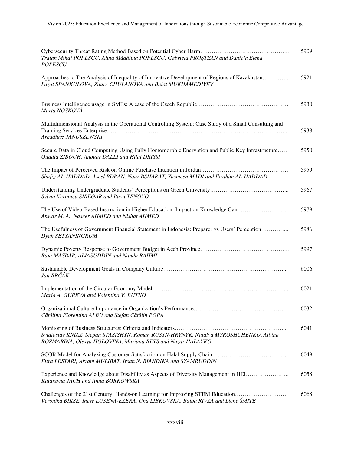| Traian Mihai POPESCU, Alina Mădălina POPESCU, Gabriela PROȘTEAN and Daniela Elena<br><b>POPESCU</b>                                                              | 5909 |
|------------------------------------------------------------------------------------------------------------------------------------------------------------------|------|
| Approaches to The Analysis of Inequality of Innovative Development of Regions of Kazakhstan<br>Lazat SPANKULOVA, Zaure CHULANOVA and Bulat MUKHAMEDIYEV          | 5921 |
| Marta NOSKOVÁ                                                                                                                                                    | 5930 |
| Multidimensional Analysis in the Operational Controlling System: Case Study of a Small Consulting and<br>Arkadiusz JANUSZEWSKI                                   | 5938 |
| Secure Data in Cloud Computing Using Fully Homomorphic Encryption and Public Key Infrastructure<br>Ouadia ZIBOUH, Anouar DALLI and Hilal DRISSI                  | 5950 |
| Shafig AL-HADDAD, Aseel BDRAN, Nour BSHARAT, Yasmeen MADI and Ibrahim AL-HADDAD                                                                                  | 5959 |
| Sylvia Veronica SIREGAR and Bayu TENOYO                                                                                                                          | 5967 |
| The Use of Video-Based Instruction in Higher Education: Impact on Knowledge Gain<br>Anwar M. A., Naseer AHMED and Nishat AHMED                                   | 5979 |
| The Usefulness of Government Financial Statement in Indonesia: Preparer vs Users' Perception<br>Dyah SETYANINGRUM                                                | 5986 |
| Raja MASBAR, ALIASUDDIN and Nanda RAHMI                                                                                                                          | 5997 |
| Jan BRČÁK                                                                                                                                                        | 6006 |
| Maria A. GUREVA and Valentina V. BUTKO                                                                                                                           | 6021 |
| Cătălina Florentina ALBU and Ștefan Cătălin POPA                                                                                                                 | 6032 |
| Sviatoslav KNIAZ, Stepan STASISHYN, Roman RUSYN-HRYNYK, Natalya MYROSHCHENKO, Albina<br>ROZMARINA, Olesya HOLOVINA, Mariana BETS and Nazar HALAYKO               | 6041 |
| Fitra LESTARI, Akram MULIBAT, Irsan N. RIANDIKA and SYAMRUDDIN                                                                                                   | 6049 |
| Experience and Knowledge about Disability as Aspects of Diversity Management in HEI<br>Katarzyna JACH and Anna BORKOWSKA                                         | 6058 |
| Challenges of the 21st Century: Hands-on Learning for Improving STEM Education<br>Veronika BIKSE, Inese LUSENA-EZERA, Una LIBKOVSKA, Baiba RIVZA and Liene ŠMITE | 6068 |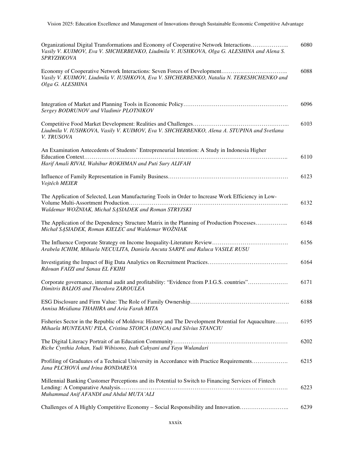| Organizational Digital Transformations and Economy of Cooperative Network Interactions<br>Vasily V. KUIMOV, Eva V. SHCHERBENKO, Liudmila V. IUSHKOVA, Olga G. ALESHINA and Alena S.<br>SPRYZHKOVA | 6080 |
|---------------------------------------------------------------------------------------------------------------------------------------------------------------------------------------------------|------|
| Vasily V. KUIMOV, Liudmila V. IUSHKOVA, Eva V. SHCHERBENKO, Natalia N. TERESHCHENKO and<br>Olga G. ALESHINA                                                                                       | 6088 |
| Sergey BODRUNOV and Vladimir PLOTNIKOV                                                                                                                                                            | 6096 |
| Liudmila V. IUSHKOVA, Vasily V. KUIMOV, Eva V. SHCHERBENKO, Alena A. STUPINA and Svetlana<br>V. TRUSOVA                                                                                           | 6103 |
| An Examination Antecedents of Students' Entrepreneurial Intention: A Study in Indonesia Higher                                                                                                    | 6110 |
| Harif Amali RIVAI, Wahibur ROKHMAN and Puti Sury ALIFAH                                                                                                                                           |      |
| Vojtěch MEIER                                                                                                                                                                                     | 6123 |
| The Application of Selected, Lean Manufacturing Tools in Order to Increase Work Efficiency in Low-<br>Waldemar WOŻNIAK, Michał SĄSIADEK and Roman STRYJSKI                                        | 6132 |
| The Application of the Dependency Structure Matrix in the Planning of Production Processes<br>Michał SĄSIADEK, Roman KIELEC and Waldemar WOŻNIAK                                                  | 6148 |
| Arabela ICHIM, Mihaela NECULITA, Daniela Ancuta SARPE and Raluca VASILE RUSU                                                                                                                      | 6156 |
| Rdouan FAIZI and Sanaa EL FKIHI                                                                                                                                                                   | 6164 |
| Corporate governance, internal audit and profitability: "Evidence from P.I.G.S. countries"<br>Dimitris BALIOS and Theodora ZAROULEA                                                               | 6171 |
| Annisa Meidiana THAHIRA and Aria Farah MITA                                                                                                                                                       | 6188 |
| Fisheries Sector in the Republic of Moldova: History and The Development Potential for Aquaculture<br>Mihaela MUNTEANU PILA, Cristina STOICA (DINCA) and Silvius STANCIU                          | 6195 |
| Riche Cynthia Johan, Yudi Wibisono, Isah Cahyani and Yayu Wulandari                                                                                                                               | 6202 |
| Profiling of Graduates of a Technical University in Accordance with Practice Requirements<br>Jana PLCHOVÁ and Irina BONDAREVA                                                                     | 6215 |
| Millennial Banking Customer Perceptions and its Potential to Switch to Financing Services of Fintech<br>Muhammad Anif AFANDI and Abdul MUTA' ALI                                                  | 6223 |
| Challenges of A Highly Competitive Economy – Social Responsibility and Innovation                                                                                                                 | 6239 |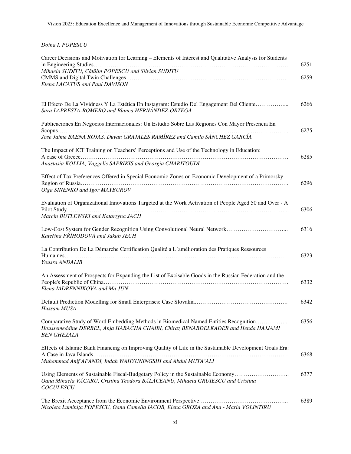*Doina I. POPESCU* 

| Career Decisions and Motivation for Learning - Elements of Interest and Qualitative Analysis for Students<br>Mihaela SUDITU, Cătălin POPESCU and Silvian SUDITU                                 | 6251 |
|-------------------------------------------------------------------------------------------------------------------------------------------------------------------------------------------------|------|
| Elena LACATUS and Paul DAVISON                                                                                                                                                                  | 6259 |
|                                                                                                                                                                                                 |      |
| El Efecto De La Vividness Y La Estética En Instagram: Estudio Del Engagement Del Cliente<br>Sara LAPRESTA-ROMERO and Blanca HERNÁNDEZ-ORTEGA                                                    | 6266 |
| Publicaciones En Negocios Internacionales: Un Estudio Sobre Las Regiones Con Mayor Presencia En                                                                                                 | 6275 |
| Jose Jaime BAENA ROJAS, Duvan GRAJALES RAMÍREZ and Camilo SÁNCHEZ GARCÍA                                                                                                                        |      |
| The Impact of ICT Training on Teachers' Perceptions and Use of the Technology in Education:<br>Anastasia KOLLIA, Vaggelis SAPRIKIS and Georgia CHARITOUDI                                       | 6285 |
| Effect of Tax Preferences Offered in Special Economic Zones on Economic Development of a Primorsky                                                                                              | 6296 |
| Olga SINENKO and Igor MAYBUROV                                                                                                                                                                  |      |
| Evaluation of Organizational Innovations Targeted at the Work Activation of People Aged 50 and Over - A<br>Marcin BUTLEWSKI and Katarzyna JACH                                                  | 6306 |
| Kateřina PŘÍHODOVÁ and Jakub JECH                                                                                                                                                               | 6316 |
| La Contribution De La Démarche Certification Qualité a L'amélioration des Pratiques Ressources<br>Yousra ANDALIB                                                                                | 6323 |
| An Assessment of Prospects for Expanding the List of Excisable Goods in the Russian Federation and the<br>Elena IADRENNIKOVA and Ma JUN                                                         | 6332 |
| Hussam MUSA                                                                                                                                                                                     | 6342 |
| Comparative Study of Word Embedding Methods in Biomedical Named Entities Recognition<br>Houssemeddine DERBEL, Anja HABACHA CHAIBI, Chiraz BENABDELKADER and Henda HAJJAMI<br><b>BEN GHEZALA</b> | 6356 |
| Effects of Islamic Bank Financing on Improving Quality of Life in the Sustainable Development Goals Era:                                                                                        | 6368 |
| Muhammad Anif AFANDI, Indah WAHYUNINGSIH and Abdul MUTA'ALI                                                                                                                                     |      |
| Using Elements of Sustainable Fiscal-Budgetary Policy in the Sustainable Economy<br>Oana Mihaela VĂCARU, Cristina Teodora BĂLĂCEANU, Mihaela GRUIESCU and Cristina<br>COCULESCU                 | 6377 |
| Nicoleta Luminița POPESCU, Oana Camelia IACOB, Elena GROZA and Ana - Maria VOLINTIRU                                                                                                            | 6389 |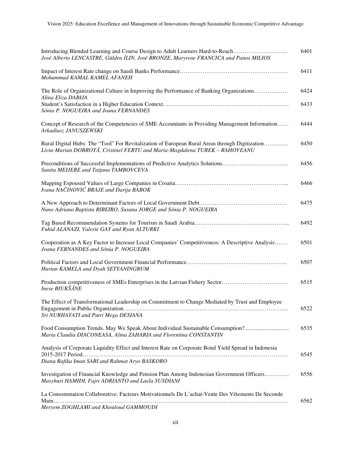| Introducing Blended Learning and Course Design to Adult Learners Hard-to-Reach<br>José Alberto LENCASTRE, Gülden İLIN, José BRONZE, Maryrose FRANCICA and Panos MILIOS        | 6401 |
|-------------------------------------------------------------------------------------------------------------------------------------------------------------------------------|------|
| Mohammad KAMAL KAMEL AFANEH                                                                                                                                                   | 6411 |
| The Role of Organizational Culture in Improving the Performance of Banking Organizations<br>Alina Eliza DABIJA                                                                | 6424 |
| Sónia P. NOGUEIRA and Joana FERNANDES                                                                                                                                         | 6433 |
| Concept of Research of the Competencies of SME Accountants in Providing Management Information<br>Arkadiusz JANUSZEWSKI                                                       | 6444 |
| Rural Digital Hubs: The "Tool" For Revitalization of European Rural Areas through Digitization<br>Liviu-Marian DOBROTĂ, Cristinel FERTU and Maria-Magdalena TUREK - RAHOVEANU | 6450 |
| Preconditions of Successful Implementations of Predictive Analytics Solutions<br>Sanita MEIJERE and Tatjana TAMBOVCEVA                                                        | 6456 |
| Ivana NAČINOVIĆ BRAJE and Darija BABOK                                                                                                                                        | 6466 |
| Nuno Adriano Baptista RIBEIRO, Susana JORGE and Sónia P. NOGUEIRA                                                                                                             | 6475 |
| Fuhid ALANAZI, Valerie GAY and Ryan ALTURKI                                                                                                                                   | 6492 |
| Cooperation as A Key Factor to Increase Local Companies' Competitiveness: A Descriptive Analysis<br>Joana FERNANDES and Sónia P. NOGUEIRA                                     | 6501 |
| Hurian KAMELA and Dyah SETYANINGRUM                                                                                                                                           | 6507 |
| Production competitiveness of SMEs Enterprises in the Latvian Fishery Sector<br><b>Inese BIUKŠĀNE</b>                                                                         | 6515 |
| The Effect of Transformational Leadership on Commitment to Change Mediated by Trust and Employee<br>Sri NURHAYATI and Putri Mega DESIANA                                      | 6522 |
| Food Consumption Trends. May We Speak About Individual Sustainable Consumption?<br>Maria Claudia DIACONEASA, Alina ZAHARIA and Florentina CONSTANTIN                          | 6535 |
| Analysis of Corporate Liquidity Effect and Interest Rate on Corporate Bond Yield Spread in Indonesia<br>Diana Rafika Iman SARI and Rahmat Aryo BASKORO                        | 6545 |
| Investigation of Financial Knowledge and Pension Plan Among Indonesian Government Officers<br>Masyhuri HAMIDI, Fajri ADRIANTO and Laela SUSDIANI                              | 6556 |
| La Consommation Collaborative: Facteurs Motivationnels De L'achat-Vente Des Vêtements De Seconde                                                                              |      |
| Meryem ZOGHLAMI and Khouloud GAMMOUDI                                                                                                                                         | 6562 |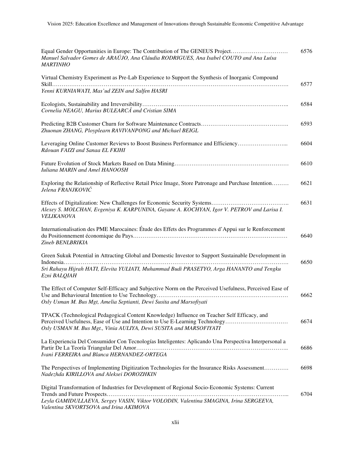| Equal Gender Opportunities in Europe: The Contribution of The GENEUS Project<br>Manuel Salvador Gomes de ARAÚJO, Ana Cláudia RODRIGUES, Ana Isabel COUTO and Ana Luísa<br><b>MARTINHO</b>                                                        | 6576 |
|--------------------------------------------------------------------------------------------------------------------------------------------------------------------------------------------------------------------------------------------------|------|
| Virtual Chemistry Experiment as Pre-Lab Experience to Support the Synthesis of Inorganic Compound<br>Yenni KURNIAWATI, Mas'ud ZEIN and Salfen HASRI                                                                                              | 6577 |
| Cornelia NEAGU, Marius BULEARCĂ and Cristian SIMA                                                                                                                                                                                                | 6584 |
| Zhuonan ZHANG, Ployplearn RAVIVANPONG and Michael BEIGL                                                                                                                                                                                          | 6593 |
| Leveraging Online Customer Reviews to Boost Business Performance and Efficiency<br>Rdouan FAIZI and Sanaa EL FKIHI                                                                                                                               | 6604 |
| Iuliana MARIN and Amel HANOOSH                                                                                                                                                                                                                   | 6610 |
| Exploring the Relationship of Reflective Retail Price Image, Store Patronage and Purchase Intention<br>Jelena FRANJKOVIĆ                                                                                                                         | 6621 |
| Alexey S. MOLCHAN, Evgeniya K. KARPUNINA, Gayane A. KOCHYAN, Igor V. PETROV and Larisa I.<br>VELIKANOVA                                                                                                                                          | 6631 |
| Internationalisation des PME Marocaines: Étude des Effets des Programmes d'Appui sur le Renforcement<br>Zineb BENLBRIKIA                                                                                                                         | 6640 |
| Green Sukuk Potential in Attracting Global and Domestic Investor to Support Sustainable Development in                                                                                                                                           | 6650 |
| Sri Rahayu Hijrah HATI, Elevita YULIATI, Muhammad Budi PRASETYO, Arga HANANTO and Tengku<br>Ezni BALQIAH                                                                                                                                         |      |
| The Effect of Computer Self-Efficacy and Subjective Norm on the Perceived Usefulness, Perceived Ease of<br>Osly Usman M. Bus Mgt, Amelia Septianti, Dewi Susita and Marsofiyati                                                                  | 6662 |
| TPACK (Technological Pedagogical Content Knowledge) Influence on Teacher Self Efficacy, and<br>Perceived Usefulness, Ease of Use and Intention to Use E-Learning Technology<br>Osly USMAN M. Bus Mgt., Vinia AULIYA, Dewi SUSITA and MARSOFIYATI | 6674 |
| La Experiencia Del Consumidor Con Tecnologías Inteligentes: Aplicando Una Perspectiva Interpersonal a<br>Ivani FERREIRA and Blanca HERNANDEZ-ORTEGA                                                                                              | 6686 |
| The Perspectives of Implementing Digitization Technologies for the Insurance Risks Assessment<br>Nadezhda KIRILLOVA and Aleksei DOROZHKIN                                                                                                        | 6698 |
| Digital Transformation of Industries for Development of Regional Socio-Economic Systems: Current<br>Leyla GAMIDULLAEVA, Sergey VASIN, Viktor VOLODIN, Valentina SMAGINA, Irina SERGEEVA,<br>Valentina SKVORTSOVA and Irina AKIMOVA               | 6704 |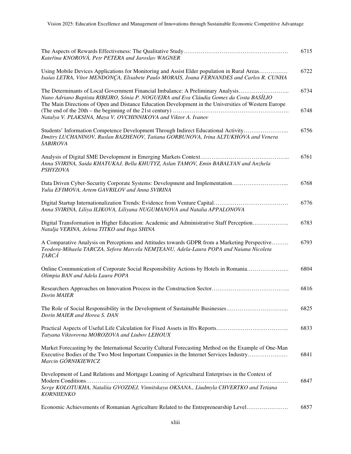| Kateřina KNOROVÁ, Petr PETERA and Jaroslav WAGNER                                                                                                                                                                                                                                                                                                     | 6715         |
|-------------------------------------------------------------------------------------------------------------------------------------------------------------------------------------------------------------------------------------------------------------------------------------------------------------------------------------------------------|--------------|
| Using Mobile Devices Applications for Monitoring and Assist Elder population in Rural Areas<br>Isaías LETRA, Vítor MENDONÇA, Elisabete Paulo MORAIS, Joana FERNANDES and Carlos R. CUNHA                                                                                                                                                              | 6722         |
| The Determinants of Local Government Financial Imbalance: A Preliminary Analysis<br>Nuno Adriano Baptista RIBEIRO, Sónia P. NOGUEIRA and Eva Cláudia Gomes da Costa BASÍLIO<br>The Main Directions of Open and Distance Education Development in the Universities of Western Europe<br>Natalya V. PLAKSINA, Maya V. OVCHINNIKOVA and Viktor A. Ivanov | 6734<br>6748 |
| Students' Information Competence Development Through Indirect Educational Activity<br>Dmitry LUCHANINOV, Ruslan BAZHENOV, Tatiana GORBUNOVA, Irina ALTUKHOVA and Venera<br><b>SABIROVA</b>                                                                                                                                                            | 6756         |
| Anna SVIRINA, Saida KHATUKAJ, Bella KHUTYZ, Aslan TAMOV, Emin BABALYAN and Anzhela<br><b>PSHYZOVA</b>                                                                                                                                                                                                                                                 | 6761         |
| Data Driven Cyber-Security Corporate Systems: Development and Implementation<br>Yulia EFIMOVA, Artem GAVRILOV and Anna SVIRINA                                                                                                                                                                                                                        | 6768         |
| Anna SVIRINA, Liliya ILIKOVA, Liliyana NUGUMANOVA and Natalia APPALONOVA                                                                                                                                                                                                                                                                              | 6776         |
| Digital Transformation in Higher Education: Academic and Administrative Staff Perception<br>Natalja VERINA, Jelena TITKO and Inga SHINA                                                                                                                                                                                                               | 6783         |
| A Comparative Analysis on Perceptions and Attitudes towards GDPR from a Marketing Perspective<br>Teodora-Mihaela TARCZA, Sefora Marcela NEMȚEANU, Adela-Laura POPA and Naiana Nicoleta<br><b>TARCĂ</b>                                                                                                                                                | 6793         |
| Online Communication of Corporate Social Responsibility Actions by Hotels in Romania<br>Olimpia BAN and Adela Laura POPA                                                                                                                                                                                                                              | 6804         |
| <b>Dorin MAIER</b>                                                                                                                                                                                                                                                                                                                                    | 6816         |
| Dorin MAIER and Horea S. DAN                                                                                                                                                                                                                                                                                                                          | 6825         |
| Practical Aspects of Useful Life Calculation for Fixed Assets in Ifrs Reports<br>Tatyana Viktorovna MOROZOVA and Liubov LEHOUX                                                                                                                                                                                                                        | 6833         |
| Market Forecasting by the International Security Cultural Forecasting Method on the Example of One-Man<br>Executive Bodies of the Two Most Important Companies in the Internet Services Industry<br>Marcin GÓRNIKIEWICZ                                                                                                                               | 6841         |
| Development of Land Relations and Mortgage Loaning of Agricultural Enterprises in the Context of                                                                                                                                                                                                                                                      |              |
| Serge KOLOTUKHA, Nataliia GVOZDEJ, Vinnitskaya OKSANA., Liudmyla CHVERTKO and Tetiana<br><b>KORNIIENKO</b>                                                                                                                                                                                                                                            | 6847         |
| Economic Achievements of Romanian Agriculture Related to the Entrepreneurship Level                                                                                                                                                                                                                                                                   | 6857         |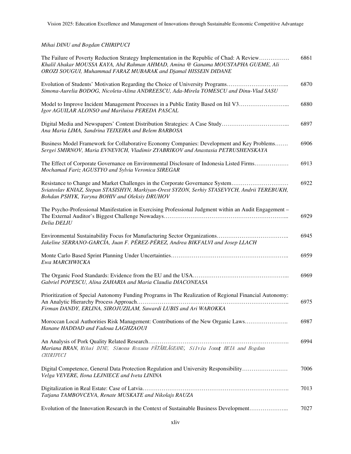*Mihai DINU and Bogdan CHIRIPUCI* 

| The Failure of Poverty Reduction Strategy Implementation in the Republic of Chad: A Review<br>Khalil Abakar MOUSSA KAYA, Abd Rahman AHMAD, Amina @ Ganama MOUSTAPHA GUEME, Ali<br>OROZI SOUGUI, Muhammad FARAZ MUBARAK and Djamal HISSEIN DIDANE | 6861 |
|--------------------------------------------------------------------------------------------------------------------------------------------------------------------------------------------------------------------------------------------------|------|
| Evolution of Students' Motivation Regarding the Choice of University Programs<br>Simona-Aurelia BODOG, Nicoleta-Alina ANDREESCU, Ada-Mirela TOMESCU and Dinu-Vlad SASU                                                                           | 6870 |
| Model to Improve Incident Management Processes in a Public Entity Based on Itil V3<br>Igor AGUILAR ALONSO and Mariluisa PEREDA PASCAL                                                                                                            | 6880 |
| Digital Media and Newspapers' Content Distribution Strategies: A Case Study<br>Ana Maria LIMA, Sandrina TEIXEIRA and Belem BARBOSA                                                                                                               | 6897 |
| Business Model Framework for Collaborative Economy Companies: Development and Key Problems<br>Sergei SMIRNOV, Maria EVNEVICH, Vladimir ZYABRIKOV and Anastasia PETRUSHENSKAYA                                                                    | 6906 |
| The Effect of Corporate Governance on Environmental Disclosure of Indonesia Listed Firms<br>Mochamad Fariz AGUSTYO and Sylvia Veronica SIREGAR                                                                                                   | 6913 |
| Resistance to Change and Market Challenges in the Corporate Governance System<br>Sviatoslav KNIAZ, Stepan STASISHYN, Markiyan-Orest SYZON, Serhiy STASEVYCH, Andrii TEREBUKH,<br>Bohdan PSHYK, Yaryna BOHIV and Oleksiy DRUHOV                   | 6922 |
| The Psycho-Professional Manifestation in Exercising Professional Judgment within an Audit Engagement -<br>Delia DELIU                                                                                                                            | 6929 |
| Jakeline SERRANO-GARCÍA, Juan F. PÉREZ-PÉREZ, Andrea BIKFALVI and Josep LLACH                                                                                                                                                                    | 6945 |
| Ewa MARCHWICKA                                                                                                                                                                                                                                   | 6959 |
| Gabriel POPESCU, Alina ZAHARIA and Maria Claudia DIACONEASA                                                                                                                                                                                      | 6969 |
| Prioritization of Special Autonomy Funding Programs in The Realization of Regional Financial Autonomy:<br>Firman DANDY, ERLINA, SIROJUZILAM, Suwardi LUBIS and Ari WAROKKA                                                                       | 6975 |
| Moroccan Local Authorities Risk Management: Contributions of the New Organic Laws<br>Hanane HADDAD and Fadoua LAGHZAOUI                                                                                                                          | 6987 |
| Mariana BRAN, Mihai DINU, Simona Roxana PĂTĂRLĂGEANU, Silviu Ionut BEIA and Bogdan<br>CHIRIPUCI                                                                                                                                                  | 6994 |
| Digital Competence, General Data Protection Regulation and University Responsibility<br>Velga VEVERE, Ilona LEJNIECE and Iveta LININA                                                                                                            | 7006 |
| Tatjana TAMBOVCEVA, Renate MUSKATE and Nikolajs RAUZA                                                                                                                                                                                            | 7013 |
| Evolution of the Innovation Research in the Context of Sustainable Business Development                                                                                                                                                          | 7027 |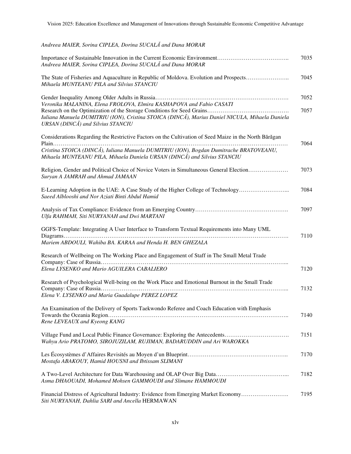*Andreea MAIER, Sorina CIPLEA, Dorina SUCALĂ and Dana MORAR* 

| Andreea MAIER, Sorina CIPLEA, Dorina SUCALĂ and Dana MORAR                                                                                                         | 7035 |
|--------------------------------------------------------------------------------------------------------------------------------------------------------------------|------|
| The State of Fisheries and Aquaculture in Republic of Moldova. Evolution and Prospects<br>Mihaela MUNTEANU PILA and Silvius STANCIU                                | 7045 |
| Veronika MALANINA, Elena FROLOVA, Elmira KASHAPOVA and Fabio CASATI                                                                                                | 7052 |
| Iuliana Manuela DUMITRIU (ION), Cristina STOICA (DINCĂ), Marius Daniel NICULA, Mihaela Daniela<br>URSAN (DINCĂ) and Silvius STANCIU                                | 7057 |
| Considerations Regarding the Restrictive Factors on the Cultivation of Seed Maize in the North Bărăgan                                                             | 7064 |
| Cristina STOICA (DINCĂ), Iuliana Manuela DUMITRIU (ION), Bogdan Dumitrache BRATOVEANU,<br>Mihaela MUNTEANU PILA, Mihaela Daniela URSAN (DINCĂ) and Silvius STANCIU |      |
| Religion, Gender and Political Choice of Novice Voters in Simultaneous General Election<br>Suryan A JAMRAH and Ahmad JAMAAN                                        | 7073 |
| E-Learning Adoption in the UAE: A Case Study of the Higher College of Technology<br>Saeed Alblooshi and Nor Aziati Binti Abdul Hamid                               | 7084 |
| Ulfa RAHMAH, Siti NURYANAH and Dwi MARTANI                                                                                                                         | 7097 |
| GGFS-Template: Integrating A User Interface to Transform Textual Requirements into Many UML                                                                        | 7110 |
| Mariem ABDOULI, Wahiba BA. KARAA and Henda H. BEN GHEZALA                                                                                                          |      |
| Research of Wellbeing on The Working Place and Engagement of Staff in The Small Metal Trade                                                                        |      |
| Elena LYSENKO and Mario AGUILERA CABALIERO                                                                                                                         | 7120 |
| Research of Psychological Well-being on the Work Place and Emotional Burnout in the Small Trade                                                                    | 7132 |
| Elena V. LYSENKO and Maria Guadalupe PEREZ LOPEZ                                                                                                                   |      |
| An Examination of the Delivery of Sports Taekwondo Referee and Coach Education with Emphasis                                                                       | 7140 |
| Rene LEVEAUX and Kyeong KANG                                                                                                                                       |      |
| Village Fund and Local Public Finance Governance: Exploring the Antecedents<br>Wahyu Ario PRATOMO, SIROJUZILAM, RUJIMAN, BADARUDDIN and Ari WAROKKA                | 7151 |
| Mostafa ABAKOUY, Hamid HOUSNI and Ibtissam SLIMANI                                                                                                                 | 7170 |
| Asma DHAOUADI, Mohamed Mohsen GAMMOUDI and Slimane HAMMOUDI                                                                                                        | 7182 |
| Financial Distress of Agricultural Industry: Evidence from Emerging Market Economy<br>Siti NURYANAH, Dahlia SARI and Ancella HERMAWAN                              | 7195 |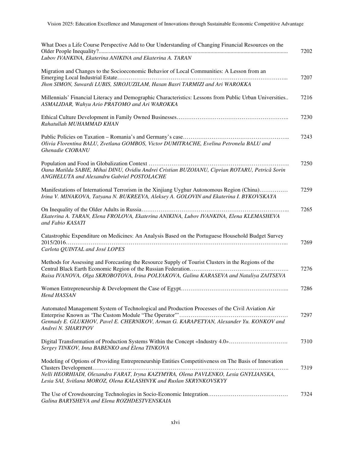| What Does a Life Course Perspective Add to Our Understanding of Changing Financial Resources on the                                                                                                            |
|----------------------------------------------------------------------------------------------------------------------------------------------------------------------------------------------------------------|
| Lubov IVANKINA, Ekaterina ANIKINA and Ekaterina A. TARAN                                                                                                                                                       |
| Migration and Changes to the Socioeconomic Behavior of Local Communities: A Lesson from an                                                                                                                     |
| Jhon SIMON, Suwardi LUBIS, SIROJUZILAM, Hasan Basri TARMIZI and Ari WAROKKA                                                                                                                                    |
| Millennials' Financial Literacy and Demographic Characteristics: Lessons from Public Urban Universities<br>ASMALIDAR, Wahyu Ario PRATOMO and Ari WAROKKA                                                       |
| Rahatullah MUHAMMAD KHAN                                                                                                                                                                                       |
| Olivia Florentina BALU, Zvetlana GOMBOS, Victor DUMITRACHE, Evelina Petronela BALU and<br>Ghenadie CIOBANU                                                                                                     |
| Oana Matilda SABIE, Mihai DINU, Ovidiu Andrei Cristian BUZOIANU, Ciprian ROTARU, Petrică Sorin<br>ANGHELUTA and Alexandru Gabriel POSTOLACHE                                                                   |
| Manifestations of International Terrorism in the Xinjiang Uyghur Autonomous Region (China)<br>Irina V. MINAKOVA, Tatyana N. BUKREEVA, Aleksey A. GOLOVIN and Ekaterina I. BYKOVSKAYA                           |
| Ekaterina A. TARAN, Elena FROLOVA, Ekaterina ANIKINA, Lubov IVANKINA, Elena KLEMASHEVA<br>and Fabio KASATI                                                                                                     |
| Catastrophic Expenditure on Medicines: An Analysis Based on the Portuguese Household Budget Survey<br>Carlota QUINTAL and José LOPES                                                                           |
| Methods for Assessing and Forecasting the Resource Supply of Tourist Clusters in the Regions of the<br>Raisa IVANOVA, Olga SKROBOTOVA, Irina POLYAKOVA, Galina KARASEVA and Nataliya ZAITSEVA                  |
| Hend HASSAN                                                                                                                                                                                                    |
| Automated Management System of Technological and Production Processes of the Civil Aviation Air<br>Gennady E. GLUKHOV, Pavel E. CHERNIKOV, Arman G. KARAPETYAN, Alexander Yu. KONKOV and<br>Andrei N. SHARYPOV |
| Digital Transformation of Production Systems Within the Concept «Industry 4.0»<br>Sergey TINKOV, Inna BABENKO and Elena TINKOVA                                                                                |
| Modeling of Options of Providing Entrepreneurship Entities Competitiveness on The Basis of Innovation                                                                                                          |
| Nelli HEORHIADI, Olexandra FARAT, Iryna KAZYMYRA, Olena PAVLENKO, Lesia GNYLIANSKA,<br>Lesia SAI, Svitlana MOROZ, Olena KALASHNYK and Ruslan SKRYNKOVSKYY                                                      |
| Galina BARYSHEVA and Elena ROZHDESTVENSKAIA                                                                                                                                                                    |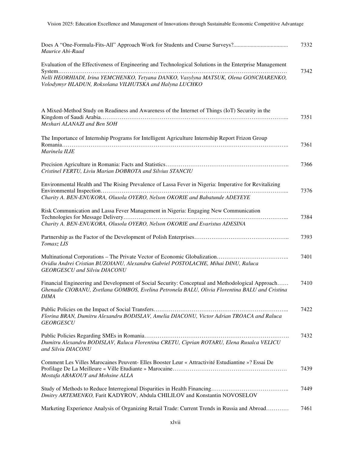| Maurice Abi-Raad                                                                                                                                                                                           | 7332 |
|------------------------------------------------------------------------------------------------------------------------------------------------------------------------------------------------------------|------|
| Evaluation of the Effectiveness of Engineering and Technological Solutions in the Enterprise Management                                                                                                    | 7342 |
| Nelli HEORHIADI, Irina YEMCHENKO, Tetyana DANKO, Vasylyna MATSUK, Olena GONCHARENKO,<br>Volodymyr HLADUN, Roksolana VILHUTSKA and Halyna LUCHKO                                                            |      |
| A Mixed-Method Study on Readiness and Awareness of the Internet of Things (IoT) Security in the<br>Meshari ALANAZI and Ben SOH                                                                             | 7351 |
| The Importance of Internship Programs for Intelligent Agriculture Internship Report Frizon Group<br>Marinela ILIE                                                                                          | 7361 |
| Cristinel FERTU, Liviu Marian DOBROTA and Silvius STANCIU                                                                                                                                                  | 7366 |
| Environmental Health and The Rising Prevalence of Lassa Fever in Nigeria: Imperative for Revitalizing<br>Charity A. BEN-ENUKORA, Olusola OYERO, Nelson OKORIE and Babatunde ADEYEYE                        | 7376 |
| Risk Communication and Lassa Fever Management in Nigeria: Engaging New Communication<br>Charity A. BEN-ENUKORA, Olusola OYERO, Nelson OKORIE and Evaristus ADESINA                                         | 7384 |
| Tomasz LIS                                                                                                                                                                                                 | 7393 |
| Ovidiu Andrei Cristian BUZOIANU, Alexandru Gabriel POSTOLACHE, Mihai DINU, Raluca<br><b>GEORGESCU</b> and Silviu DIACONU                                                                                   | 7401 |
| Financial Engineering and Development of Social Security: Conceptual and Methodological Approach<br>Ghenadie CIOBANU, Zvetlana GOMBOS, Evelina Petronela BALU, Olivia Florentina BALU and Cristina<br>DIMA | 7410 |
| Florina BRAN, Dumitru Alexandru BODISLAV, Amelia DIACONU, Victor Adrian TROACA and Raluca<br><b>GEORGESCU</b>                                                                                              | 7422 |
| Dumitru Alexandru BODISLAV, Raluca Florentina CRETU, Ciprian ROTARU, Elena Rusalca VELICU<br>and Silviu DIACONU                                                                                            | 7432 |
| Comment Les Villes Marocaines Peuvent- Elles Booster Leur « Attractivité Estudiantine »? Essai De<br>Mostafa ABAKOUY and Mohsine ALLA                                                                      | 7439 |
| Dmitry ARTEMENKO, Farit KADYROV, Abdula CHILILOV and Konstantin NOVOSELOV                                                                                                                                  | 7449 |
| Marketing Experience Analysis of Organizing Retail Trade: Current Trends in Russia and Abroad                                                                                                              | 7461 |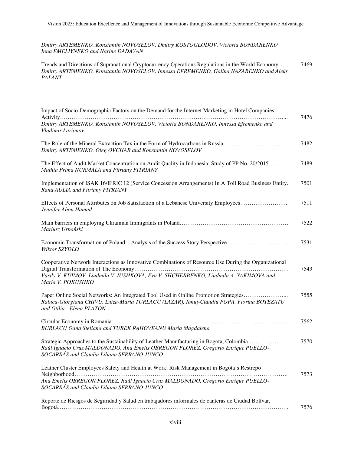*Dmitry ARTEMENKO, Konstantin NOVOSELOV, Dmitry KOSTOGLODOV, Victoria BONDARENKO Inna EMELIYNEKO and Narine DADAYAN* 

Trends and Directions of Supranational Cryptocurrency Operations Regulations in the World Economy…... *Dmitry ARTEMENKO, Konstantin NOVOSELOV, Innessa EFREMENKO, Galina NAZARENKO and Aleks PALANT*  7469

| Impact of Socio-Demographic Factors on the Demand for the Internet Marketing in Hotel Companies                                                                                                                             |      |
|-----------------------------------------------------------------------------------------------------------------------------------------------------------------------------------------------------------------------------|------|
| Dmitry ARTEMENKO, Konstantin NOVOSELOV, Victoria BONDARENKO, Innessa Efremenko and<br>Vladimir Larionov                                                                                                                     | 7476 |
| The Role of the Mineral Extraction Tax in the Form of Hydrocarbons in Russia<br>Dmitry ARTEMENKO, Oleg OVCHAR and Konstantin NOVOSELOV                                                                                      | 7482 |
| The Effect of Audit Market Concentration on Audit Quality in Indonesia: Study of PP No. 20/2015<br>Muthia Prima NURMALA and Fitriany FITRIANY                                                                               | 7489 |
| Implementation of ISAK 16/IFRIC 12 (Service Concession Arrangements) In A Toll Road Business Entity.<br>Rana AULIA and Fitriany FITRIANY                                                                                    | 7501 |
| Effects of Personal Attributes on Job Satisfaction of a Lebanese University Employees<br>Jennifer Abou Hamad                                                                                                                | 7511 |
| Mariusz Urbański                                                                                                                                                                                                            | 7522 |
| Economic Transformation of Poland – Analysis of the Success Story Perspective<br>Wiktor SZYDLO                                                                                                                              | 7531 |
| Cooperative Network Interactions as Innovative Combinations of Resource Use During the Organizational<br>Vasily V. KUIMOV, Liudmila V. IUSHKOVA, Eva V. SHCHERBENKO, Liudmila A. YAKIMOVA and<br>Maria V. POKUSHKO          | 7543 |
| Paper Online Social Networks: An Integrated Tool Used in Online Promotion Strategies<br>Raluca-Giorgiana CHIVU, Luiza-Maria TURLACU (LAZĂR), Ionuț-Claudiu POPA, Florina BOTEZATU<br>and Otilia - Elena PLATON              | 7555 |
| <b>BURLACU Oana Steliana and TUREK RAHOVEANU Maria Magdalena</b>                                                                                                                                                            | 7562 |
| Strategic Approaches to the Sustainability of Leather Manufacturing in Bogota, Colombia<br>Raúl Ignacio Cruz MALDONADO, Ana Emelis OBREGON FLOREZ, Gregorio Enrique PUELLO-<br>SOCARRÁS and Claudia Liliana SERRANO JUNCO   | 7570 |
| Leather Cluster Employees Safety and Health at Work: Risk Management in Bogota's Restrepo<br>Ana Emelis OBREGON FLOREZ, Raúl Ignacio Cruz MALDONADO, Gregorio Enrique PUELLO-<br>SOCARRÁS and Claudia Liliana SERRANO JUNCO | 7573 |
| Reporte de Riesgos de Seguridad y Salud en trabajadores informales de canteras de Ciudad Bolívar,                                                                                                                           | 7576 |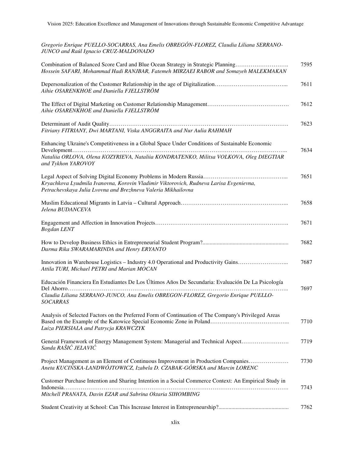| Gregorio Enrique PUELLO-SOCARRAS, Ana Emelis OBREGÓN-FLOREZ, Claudia Liliana SERRANO-<br>JUNCO and Raúl Ignacio CRUZ-MALDONADO                                          |      |
|-------------------------------------------------------------------------------------------------------------------------------------------------------------------------|------|
| Combination of Balanced Score Card and Blue Ocean Strategy in Strategic Planning<br>Hossein SAFARI, Mohammad Hadi RANJBAR, Fatemeh MIRZAEI RABOR and Somayeh MALEKMAKAN | 7595 |
| Depersonalization of the Customer Relationship in the age of Digitalization<br>Aihie OSARENKHOE and Daniella FJELLSTRÖM                                                 | 7611 |
| Aihie OSARENKHOE and Daniella FJELLSTRÖM                                                                                                                                | 7612 |
| Fitriany FITRIANY, Dwi MARTANI, Viska ANGGRAITA and Nur Aulia RAHMAH                                                                                                    | 7623 |
| Enhancing Ukraine's Competitiveness in a Global Space Under Conditions of Sustainable Economic                                                                          |      |
| Nataliia ORLOVA, Olena KOZYRIEVA, Nataliia KONDRATENKO, Militsa VOLKOVA, Oleg DIEGTIAR<br>and Tykhon YAROVOY                                                            | 7634 |
|                                                                                                                                                                         | 7651 |
| Kryachkova Lyudmila Ivanovna, Korovin Vladimir Viktorovich, Rudneva Larisa Evgenievna,<br>Petrachevskaya Julia Lvovna and Brezhneva Valeria Mikhailovna                 |      |
| Jelena BUDANCEVA                                                                                                                                                        | 7658 |
| <b>Bogdan LENT</b>                                                                                                                                                      | 7671 |
| Darma Rika SWARAMARINDA and Henry ERYANTO                                                                                                                               | 7682 |
| Innovation in Warehouse Logistics – Industry 4.0 Operational and Productivity Gains<br>Attila TURI, Michael PETRI and Marian MOCAN                                      | 7687 |
| Educación Financiera En Estudiantes De Los Últimos Años De Secundaria: Evaluación De La Psicología                                                                      |      |
| Claudia Liliana SERRANO-JUNCO, Ana Emelis OBREGON-FLOREZ, Gregorio Enrique PUELLO-<br><b>SOCARRAS</b>                                                                   | 7697 |
| Analysis of Selected Factors on the Preferred Form of Continuation of The Company's Privileged Areas<br>Luiza PIERSIALA and Patrycja KRAWCZYK                           | 7710 |
| General Framework of Energy Management System: Managerial and Technical Aspect<br>Sanda RAŠIĆ JELAVIĆ                                                                   | 7719 |
| Project Management as an Element of Continuous Improvement in Production Companies<br>Aneta KUCIŃSKA-LANDWÓJTOWICZ, Izabela D. CZABAK-GÓRSKA and Marcin LORENC          | 7730 |
| Customer Purchase Intention and Sharing Intention in a Social Commerce Context: An Empirical Study in                                                                   |      |
| Mitchell PRANATA, Davin EZAR and Sabrina Oktaria SIHOMBING                                                                                                              | 7743 |
|                                                                                                                                                                         |      |

Student Creativity at School: Can This Increase Interest in Entrepreneurship?................................................. 7762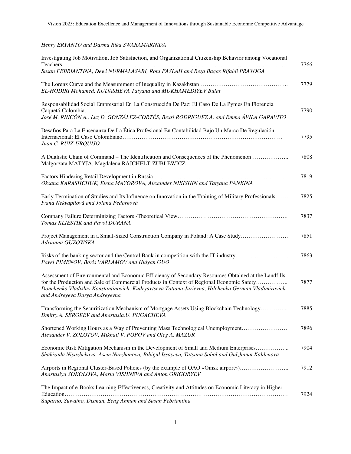## *Henry ERYANTO and Darma Rika SWARAMARINDA*

| Investigating Job Motivation, Job Satisfaction, and Organizational Citizenship Behavior among Vocational                                                                                                                                                                                                                                  |      |
|-------------------------------------------------------------------------------------------------------------------------------------------------------------------------------------------------------------------------------------------------------------------------------------------------------------------------------------------|------|
| Susan FEBRIANTINA, Dewi NURMALASARI, Roni FASLAH and Reza Bagas Rifaldi PRAYOGA                                                                                                                                                                                                                                                           | 7766 |
| EL-HODIRI Mohamed, KUDASHEVA Tatyana and MUKHAMEDIYEV Bulat                                                                                                                                                                                                                                                                               | 7779 |
| Responsabilidad Social Empresarial En La Construcción De Paz: El Caso De La Pymes En Florencia                                                                                                                                                                                                                                            | 7790 |
| José M. RINCÓN A., Luz D. GONZÁLEZ-CORTÉS, Bexsi RODRIGUEZ A. and Emma ÁVILA GARAVITO                                                                                                                                                                                                                                                     |      |
| Desafíos Para La Enseñanza De La Ética Profesional En Contabilidad Bajo Un Marco De Regulación<br>Juan C. RUIZ-URQUIJO                                                                                                                                                                                                                    | 7795 |
| A Dualistic Chain of Command – The Identification and Consequences of the Phenomenon<br>Małgorzata MATYJA, Magdalena RAJCHELT-ZUBLEWICZ                                                                                                                                                                                                   | 7808 |
| Oksana KARASHCHUK, Elena MAYOROVA, Alexander NIKISHIN and Tatyana PANKINA                                                                                                                                                                                                                                                                 | 7819 |
| Early Termination of Studies and Its Influence on Innovation in the Training of Military Professionals<br>Ivana Nekvapilová and Jolana Fedorková                                                                                                                                                                                          | 7825 |
| Tomas KLIESTIK and Pavol DURANA                                                                                                                                                                                                                                                                                                           | 7837 |
| Project Management in a Small-Sized Construction Company in Poland: A Case Study<br>Adrianna GUZOWSKA                                                                                                                                                                                                                                     | 7851 |
| Risks of the banking sector and the Central Bank in competition with the IT industry<br>Pavel PIMENOV, Boris VARLAMOV and Huiyan GUO                                                                                                                                                                                                      | 7863 |
| Assessment of Environmental and Economic Efficiency of Secondary Resources Obtained at the Landfills<br>for the Production and Sale of Commercial Products in Context of Regional Economic Safety<br>Donchenko Vladislav Konstantinovich, Kudryavtseva Tatiana Jurievna, Hilchenko German Vladimirovich<br>and Andreyeva Darya Andreyevna | 7877 |
| Transforming the Securitization Mechanism of Mortgage Assets Using Blockchain Technology<br>Dmitry.A. SERGEEV and Anastasia.U. PUGACHEVA                                                                                                                                                                                                  | 7885 |
| Shortened Working Hours as a Way of Preventing Mass Technological Unemployment<br>Alexander V. ZOLOTOV, Mikhail V. POPOV and Oleg A. MAZUR                                                                                                                                                                                                | 7896 |
| Economic Risk Mitigation Mechanism in the Development of Small and Medium Enterprises<br>Shakizada Niyazbekova, Asem Nurzhanova, Bibigul Issayeva, Tatyana Sobol and Gulzhanat Kaldenova                                                                                                                                                  | 7904 |
| Airports in Regional Cluster-Based Policies (by the example of OAO «Omsk airport»)<br>Anastasiya SOKOLOVA, Maria VISHNEVA and Anton GRIGORYEV                                                                                                                                                                                             | 7912 |
| The Impact of e-Books Learning Effectiveness, Creativity and Attitudes on Economic Literacy in Higher<br>Suparno, Suwatno, Disman, Eeng Ahman and Susan Febriantina                                                                                                                                                                       | 7924 |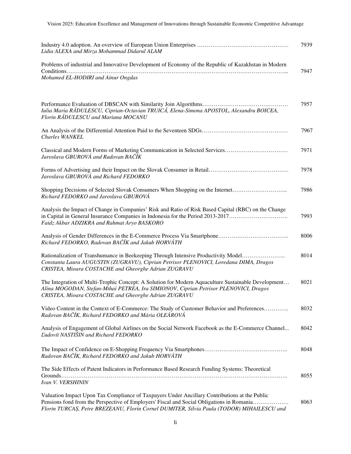| Lidia ALEXA and Mirza Mohammad Didarul ALAM                                                                                                                                                                                                                                             | 7939 |
|-----------------------------------------------------------------------------------------------------------------------------------------------------------------------------------------------------------------------------------------------------------------------------------------|------|
| Problems of industrial and Innovative Development of Economy of the Republic of Kazakhstan in Modern                                                                                                                                                                                    |      |
| Mohamed EL-HODIRI and Ainur Ongdas                                                                                                                                                                                                                                                      | 7947 |
|                                                                                                                                                                                                                                                                                         |      |
| Iulia Maria RĂDULESCU, Ciprian-Octavian TRUICĂ, Elena-Simona APOSTOL, Alexandru BOICEA,<br>Florin RADULESCU and Mariana MOCANU                                                                                                                                                          | 7957 |
| <b>Charles WANKEL</b>                                                                                                                                                                                                                                                                   | 7967 |
| Classical and Modern Forms of Marketing Communication in Selected Services<br>Jaroslava GBUROVÁ and Radovan BAČÍK                                                                                                                                                                       | 7971 |
| Jaroslava GBUROVÁ and Richard FEDORKO                                                                                                                                                                                                                                                   | 7978 |
| Richard FEDORKO and Jaroslava GBUROVÁ                                                                                                                                                                                                                                                   | 7986 |
| Analysis the Impact of Change in Companies' Risk and Ratio of Risk Based Capital (RBC) on the Change<br>in Capital in General Insurance Companies in Indonesia for the Period 2013-2017<br>Faidz Akbar ADZIKRA and Rahmat Aryo BASKORO                                                  | 7993 |
| Richard FEDORKO, Radovan BAČÍK and Jakub HORVÁTH                                                                                                                                                                                                                                        | 8006 |
| Rationalization of Transhumance in Beekeeping Through Intensive Productivity Model<br>Constanta Laura AUGUSTIN (ZUGRAVU), Ciprian Petrisor PLENOVICI, Loredana DIMA, Dragos<br>CRISTEA, Mioara COSTACHE and Gheorghe Adrian ZUGRAVU                                                     | 8014 |
| The Integration of Multi-Trophic Concept: A Solution for Modern Aquaculture Sustainable Development<br>Alina MOGODAN, Stefan-Mihai PETREA, Ira SIMIONOV, Ciprian Petrisor PLENOVICI, Dragos<br>CRISTEA, Mioara COSTACHE and Gheorghe Adrian ZUGRAVU                                     | 8021 |
| Video Content in the Context of E-Commerce: The Study of Customer Behavior and Preferences<br>Radovan BAČÍK, Richard FEDORKO and Mária OLEÁROVÁ                                                                                                                                         | 8032 |
| Analysis of Engagement of Global Airlines on the Social Network Facebook as the E-Commerce Channel<br><b>Ludovít NASTIŠIN and Richard FEDORKO</b>                                                                                                                                       | 8042 |
| Radovan BAČÍK, Richard FEDORKO and Jakub HORVÁTH                                                                                                                                                                                                                                        | 8048 |
| The Side Effects of Patent Indicators in Performance Based Research Funding Systems: Theoretical<br>Ivan V. VERSHININ                                                                                                                                                                   | 8055 |
| Valuation Impact Upon Tax Compliance of Taxpayers Under Ancillary Contributions at the Public<br>Pensions fond from the Perspective of Employers' Fiscal and Social Obligations in Romania<br>Florin TURCAȘ, Petre BREZEANU, Florin Cornel DUMITER, Silvia Paula (TODOR) MIHAILESCU and | 8063 |

Vision 2025: Education Excellence and Management of Innovations through Sustainable Economic Competitive Advantage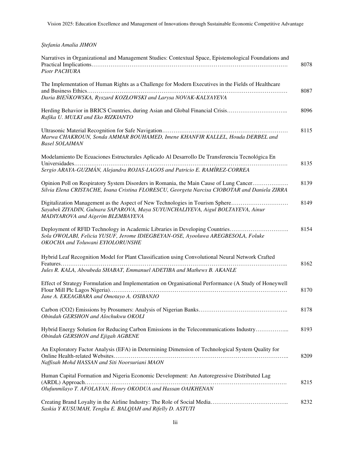## *Ștefania Amalia JIMON*

| Narratives in Organizational and Management Studies: Contextual Space, Epistemological Foundations and<br>Piotr PACHURA                                                                              | 8078 |
|------------------------------------------------------------------------------------------------------------------------------------------------------------------------------------------------------|------|
| The Implementation of Human Rights as a Challenge for Modern Executives in the Fields of Healthcare                                                                                                  | 8087 |
| Daria BIEŃKOWSKA, Ryszard KOZŁOWSKI and Larysa NOVAK-KALYAYEVA                                                                                                                                       |      |
| Herding Behavior in BRICS Countries, during Asian and Global Financial Crisis<br>Rafika U. MULKI and Eko RIZKIANTO                                                                                   | 8096 |
| Marwa CHAKROUN, Sonda AMMAR BOUHAMED, Imene KHANFIR KALLEL, Houda DERBEL and<br><b>Basel SOLAIMAN</b>                                                                                                | 8115 |
| Modelamiento De Ecuaciones Estructurales Aplicado Al Desarrollo De Transferencia Tecnológica En                                                                                                      |      |
| Sergio ARAYA-GUZMÁN, Alejandra ROJAS-LAGOS and Patricio E. RAMÍREZ-CORREA                                                                                                                            | 8135 |
| Opinion Poll on Respiratory System Disorders in Romania, the Main Cause of Lung Cancer<br>Silvia Elena CRISTACHE, Ioana Cristina FLORESCU, Georgeta Narcisa CIOBOTAR and Daniela ZIRRA               | 8139 |
| Digitalization Management as the Aspect of New Technologies in Tourism Sphere<br>Sayabek ZIYADIN, Gulnara SAPAROVA, Maya SUYUNCHALIYEVA, Aigul BOLTAYEVA, Ainur<br>MADIYAROVA and Aigerim BLEMBAYEVA | 8149 |
| Deployment of RFID Technology in Academic Libraries in Developing Countries<br>Sola OWOLABI, Felicia YUSUF, Jerome IDIEGBEYAN-OSE, Ayooluwa AREGBESOLA, Foluke<br>OKOCHA and Toluwani EYIOLORUNSHE   | 8154 |
| Hybrid Leaf Recognition Model for Plant Classification using Convolutional Neural Network Crafted                                                                                                    | 8162 |
| Jules R. KALA, Aboubeda SHABAT, Emmanuel ADETIBA and Mathews B. AKANLE                                                                                                                               |      |
| Effect of Strategy Formulation and Implementation on Organisational Performance (A Study of Honeywell                                                                                                | 8170 |
| Jane A. EKEAGBARA and Omotayo A. OSIBANJO                                                                                                                                                            |      |
| Obindah GERSHON and Alochukwu OKOLI                                                                                                                                                                  | 8178 |
| Hybrid Energy Solution for Reducing Carbon Emissions in the Telecommunications Industry<br>Obindah GERSHON and Ejigah AGBENE                                                                         | 8193 |
| An Exploratory Factor Analysis (EFA) in Determining Dimension of Technological System Quality for<br>Naffisah Mohd HASSAN and Siti Noorsuriani MAON                                                  | 8209 |
|                                                                                                                                                                                                      |      |
| Human Capital Formation and Nigeria Economic Development: An Autoregressive Distributed Lag                                                                                                          | 8215 |
| Olufunmilayo T. AFOLAYAN, Henry OKODUA and Hassan OAIKHENAN                                                                                                                                          |      |
| Saskia Y KUSUMAH, Tengku E. BALQIAH and Rifelly D. ASTUTI                                                                                                                                            | 8232 |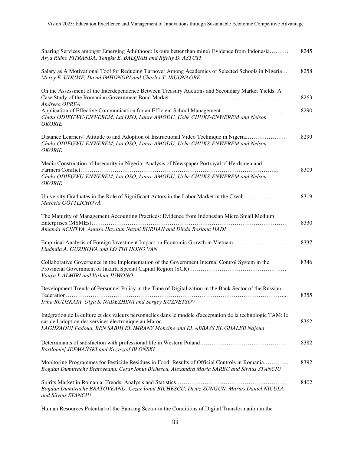| Sharing Services amongst Emerging Adulthood: Is ours better than mine? Evidence from Indonesia<br>Arya Ridho FITRANDA, Tengku E. BALQIAH and Rifelly D. ASTUTI                                 | 8245 |
|------------------------------------------------------------------------------------------------------------------------------------------------------------------------------------------------|------|
| Salary as A Motivational Tool for Reducing Turnover Among Academics of Selected Schools in Nigeria<br>Mercy E. UDUME, David IMHONOPI and Charles T. IRUONAGBE                                  | 8258 |
| On the Assessment of the Interdependence Between Treasury Auctions and Secondary Market Yields: A<br>Andreea OPREA                                                                             | 8263 |
| Chuks ODIEGWU-ENWEREM, Lai OSO, Lanre AMODU, Uche CHUKS-ENWEREM and Nelson<br><b>OKORIE</b>                                                                                                    | 8290 |
| Distance Learners' Attitude to and Adoption of Instructional Video Technique in Nigeria<br>Chuks ODIEGWU-ENWEREM, Lai OSO, Lanre AMODU, Uche CHUKS-ENWEREM and Nelson<br><b>OKORIE</b>         | 8299 |
| Media Construction of Insecurity in Nigeria: Analysis of Newspaper Portrayal of Herdsmen and                                                                                                   |      |
| Chuks ODIEGWU-ENWEREM, Lai OSO, Lanre AMODU, Uche CHUKS-ENWEREM and Nelson<br><b>OKORIE</b>                                                                                                    | 8309 |
| University Graduates in the Role of Significant Actors in the Labor Market in the Czech<br>Marcela GÖTTLICHOVÁ                                                                                 | 8319 |
| The Maturity of Management Accounting Practices: Evidence from Indonesian Micro Small Medium                                                                                                   |      |
| Amanda ACINTYA, Annisa Hayatun Nazmi BURHAN and Dinda Rosiana HADI                                                                                                                             | 8330 |
| Empirical Analysis of Foreign Investment Impact on Economic Growth in Vietnam<br>Liudmila A. GUZIKOVA and LO THI HONG VAN                                                                      | 8337 |
| Collaborative Governance in the Implementation of the Government Internal Control System in the<br>Vanya I. ALMIRI and Vishnu JUWONO                                                           | 8346 |
| Development Trends of Personnel Policy in the Time of Digitalization in the Bank Sector of the Russian                                                                                         |      |
| Irina RUDSKAIA, Olga S. NADEZHINA and Sergey KUZNETSOV                                                                                                                                         | 8355 |
| Intégration de la culture et des valeurs personnelles dans le modèle d'acceptation de la technologie TAM: le<br>LAGHZAOUI Fadoua, BEN SABIH EL IMRANY Mohcine and EL ABBASS EL GHALEB Najoua   | 8362 |
| Bartłomiej JEFMAŃSKI and Krzysztof BŁOŃSKI                                                                                                                                                     | 8382 |
| Monitoring Programmes for Pesticide Residues in Food: Results of Official Controls in Romania<br>Bogdan Dumitrache Bratoveanu, Cezar Ionut Bichescu, Alexandra Maria SÂRBU and Silvius STANCIU | 8392 |
| Bogdan Dumitrache BRATOVEANU, Cezar Ionut BICHESCU, Deniz ZÜNGÜN, Marius Daniel NICULA<br>and Silvius STANCIU                                                                                  | 8402 |

Human Resources Potential of the Banking Sector in the Conditions of Digital Transformation in the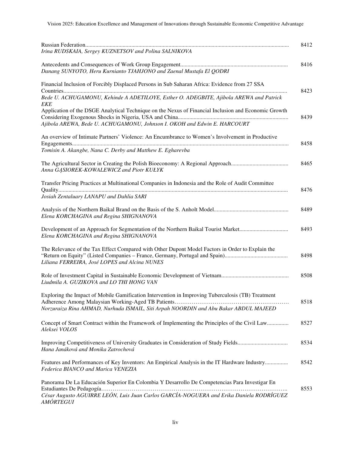|                                                                                                                                                                                  | 8412 |
|----------------------------------------------------------------------------------------------------------------------------------------------------------------------------------|------|
| Irina RUDSKAIA, Sergey KUZNETSOV and Polina SALNIKOVA                                                                                                                            |      |
| Danang SUNYOTO, Heru Kurnianto TJAHJONO and Zaenal Mustafa El QODRI                                                                                                              | 8416 |
| Financial Inclusion of Forcibly Displaced Persons in Sub Saharan Africa: Evidence from 27 SSA                                                                                    | 8423 |
| Bede U. ACHUGAMONU, Kehinde A ADETILOYE, Esther O. ADEGBITE, Ajibola AREWA and Patrick<br><b>EKE</b>                                                                             |      |
| Application of the DSGE Analytical Technique on the Nexus of Financial Inclusion and Economic Growth<br>Ajibola AREWA, Bede U. ACHUGAMONU, Johnson I. OKOH and Edwin E. HARCOURT | 8439 |
| An overview of Intimate Partners' Violence: An Encumbrance to Women's Involvement in Productive                                                                                  | 8458 |
| Tomisin A. Akangbe, Nana C. Derby and Matthew E. Egharevba                                                                                                                       |      |
| Anna GASIOREK-KOWALEWICZ and Piotr KUŁYK                                                                                                                                         | 8465 |
| Transfer Pricing Practices at Multinational Companies in Indonesia and the Role of Audit Committee                                                                               |      |
| Josiah Zentaluary LANAPU and Dahlia SARI                                                                                                                                         | 8476 |
| Elena KORCHAGINA and Regina SHIGNANOVA                                                                                                                                           | 8489 |
| Development of an Approach for Segmentation of the Northern Baikal Tourist Market<br>Elena KORCHAGINA and Regina SHIGNANOVA                                                      | 8493 |
| The Relevance of the Tax Effect Compared with Other Dupont Model Factors in Order to Explain the<br>Liliana FERREIRA, José LOPES and Alcina NUNES                                | 8498 |
| Liudmila A. GUZIKOVA and LO THI HONG VAN                                                                                                                                         | 8508 |
| Exploring the Impact of Mobile Gamification Intervention in Improving Tuberculosis (TB) Treatment                                                                                | 8518 |
| Norzuraiza Rina AHMAD, Nurhuda ISMAIL, Siti Arpah NOORDIN and Abu Bakar ABDUL MAJEED                                                                                             |      |
| Concept of Smart Contract within the Framework of Implementing the Principles of the Civil Law<br>Aleksei VOLOS                                                                  | 8527 |
| Hana Janáková and Monika Zatrochová                                                                                                                                              | 8534 |
| Features and Performances of Key Inventors: An Empirical Analysis in the IT Hardware Industry<br>Federica BIANCO and Marica VENEZIA                                              | 8542 |
| Panorama De La Educación Superior En Colombia Y Desarrollo De Competencias Para Investigar En                                                                                    | 8553 |
| César Augusto AGUIRRE LEÓN, Luis Juan Carlos GARCÍA-NOGUERA and Erika Daniela RODRÍGUEZ<br><b>AMÓRTEGUI</b>                                                                      |      |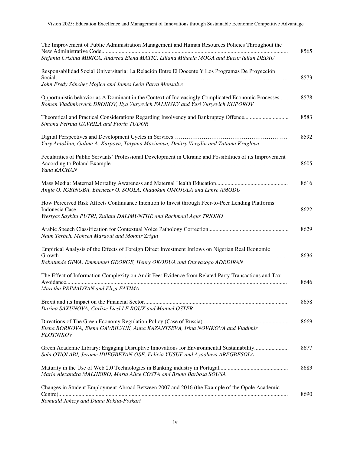| The Improvement of Public Administration Management and Human Resources Policies Throughout the                                                                                      | 8565 |
|--------------------------------------------------------------------------------------------------------------------------------------------------------------------------------------|------|
| Stefania Cristina MIRICA, Andreea Elena MATIC, Liliana Mihaela MOGA and Bucur Iulian DEDIU                                                                                           |      |
| Responsabilidad Social Universitaria: La Relación Entre El Docente Y Los Programas De Proyección                                                                                     | 8573 |
| John Fredy Sánchez Mojica and James León Parra Monsalve                                                                                                                              |      |
| Opportunistic behavior as A Dominant in the Context of Increasingly Complicated Economic Processes<br>Roman Vladimirovich DRONOV, Ilya Yuryevich FALINSKY and Yuri Yuryevich KUPOROV | 8578 |
| Simona Petrina GAVRILA and Florin TUDOR                                                                                                                                              | 8583 |
| Yury Antokhin, Galina A. Karpova, Tatyana Maximova, Dmitry Verzilin and Tatiana Kruglova                                                                                             | 8592 |
| Pecularities of Public Servants' Professional Development in Ukraine and Possibilities of its Improvement<br>Yana KACHAN                                                             | 8605 |
| Angie O. IGBINOBA, Ebenezer O. SOOLA, Oladokun OMOJOLA and Lanre AMODU                                                                                                               | 8616 |
| How Perceived Risk Affects Continuance Intention to Invest through Peer-to-Peer Lending Platforms:<br>Westyas Saykita PUTRI, Zuliani DALIMUNTHE and Rachmadi Agus TRIONO             | 8622 |
| Naim Terbeh, Mohsen Maraoui and Mounir Zrigui                                                                                                                                        | 8629 |
| Empirical Analysis of the Effects of Foreign Direct Investment Inflows on Nigerian Real Economic                                                                                     | 8636 |
| Babatunde GIWA, Emmanuel GEORGE, Henry OKODUA and Oluwasogo ADEDIRAN                                                                                                                 |      |
| The Effect of Information Complexity on Audit Fee: Evidence from Related Party Transactions and Tax<br>Maretha PRIMADYAN and Eliza FATIMA                                            | 8646 |
| Darina SAXUNOVA, Corlise Liesl LE ROUX and Manuel OSTER                                                                                                                              | 8658 |
| Elena BORKOVA, Elena GAVRILYUK, Anna KAZANTSEVA, Irina NOVIKOVA and Vladimir<br><b>PLOTNIKOV</b>                                                                                     | 8669 |
| Green Academic Library: Engaging Disruptive Innovations for Environmental Sustainability<br>Sola OWOLABI, Jerome IDIEGBEYAN-OSE, Felicia YUSUF and Ayooluwa AREGBESOLA               | 8677 |
| Maria Alexandra MALHEIRO, Maria Alice COSTA and Bruno Barbosa SOUSA                                                                                                                  | 8683 |
| Changes in Student Employment Abroad Between 2007 and 2016 (the Example of the Opole Academic<br>Romuald Jończy and Diana Rokita-Poskart                                             | 8690 |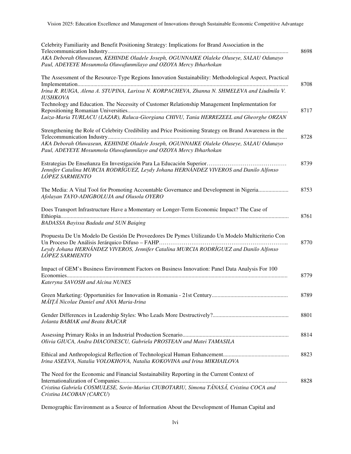| Celebrity Familiarity and Benefit Positioning Strategy: Implications for Brand Association in the                                                                                                            | 8698 |
|--------------------------------------------------------------------------------------------------------------------------------------------------------------------------------------------------------------|------|
| AKA Deborah Oluwaseun, KEHINDE Oladele Joseph, OGUNNAIKE Olaleke Oluseye, SALAU Odunayo<br>Paul, ADEYEYE Mosunmola Oluwafunmilayo and OZOYA Mercy Ibharhokan                                                 |      |
| The Assessment of the Resource-Type Regions Innovation Sustainability: Methodological Aspect, Practical                                                                                                      | 8708 |
| Irina R. RUIGA, Alena A. STUPINA, Larissa N. KORPACHEVA, Zhanna N. SHMELEVA and Liudmila V.<br><b>IUSHKOVA</b>                                                                                               |      |
| Technology and Education. The Necessity of Customer Relationship Management Implementation for                                                                                                               | 8717 |
| Luiza-Maria TURLACU (LAZAR), Raluca-Giorgiana CHIVU, Tania HERREZEEL and Gheorghe ORZAN                                                                                                                      |      |
| Strengthening the Role of Celebrity Credibility and Price Positioning Strategy on Brand Awareness in the                                                                                                     | 8728 |
| AKA Deborah Oluwaseun, KEHINDE Oladele Joseph, OGUNNAIKE Olaleke Oluseye, SALAU Odunayo<br>Paul, ADEYEYE Mosunmola Oluwafunmilayo and OZOYA Mercy Ibharhokan                                                 |      |
| Jennifer Catalina MURCIA RODRÍGUEZ, Leydy Johana HERNÁNDEZ VIVEROS and Danilo Alfonso<br>LÓPEZ SARMIENTO                                                                                                     | 8739 |
| The Media: A Vital Tool for Promoting Accountable Governance and Development in Nigeria<br>Afolayan TAYO-ADIGBOLUJA and Olusola OYERO                                                                        | 8753 |
| Does Transport Infrastructure Have a Momentary or Longer-Term Economic Impact? The Case of<br><b>BADASSA Bayissa Badada and SUN Baiqing</b>                                                                  | 8761 |
| Propuesta De Un Modelo De Gestión De Proveedores De Pymes Utilizando Un Modelo Multicriterio Con<br>Leydy Johana HERNÁNDEZ VIVEROS, Jennifer Catalina MURCIA RODRÍGUEZ and Danilo Alfonso<br>LÓPEZ SARMIENTO | 8770 |
| Impact of GEM's Business Environment Factors on Business Innovation: Panel Data Analysis For 100<br>Kateryna SAVOSH and Alcina NUNES                                                                         | 8779 |
| MĂIȚĂ Nicolae Daniel and ANA Maria-Irina                                                                                                                                                                     | 8789 |
| Jolanta BABIAK and Beata BAJCAR                                                                                                                                                                              | 8801 |
| Olivia GIUCA, Andra DIACONESCU, Gabriela PROSTEAN and Matei TAMASILA                                                                                                                                         | 8814 |
| Irina ASEEVA, Natalia VOLOKHOVA, Natalia KOKOVINA and Irina MIKHAILOVA                                                                                                                                       | 8823 |
| The Need for the Economic and Financial Sustainability Reporting in the Current Context of<br>Cristina Gabriela COSMULESE, Sorin-Marius CIUBOTARIU, Simona TĂNASĂ, Cristina COCA and                         | 8828 |
| Cristina IACOBAN (CARCU)                                                                                                                                                                                     |      |

Demographic Environment as a Source of Information About the Development of Human Capital and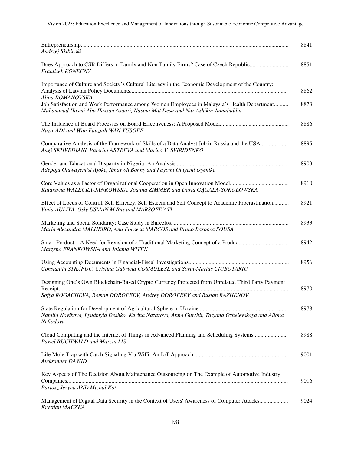| 8841<br>Andrzej Skibiński                                                                                                                                                                                                                                                                                            |  |
|----------------------------------------------------------------------------------------------------------------------------------------------------------------------------------------------------------------------------------------------------------------------------------------------------------------------|--|
| Does Approach to CSR Differs in Family and Non-Family Firms? Case of Czech Republic<br>8851<br>Frantisek KONECNY                                                                                                                                                                                                     |  |
| Importance of Culture and Society's Cultural Literacy in the Economic Development of the Country:<br>8862<br>Alina ROMANOVSKA<br>Job Satisfaction and Work Performance among Women Employees in Malaysia's Health Department<br>8873<br>Muhammad Hasmi Abu Hassan Asaari, Nasina Mat Desa and Nur Ashikin Jamaluddin |  |
| 8886<br>Nazir ADI and Wan Fauziah WAN YUSOFF                                                                                                                                                                                                                                                                         |  |
| Comparative Analysis of the Framework of Skills of a Data Analyst Job in Russia and the USA<br>8895<br>Angi SKHVEDIANI, Valeriia ARTEEVA and Marina V. SVIRIDENKO                                                                                                                                                    |  |
| 8903<br>Adepoju Oluwayemisi Ajoke, Ibhawoh Bonny and Fayomi Oluyemi Oyenike                                                                                                                                                                                                                                          |  |
| 8910<br>Katarzyna WALECKA-JANKOWSKA, Joanna ZIMMER and Daria GAGAŁA-SOKOŁOWSKA                                                                                                                                                                                                                                       |  |
| Effect of Locus of Control, Self Efficacy, Self Esteem and Self Concept to Academic Procrastination<br>8921<br>Vinia AULIYA, Osly USMAN M.Bus.and MARSOFIYATI                                                                                                                                                        |  |
| 8933<br>Maria Alexandra MALHEIRO, Ana Fonseca MARCOS and Bruno Barbosa SOUSA                                                                                                                                                                                                                                         |  |
| 8942<br>Marzena FRANKOWSKA and Jolanta WITEK                                                                                                                                                                                                                                                                         |  |
| 8956<br>Constantin STRÅPUC, Cristina Gabriela COSMULESE and Sorin-Marius CIUBOTARIU                                                                                                                                                                                                                                  |  |
| Designing One's Own Blockchain-Based Crypto Currency Protected from Unrelated Third Party Payment<br>8970<br>Sofya ROGACHEVA, Roman DOROFEEV, Andrey DOROFEEV and Ruslan BAZHENOV                                                                                                                                    |  |
| 8978<br>Natalia Novikova, Lyudmyla Deshko, Karina Nazarova, Anna Gurzhii, Tatyana Ozhelevskaya and Aliona<br>Nefiodova                                                                                                                                                                                               |  |
| Cloud Computing and the Internet of Things in Advanced Planning and Scheduling Systems<br>8988<br>Paweł BUCHWALD and Marcin LIS                                                                                                                                                                                      |  |
| 9001<br>Aleksander DAWID                                                                                                                                                                                                                                                                                             |  |
| Key Aspects of The Decision About Maintenance Outsourcing on The Example of Automotive Industry<br>9016                                                                                                                                                                                                              |  |
| Bartosz Jeżyna AND Michał Kot                                                                                                                                                                                                                                                                                        |  |
| Management of Digital Data Security in the Context of Users' Awareness of Computer Attacks<br>9024<br>Krystian MĄCZKA                                                                                                                                                                                                |  |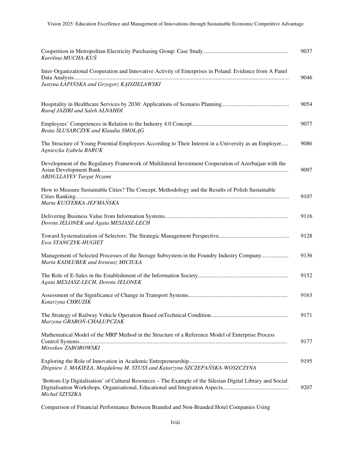| 9037<br>Karolina MUCHA-KUŚ                                                                                                                                     |  |
|----------------------------------------------------------------------------------------------------------------------------------------------------------------|--|
| Inter-Organizational Cooperation and Innovative Activity of Enterprises in Poland: Evidence from A Panel<br>9046<br>Justyna ŁAPIŃSKA and Grzegorz KĄDZIELAWSKI |  |
| 9054<br>Raouf JAZIRI and Saleh ALNAHDI                                                                                                                         |  |
| 9077<br>Beata SLUSARCZYK and Klaudia SMOLAG                                                                                                                    |  |
| The Structure of Young Potential Employees According to Their Interest in a University as an Employer<br>9086<br>Agnieszka Izabela BARUK                       |  |
| Development of the Regulatory Framework of Multilateral Investment Cooperation of Azerbaijan with the<br>9097<br><b>ABDULLAYEV Turgut Nizami</b>               |  |
| How to Measure Sustainable Cities? The Concept, Methodology and the Results of Polish Sustainable<br>9107<br>Marta KUSTERKA-JEFMAŃSKA                          |  |
| 9116<br>Dorota JELONEK and Agata MESJASZ-LECH                                                                                                                  |  |
| 9128<br>Ewa STANCZYK-HUGIET                                                                                                                                    |  |
| Management of Selected Processes of the Storage Subsystem in the Foundry Industry Company<br>9136<br>Marta KADŁUBEK and Ireneusz MICIUŁA                       |  |
| 9152<br>Agata MESJASZ-LECH, Dorota JELONEK                                                                                                                     |  |
| 9163<br>Katarzyna CHRUZIK                                                                                                                                      |  |
| 9171<br>Marzena GRABOŃ-CHAŁUPCZAK                                                                                                                              |  |
| Mathematical Model of the MRP Method in the Structure of a Reference Model of Enterprise Process<br>9177<br>Mirosław ZABOROWSKI                                |  |
| 9195<br>Zbigniew J. MAKIEŁA, Magdalena M. STUSS and Katarzyna SZCZEPAŃSKA-WOSZCZYNA                                                                            |  |
| 'Bottom-Up Digitalisation' of Cultural Resources – The Example of the Silesian Digital Library and Social<br>9207<br>Michał SZYSZKA                            |  |

Comparison of Financial Performance Between Branded and Non-Branded Hotel Companies Using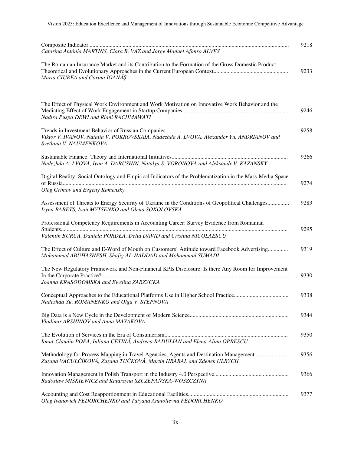| Catarina Antónia MARTINS, Clara B. VAZ and Jorge Manuel Afonso ALVES                                                                                                                    | 9218 |
|-----------------------------------------------------------------------------------------------------------------------------------------------------------------------------------------|------|
| The Romanian Insurance Market and its Contribution to the Formation of the Gross Domestic Product:<br>Maria CIUREA and Corina IOANĂȘ                                                    | 9233 |
| The Effect of Physical Work Environment and Work Motivation on Innovative Work Behavior and the<br>Nadira Puspa DEWI and Riani RACHMAWATI                                               | 9246 |
| Viktor V. IVANOV, Natalia V. POKROVSKAIA, Nadezhda A. LVOVA, Alexander Yu. ANDRIANOV and<br>Svetlana V. NAUMENKOVA                                                                      | 9258 |
| Nadezhda A. LVOVA, Ivan A. DARUSHIN, Natalya S. VORONOVA and Aleksandr V. KAZANSKY                                                                                                      | 9266 |
| Digital Reality: Social Ontology and Empirical Indicators of the Problematization in the Mass-Media Space                                                                               | 9274 |
| Oleg Grimov and Evgeny Kamensky<br>Assessment of Threats to Energy Security of Ukraine in the Conditions of Geopolitical Challenges<br>Iryna BABETS, Ivan MYTSENKO and Olena SOKOLOVSKA | 9283 |
| Professional Competency Requirements in Accounting Career: Survey Evidence from Romanian                                                                                                | 9295 |
| Valentin BURCA, Daniela PORDEA, Delia DAVID and Cristina NICOLAESCU                                                                                                                     |      |
| The Effect of Culture and E-Word of Mouth on Customers' Attitude toward Facebook Advertising<br>Mohammad ABUHASHESH, Shafig AL-HADDAD and Mohammad SUMADI                               | 9319 |
| The New Regulatory Framework and Non-Financial KPIs Disclosure: Is there Any Room for Improvement                                                                                       | 9330 |
| Joanna KRASODOMSKA and Ewelina ZARZYCKA                                                                                                                                                 |      |
| Nadezhda Yu. ROMANENKO and Olga V. STEPNOVA                                                                                                                                             | 9338 |
| Vladimir ARSHINOV and Anna MAYAKOVA                                                                                                                                                     | 9344 |
| Ionut-Claudiu POPA, Iuliana CETINĂ, Andreea RADULIAN and Elena-Alina OPRESCU                                                                                                            | 9350 |
| Methodology for Process Mapping in Travel Agencies, Agents and Destination Management<br>Zuzana VACULČÍKOVÁ, Zuzana TUČKOVÁ, Martin HRABAL and Zdenek ULRYCH                            | 9356 |
| Radosław MIŚKIEWICZ and Katarzyna SZCZEPAŃSKA-WOSZCZYNA                                                                                                                                 | 9366 |
| Oleg Ivanovich FEDORCHENKO and Tatyana Anatolievna FEDORCHENKO                                                                                                                          | 9377 |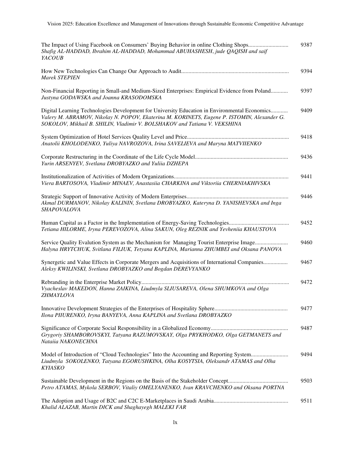| The Impact of Using Facebook on Consumers' Buying Behavior in online Clothing Shops<br>Shafig AL-HADDAD, Ibrahim AL-HADDAD, Mohammad ABUHASHESH, jude QAQISH and saif<br>YACOUB                                                                                           | 9387 |
|---------------------------------------------------------------------------------------------------------------------------------------------------------------------------------------------------------------------------------------------------------------------------|------|
| <b>Marek STEPIEN</b>                                                                                                                                                                                                                                                      | 9394 |
| Non-Financial Reporting in Small-and Medium-Sized Enterprises: Empirical Evidence from Poland<br>Justyna GODAWSKA and Joanna KRASODOMSKA                                                                                                                                  | 9397 |
| Digital Learning Technologies Development for University Education in Environmental Economics<br>Valery M. ABRAMOV, Nikolay N. POPOV, Ekaterina M. KORINETS, Eugene P. ISTOMIN, Alexander G.<br>SOKOLOV, Mikhail B. SHILIN, Vladimir V. BOLSHAKOV and Tatiana V. VEKSHINA | 9409 |
| Anatolii KHOLODENKO, Yuliya NAVROZOVA, Irina SAVELIEVA and Maryna MATVIIENKO                                                                                                                                                                                              | 9418 |
| Yurin ARSENYEV, Svetlana DROBYAZKO and Yuliia DZHEPA                                                                                                                                                                                                                      | 9436 |
| Viera BARTOSOVA, Vladimir MINAEV, Anastasiia CHARKINA and Viktoriia CHERNIAKHIVSKA                                                                                                                                                                                        | 9441 |
| Akmal DURMANOV, Nikolay KALININ, Svetlana DROBYAZKO, Kateryna D. YANISHEVSKA and Inga<br>SHAPOVALOVA                                                                                                                                                                      | 9446 |
| Tetiana HILORME, Iryna PEREVOZOVA, Alina SAKUN, Oleg REZNIK and Yevheniia KHAUSTOVA                                                                                                                                                                                       | 9452 |
| Service Quality Evalution System as the Mechanism for Managing Tourist Enterprise Image<br>Halyna HRYTCHUK, Svitlana FILIUK, Tetyana KAPLINA, Marianna ZHUMBEI and Oksana PANOVA                                                                                          | 9460 |
| Synergetic and Value Effects in Corporate Mergers and Acquisitions of International Companies<br>Aleksy KWILINSKI, Svetlana DROBYAZKO and Bogdan DEREVYANKO                                                                                                               | 9467 |
| Vyacheslav MAKEDON, Hanna ZAIKINA, Liudmyla SLIUSAREVA, Olena SHUMKOVA and Olga<br>ZHMAYLOVA                                                                                                                                                                              | 9472 |
| Ilona PIIURENKO, Iryna BANYEVA, Anna KAPLINA and Svetlana DROBYAZKO                                                                                                                                                                                                       | 9477 |
| Grygoriy SHAMBOROVSKYI, Tatyana RAZUMOVSKAY, Olga PRYKHODKO, Olga GETMANETS and<br>Nataiia NAKONECHNA                                                                                                                                                                     | 9487 |
| Model of Introduction of "Cloud Technologies" Into the Accounting and Reporting System<br>Liudmyla SOKOLENKO, Tatyana EGORUSHKINA, Olha KOSYTSIA, Oleksandr ATAMAS and Olha<br><b>KYIASKO</b>                                                                             | 9494 |
| Petro ATAMAS, Mykola SERBOV, Vitaliy OMELYANENKO, Ivan KRAVCHENKO and Oksana PORTNA                                                                                                                                                                                       | 9503 |
| Khalid ALAZAB, Martin DICK and Shaghayegh MALEKI FAR                                                                                                                                                                                                                      | 9511 |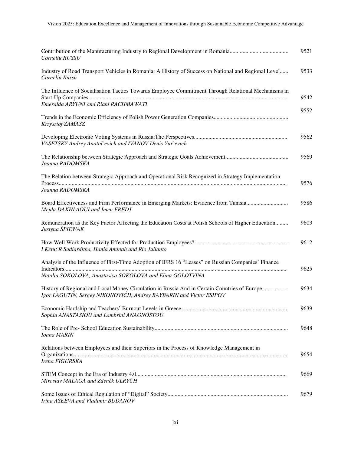| Corneliu RUSSU                                                                                                                                                     | 9521 |
|--------------------------------------------------------------------------------------------------------------------------------------------------------------------|------|
| Industry of Road Transport Vehicles in Romania: A History of Success on National and Regional Level<br>Corneliu Russu                                              | 9533 |
| The Influence of Socialisation Tactics Towards Employee Commitment Through Relational Mechanisms in<br>Emeralda ARYUNI and Riani RACHMAWATI                        | 9542 |
| Krzysztof ZAMASZ                                                                                                                                                   | 9552 |
| VASETSKY Andrey Anatol'evich and IVANOV Denis Yur'evich                                                                                                            | 9562 |
| Joanna RADOMSKA                                                                                                                                                    | 9569 |
| The Relation between Strategic Approach and Operational Risk Recognized in Strategy Implementation<br>Joanna RADOMSKA                                              | 9576 |
| Board Effectiveness and Firm Performance in Emerging Markets: Evidence from Tunisia<br>Mejda DAKHLAOUI and Imen FREDJ                                              | 9586 |
| Remuneration as the Key Factor Affecting the Education Costs at Polish Schools of Higher Education<br>Justyna ŚPIEWAK                                              | 9603 |
| I Ketut R Sudiarditha, Hania Aminah and Rio Julianto                                                                                                               | 9612 |
| Analysis of the Influence of First-Time Adoption of IFRS 16 "Leases" on Russian Companies' Finance<br>Natalia SOKOLOVA, Anastasiya SOKOLOVA and Elina GOLOTVINA    | 9625 |
| History of Regional and Local Money Circulation in Russia And in Certain Countries of Europe<br>Igor LAGUTIN, Sergey NIKONOVICH, Andrey BAYBARIN and Victor ESIPOV | 9634 |
| Sophia ANASTASIOU and Lambrini ANAGNOSTOU                                                                                                                          | 9639 |
| Ioana MARIN                                                                                                                                                        | 9648 |
| Relations between Employees and their Superiors in the Process of Knowledge Management in<br>Irena FIGURSKA                                                        | 9654 |
|                                                                                                                                                                    |      |
| Miroslav MALAGA and Zdeněk ULRYCH                                                                                                                                  | 9669 |
|                                                                                                                                                                    | 9679 |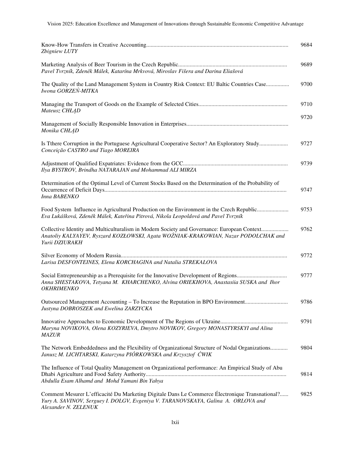Vision 2025: Education Excellence and Management of Innovations through Sustainable Economic Competitive Advantage

| Zbigniew LUTY                                                                                                                                                                                                | 9684 |
|--------------------------------------------------------------------------------------------------------------------------------------------------------------------------------------------------------------|------|
| Pavel Tvrzník, Zdeněk Málek, Katarína Mrkvová, Miroslav Fišera and Darina Eliašová                                                                                                                           | 9689 |
| The Quality of the Land Management System in Country Risk Context: EU Baltic Countries Case<br>Iwona GORZEŃ-MITKA                                                                                            | 9700 |
| Mateusz CHŁĄD                                                                                                                                                                                                | 9710 |
| Monika CHŁĄD                                                                                                                                                                                                 | 9720 |
| Is Tthere Corruption in the Portuguese Agricultural Cooperative Sector? An Exploratory Study<br>Conceição CASTRO and Tiago MOREIRA                                                                           | 9727 |
| Ilya BYSTROV, Brindha NATARAJAN and Mohammad ALI MIRZA                                                                                                                                                       | 9739 |
| Determination of the Optimal Level of Current Stocks Based on the Determination of the Probability of<br>Inna BABENKO                                                                                        | 9747 |
| Food System Influence in Agricultural Production on the Environment in the Czech Republic<br>Eva Lukášková, Zdeněk Málek, Kateřina Pitrová, Nikola Leopoldová and Pavel Tvrzník                              | 9753 |
| Collective Identity and Multiculturalism in Modern Society and Governance: European Context<br>Anatoliy KALYAYEV, Ryszard KOZŁOWSKI, Agata WOŻNIAK-KRAKOWIAN, Nazar PODOLCHAK and<br>Yurii DZIURAKH          | 9762 |
|                                                                                                                                                                                                              | 9772 |
| Larisa DESFONTEINES, Elena KORCHAGINA and Natalia STREKALOVA                                                                                                                                                 |      |
| Anna SHESTAKOVA, Tetyana M. KHARCHENKO, Alvina ORIEKHOVA, Anastasiia SUSKA and Ihor<br>OKHRIMENKO                                                                                                            | 9777 |
| Outsourced Management Accounting – To Increase the Reputation in BPO Environment<br>Justyna DOBROSZEK and Ewelina ZARZYCKA                                                                                   | 9786 |
| Maryna NOVIKOVA, Olena KOZYRIEVA, Dmytro NOVIKOV, Gregory MONASTYRSKYI and Alina<br><b>MAZUR</b>                                                                                                             | 9791 |
| The Network Embeddedness and the Flexibility of Organizational Structure of Nodal Organizations<br>Janusz M. LICHTARSKI, Katarzyna PIÓRKOWSKA and Krzysztof ĆWIK                                             | 9804 |
| The Influence of Total Quality Management on Organizational performance: An Empirical Study of Abu<br>Abdulla Esam Alhamd and Mohd Yamani Bin Yahya                                                          | 9814 |
| Comment Mesurer L'efficacité Du Marketing Digitale Dans Le Commerce Électronique Transnational?<br>Yury A. SAVINOV, Serguey I. DOLGV, Evgeniya V. TARANOVSKAYA, Galina A. ORLOVA and<br>Alexander N. ZELENUK | 9825 |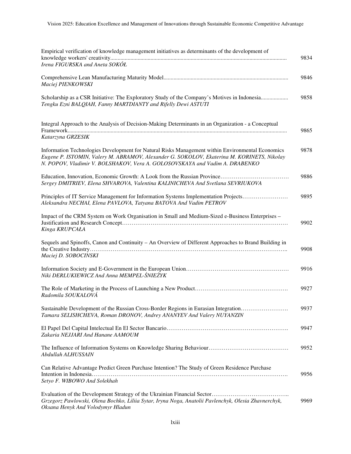| Empirical verification of knowledge management initiatives as determinants of the development of                                                                                                                                                                              | 9834 |
|-------------------------------------------------------------------------------------------------------------------------------------------------------------------------------------------------------------------------------------------------------------------------------|------|
| Irena FIGURSKA and Aneta SOKÓŁ                                                                                                                                                                                                                                                |      |
| Maciej PIENKOWSKI                                                                                                                                                                                                                                                             | 9846 |
| Scholarship as a CSR Initiative: The Exploratory Study of the Company's Motives in Indonesia<br>Tengku Ezni BALQIAH, Fanny MARTDIANTY and Rifelly Dewi ASTUTI                                                                                                                 | 9858 |
| Integral Approach to the Analysis of Decision-Making Determinants in an Organization - a Conceptual                                                                                                                                                                           | 9865 |
| Katarzyna GRZESIK                                                                                                                                                                                                                                                             |      |
| Information Technologies Development for Natural Risks Management within Environmental Economics<br>Eugene P. ISTOMIN, Valery M. ABRAMOV, Alexander G. SOKOLOV, Ekaterina M. KORINETS, Nikolay<br>N. POPOV, Vladimir V. BOLSHAKOV, Vera A. GOLOSOVSKAYA and Vadim A. DRABENKO | 9878 |
|                                                                                                                                                                                                                                                                               | 9886 |
| Sergey DMITRIEV, Elena SHVAROVA, Valentina KALINICHEVA And Svetlana SEVRIUKOVA                                                                                                                                                                                                |      |
| Principles of IT Service Management for Information Systems Implementation Projects<br>Aleksandra NECHAI, Elena PAVLOVA, Tatyana BATOVA And Vadim PETROV                                                                                                                      | 9895 |
| Impact of the CRM System on Work Organisation in Small and Medium-Sized e-Business Enterprises -<br>Kinga KRUPCAŁA                                                                                                                                                            | 9902 |
| Sequels and Spinoffs, Canon and Continuity – An Overview of Different Approaches to Brand Building in<br>Maciej D. SOBOCINSKI                                                                                                                                                 | 9908 |
| Niki DERLUKIEWICZ And Anna MEMPEL-ŚNIEŻYK                                                                                                                                                                                                                                     | 9916 |
| Radomila SOUKALOVÁ                                                                                                                                                                                                                                                            | 9927 |
| Sustainable Development of the Russian Cross-Border Regions in Eurasian Integration<br>Tamara SELISHCHEVA, Roman DRONOV, Andrey ANANYEV And Valery NUYANZIN                                                                                                                   | 9937 |
| Zakaria NEJJARI And Hanane AAMOUM                                                                                                                                                                                                                                             | 9947 |
| Abdullah ALHUSSAIN                                                                                                                                                                                                                                                            | 9952 |
| Can Relative Advantage Predict Green Purchase Intention? The Study of Green Residence Purchase<br>Setyo F. WIBOWO And Solekhah                                                                                                                                                | 9956 |
| Grzegorz Pawlowski, Olena Bochko, Liliia Sytar, Iryna Noga, Anatolii Pavlenchyk, Olesia Zhavnerchyk,<br>Oksana Henyk And Volodymyr Hladun                                                                                                                                     | 9969 |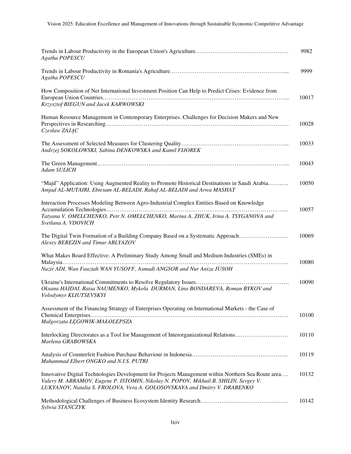| Agatha POPESCU                                                                                                                                                                                                                                                          | 9982  |
|-------------------------------------------------------------------------------------------------------------------------------------------------------------------------------------------------------------------------------------------------------------------------|-------|
| Agatha POPESCU                                                                                                                                                                                                                                                          | 9999  |
| How Composition of Net International Investment Position Can Help to Predict Crises: Evidence from<br>Krzysztof BIEGUN and Jacek KARWOWSKI                                                                                                                              | 10017 |
| Human Resource Management in Contemporary Enterprises. Challenges for Decision Makers and New<br>Czesław ZAJĄC                                                                                                                                                          | 10028 |
| Andrzej SOKOLOWSKI, Sabina DENKOWSKA and Kamil FIJOREK                                                                                                                                                                                                                  | 10033 |
| Adam SULICH                                                                                                                                                                                                                                                             | 10043 |
| "Majd" Application: Using Augmented Reality to Promote Historical Destinations in Saudi Arabia<br>Amjad AL-MUTAIRI, Ebtesam AL-BELADI, Rahaf AL-BELADI and Arwa MASHAT                                                                                                  | 10050 |
| Interaction Processes Modeling Between Agro-Industrial Complex Entities Based on Knowledge<br>Tatyana V. OMELCHENKO, Petr N. OMELCHENKO, Marina A. ZHUK, Irina A. TSYGANOVA and<br>Svetlana A. VDOVICH                                                                  | 10057 |
| The Digital Twin Formation of a Building Company Based on a Systematic Approach<br>Alexey BEREZIN and Timur ABLYAZOV                                                                                                                                                    | 10069 |
| What Makes Board Effective: A Preliminary Study Among Small and Medium Industries (SMEs) in<br>Nazir ADI, Wan Fauziah WAN YUSOFF, Asmadi ANGSOR and Nur Aniza JUSOH                                                                                                     | 10080 |
| Oksana HAIDAI, Raisa NAUMENKO, Mykola DURMAN, Lina BONDAREVA, Roman BYKOV and<br>Volodymyr KLIUTSEVSKYI                                                                                                                                                                 | 10090 |
| Assessment of the Financing Strategy of Enterprises Operating on International Markets - the Case of<br>Małgorzata ŁĘGOWIK-MAŁOLEPSZA                                                                                                                                   | 10100 |
| Interlocking Directorates as a Tool for Management of Interorganizational Relations<br>Marlena GRABOWSKA                                                                                                                                                                | 10110 |
| Muhammad Elbert ONGKO and N.I.S. PUTRI                                                                                                                                                                                                                                  | 10119 |
| Innovative Digital Technologies Development for Projects Management within Northern Sea Route area<br>Valery M. ABRAMOV, Eugene P. ISTOMIN, Nikolay N. POPOV, Mikhail B. SHILIN, Sergey V.<br>LUKYANOV, Natalia S. FROLOVA, Vera A. GOLOSOVSKAYA and Dmitry V. DRABENKO | 10132 |
| Sylwia STANCZYK                                                                                                                                                                                                                                                         | 10142 |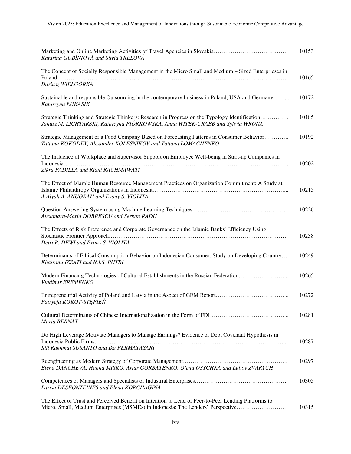| Katarína GUBÍNIOVÁ and Silvia TREĽOVÁ                                                                                                                                                  | 10153 |
|----------------------------------------------------------------------------------------------------------------------------------------------------------------------------------------|-------|
| The Concept of Socially Responsible Management in the Micro Small and Medium – Sized Enterprieses in                                                                                   | 10165 |
| Dariusz WIELGÓRKA                                                                                                                                                                      |       |
| Sustainable and responsible Outsourcing in the contemporary business in Poland, USA and Germany<br>Katarzyna ŁUKASIK                                                                   | 10172 |
| Strategic Thinking and Strategic Thinkers: Research in Progress on the Typology Identification<br>Janusz M. LICHTARSKI, Katarzyna PIÓRKOWSKA, Anna WITEK-CRABB and Sylwia WRONA        | 10185 |
| Strategic Management of a Food Company Based on Forecasting Patterns in Consumer Behavior<br>Tatiana KOKODEY, Alexander KOLESNIKOV and Tatiana LOMACHENKO                              | 10192 |
| The Influence of Workplace and Supervisor Support on Employee Well-being in Start-up Companies in<br>Zikra FADILLA and Riani RACHMAWATI                                                | 10202 |
| The Effect of Islamic Human Resource Management Practices on Organization Commitment: A Study at<br>A.Alyah A. ANUGRAH and Evony S. VIOLITA                                            | 10215 |
| Alexandra-Maria DOBRESCU and Serban RADU                                                                                                                                               | 10226 |
| The Effects of Risk Preference and Corporate Governance on the Islamic Banks' Efficiency Using<br>Detri R. DEWI and Evony S. VIOLITA                                                   | 10238 |
| Determinants of Ethical Consumption Behavior on Indonesian Consumer: Study on Developing Country<br>Khairana IZZATI and N.I.S. PUTRI                                                   | 10249 |
| Modern Financing Technologies of Cultural Establishments in the Russian Federation<br>Vladimir EREMENKO                                                                                | 10265 |
| Patrycja KOKOT-STĘPIEŃ                                                                                                                                                                 | 10272 |
| Maria BERNAT                                                                                                                                                                           | 10281 |
| Do High Leverage Motivate Managers to Manage Earnings? Evidence of Debt Covenant Hypothesis in<br>Idil Rakhmat SUSANTO and Ika PERMATASARI                                             | 10287 |
| Elena DANCHEVA, Hanna MISKO, Artur GORBATENKO, Olena OSYCHKA and Lubov ZVARYCH                                                                                                         | 10297 |
| Larisa DESFONTEINES and Elena KORCHAGINA                                                                                                                                               | 10305 |
| The Effect of Trust and Perceived Benefit on Intention to Lend of Peer-to-Peer Lending Platforms to<br>Micro, Small, Medium Enterprises (MSMEs) in Indonesia: The Lenders' Perspective | 10315 |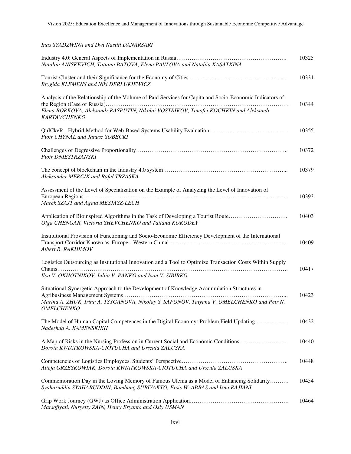*Inas SYADZWINA and Dwi Nastiti DANARSARI* 

| Nataliia ANISKEVICH, Tatiana BATOVA, Elena PAVLOVA and Nataliia KASATKINA                                                                                                                                             | 10325 |
|-----------------------------------------------------------------------------------------------------------------------------------------------------------------------------------------------------------------------|-------|
| Brygida KLEMENS and Niki DERLUKIEWICZ                                                                                                                                                                                 | 10331 |
| Analysis of the Relationship of the Volume of Paid Services for Capita and Socio-Economic Indicators of<br>Elena BORKOVA, Aleksandr RASPUTIN, Nikolai VOSTRIKOV, Timofei KOCHKIN and Aleksandr<br><b>KARTAVCHENKO</b> | 10344 |
| Piotr CHYNAL and Janusz SOBECKI                                                                                                                                                                                       | 10355 |
| Piotr DNIESTRZANSKI                                                                                                                                                                                                   | 10372 |
| Aleksander MERCIK and Rafał TRZASKA                                                                                                                                                                                   | 10379 |
| Assessment of the Level of Specialization on the Example of Analyzing the Level of Innovation of<br>Marek SZAJT and Agata MESJASZ-LECH                                                                                | 10393 |
| Application of Bioinspired Algorithms in the Task of Developing a Tourist Route<br>Olga CHENGAR, Victoria SHEVCHENKO and Tatiana KOKODEY                                                                              | 10403 |
| Institutional Provision of Functioning and Socio-Economic Efficiency Development of the International<br>Albert R. RAKHIMOV                                                                                           | 10409 |
| Logistics Outsourcing as Institutional Innovation and a Tool to Optimize Transaction Costs Within Supply<br>Ilya V. OKHOTNIKOV, Iuliia V. PANKO and Ivan V. SIBIRKO                                                   | 10417 |
| Situational-Synergetic Approach to the Development of Knowledge Accumulation Structures in<br>Marina A. ZHUK, Irina A. TSYGANOVA, Nikolay S. SAFONOV, Tatyana V. OMELCHENKO and Petr N.<br><b>OMELCHENKO</b>          | 10423 |
| The Model of Human Capital Competences in the Digital Economy: Problem Field Updating<br>Nadezhda A. KAMENSKIKH                                                                                                       | 10432 |
| A Map of Risks in the Nursing Profession in Current Social and Economic Conditions<br>Dorota KWIATKOWSKA-CIOTUCHA and Urszula ZALUSKA                                                                                 | 10440 |
| Alicja GRZESKOWIAK, Dorota KWIATKOWSKA-CIOTUCHA and Urszula ZALUSKA                                                                                                                                                   | 10448 |
| Commemoration Day in the Loving Memory of Famous Ulema as a Model of Enhancing Solidarity<br>Syaharuddin SYAHARUDDIN, Bambang SUBIYAKTO, Ersis W. ABBAS and Ismi RAJIANI                                              | 10454 |
| Marsofiyati, Nuryetty ZAIN, Henry Eryanto and Osly USMAN                                                                                                                                                              | 10464 |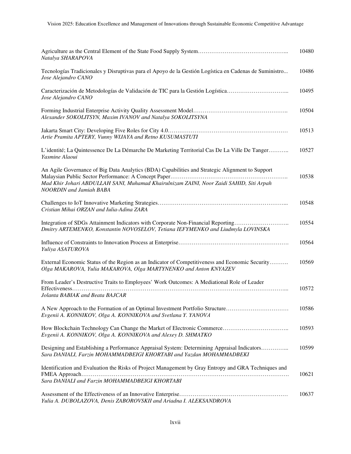| Natalya SHARAPOVA                                                                                                                                                                                                            | 10480 |
|------------------------------------------------------------------------------------------------------------------------------------------------------------------------------------------------------------------------------|-------|
| Tecnologías Tradicionales y Disruptivas para el Apoyo de la Gestión Logística en Cadenas de Suministro<br>Jose Alejandro CANO                                                                                                | 10486 |
| Caracterización de Metodologías de Validación de TIC para la Gestión Logística<br>Jose Alejandro CANO                                                                                                                        | 10495 |
| Alexander SOKOLITSYN, Maxim IVANOV and Natalya SOKOLITSYNA                                                                                                                                                                   | 10504 |
| Artie Pramita APTERY, Vunny WIJAYA and Retno KUSUMASTUTI                                                                                                                                                                     | 10513 |
| L'identité; La Quintessence De La Démarche De Marketing Territorial Cas De La Ville De Tanger<br>Yasmine Alaoui                                                                                                              | 10527 |
| An Agile Governance of Big Data Analytics (BDA) Capabilities and Strategic Alignment to Support<br>Mad Khir Johari ABDULLAH SANI, Muhamad Khairulnizam ZAINI, Noor Zaidi SAHID, Siti Arpah<br><b>NOORDIN</b> and Jamiah BABA | 10538 |
| Cristian Mihai ORZAN and Iulia-Adina ZARA                                                                                                                                                                                    | 10548 |
| Integration of SDGs Attainment Indicators with Corporate Non-Financial Reporting<br>Dmitry ARTEMENKO, Konstantin NOVOSELOV, Tetiana IEFYMENKO and Liudmyla LOVINSKA                                                          | 10554 |
| Yuliya ASATUROVA                                                                                                                                                                                                             | 10564 |
| External Economic Status of the Region as an Indicator of Competitiveness and Economic Security<br>Olga MAKAROVA, Yulia MAKAROVA, Olga MARTYNENKO and Anton KNYAZEV                                                          | 10569 |
| From Leader's Destructive Traits to Employees' Work Outcomes: A Mediational Role of Leader<br>Jolanta BABIAK and Beata BAJCAR                                                                                                | 10572 |
| A New Approach to the Formation of an Optimal Investment Portfolio Structure<br>Evgenii A. KONNIKOV, Olga A. KONNIKOVA and Svetlana Y. YANOVA                                                                                | 10586 |
| Evgenii A. KONNIKOV, Olga A. KONNIKOVA and Alexey D. SHMATKO                                                                                                                                                                 | 10593 |
| Designing and Establishing a Performance Appraisal System: Determining Appraisal Indicators<br>Sara DANIALI, Farzin MOHAMMADBEIGI KHORTABI and Yazdan MOHAMMADBEKI                                                           | 10599 |
| Identification and Evaluation the Risks of Project Management by Gray Entropy and GRA Techniques and                                                                                                                         | 10621 |
| Sara DANIALI and Farzin MOHAMMADBEIGI KHORTABI                                                                                                                                                                               |       |
| Yulia A. DUBOLAZOVA, Denis ZABOROVSKII and Ariadna I. ALEKSANDROVA                                                                                                                                                           | 10637 |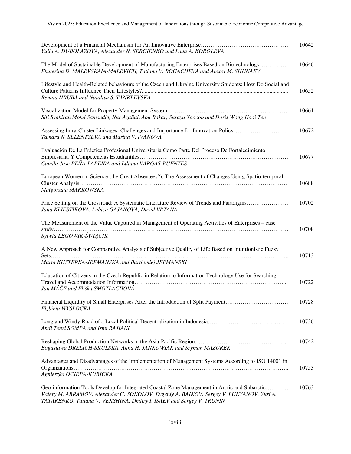| Yulia A. DUBOLAZOVA, Alexander N. SERGIENKO and Lada A. KOROLEVA                                                                                                                                                                                                | 10642 |
|-----------------------------------------------------------------------------------------------------------------------------------------------------------------------------------------------------------------------------------------------------------------|-------|
| The Model of Sustainable Development of Manufacturing Enterprises Based on Biotechnology<br>Ekaterina D. MALEVSKAIA-MALEVICH, Tatiana V. BOGACHEVA and Alexey M. SHUNAEV                                                                                        | 10646 |
| Lifestyle and Health-Related behaviours of the Czech and Ukraine University Students: How Do Social and<br>Renata HRUBÁ and Nataliya S. TANKLEVSKA                                                                                                              | 10652 |
| Siti Syakirah Mohd Samsudin, Nur Azaliah Abu Bakar, Suraya Yaacob and Doris Wong Hooi Ten                                                                                                                                                                       | 10661 |
| Assessing Intra-Cluster Linkages: Challenges and Importance for Innovation Policy<br>Tamara N. SELENTYEVA and Marina V. IVANOVA                                                                                                                                 | 10672 |
| Evaluación De La Práctica Profesional Universitaria Como Parte Del Proceso De Fortalecimiento<br>Camilo Jose PEÑA-LAPEIRA and Liliana VARGAS-PUENTES                                                                                                            | 10677 |
| European Women in Science (the Great Absentees?): The Assessment of Changes Using Spatio-temporal<br>Małgorzata MARKOWSKA                                                                                                                                       | 10688 |
| Price Setting on the Crossroad: A Systematic Literature Review of Trends and Paradigms<br>Jana KLIESTIKOVA, Lubica GAJANOVA, David VRTANA                                                                                                                       | 10702 |
| The Measurement of the Value Captured in Management of Operating Activities of Enterprises – case<br>Sylwia ŁEGOWIK-ŚWIĄCIK                                                                                                                                     | 10708 |
| A New Approach for Comparative Analysis of Subjective Quality of Life Based on Intuitionistic Fuzzy                                                                                                                                                             | 10713 |
| Marta KUSTERKA-JEFMANSKA and Bartlomiej JEFMANSKI                                                                                                                                                                                                               |       |
| Education of Citizens in the Czech Republic in Relation to Information Technology Use for Searching<br>Jan MÁČE and Eliška SMOTLACHOVÁ                                                                                                                          | 10722 |
| Financial Liquidity of Small Enterprises After the Introduction of Split Payment<br>Elzbieta WYSLOCKA                                                                                                                                                           | 10728 |
| Andi Tenri SOMPA and Ismi RAJIANI                                                                                                                                                                                                                               | 10736 |
| Bogusława DRELICH-SKULSKA, Anna H. JANKOWIAK and Szymon MAZUREK                                                                                                                                                                                                 | 10742 |
| Advantages and Disadvantages of the Implementation of Management Systems According to ISO 14001 in                                                                                                                                                              | 10753 |
| Agnieszka OCIEPA-KUBICKA                                                                                                                                                                                                                                        |       |
| Geo-information Tools Develop for Integrated Coastal Zone Management in Arctic and Subarctic<br>Valery M. ABRAMOV, Alexander G. SOKOLOV, Evgeniy A. BAIKOV, Sergey V. LUKYANOV, Yuri A.<br>TATARENKO, Tatiana V. VEKSHINA, Dmitry I. ISAEV and Sergey V. TRUNIN | 10763 |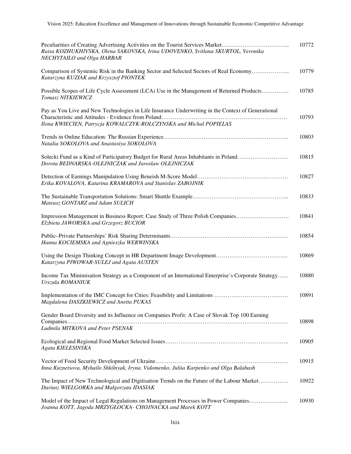| Peculiarities of Creating Advertising Activities on the Tourist Services Market<br>Raisa KOZHUKHIVSKA, Olena SAKOVSKA, Irina UDOVENKO, Svitlana SKURTOL, Veronika<br>NECHYTAILO and Olga HARBAR | 10772 |
|-------------------------------------------------------------------------------------------------------------------------------------------------------------------------------------------------|-------|
| Comparison of Systemic Risk in the Banking Sector and Selected Sectors of Real Economy<br>Katarzyna KUZIAK and Krzysztof PIONTEK                                                                | 10779 |
| Possible Scopes of Life Cycle Assessment (LCA) Use in the Management of Returned Products<br>Tomasz NITKIEWICZ                                                                                  | 10785 |
| Pay as You Live and New Technologies in Life Insurance Underwriting in the Context of Generational<br>Ilona KWIECIEN, Patrycja KOWALCZYK-ROLCZYNSKA and Michal POPIELAS                         | 10793 |
| Natalia SOKOLOVA and Anastasiya SOKOLOVA                                                                                                                                                        | 10803 |
| Solecki Fund as a Kind of Participatory Budget for Rural Areas Inhabitants in Poland<br>Dorota BEDNARSKA-OLEJNICZAK and Jaroslaw OLEJNICZAK                                                     | 10815 |
| Erika KOVALOVA, Katarina KRAMAROVA and Stanislav ZABOJNIK                                                                                                                                       | 10827 |
| Mateusz GONTARZ and Adam SULICH                                                                                                                                                                 | 10833 |
| Impression Management in Business Report: Case Study of Three Polish Companies<br>Elzbieta JAWORSKA and Grzegorz BUCIOR                                                                         | 10841 |
| Hanna KOCIEMSKA and Agnieszka WERWINSKA                                                                                                                                                         | 10854 |
| Katarzyna PIWOWAR-SULEJ and Agata AUSTEN                                                                                                                                                        | 10869 |
| Income Tax Minimisation Strategy as a Component of an International Enterprise's Corporate Strategy<br>Urszula ROMANIUK                                                                         | 10880 |
| Magdalena DASZKIEWICZ and Anetta PUKAS                                                                                                                                                          | 10891 |
| Gender Board Diversity and its Influence on Companies Profit: A Case of Slovak Top 100 Earning<br>Ludmila MITKOVA and Peter PSENAK                                                              | 10898 |
| Agata KIELESINSKA                                                                                                                                                                               | 10905 |
| Inna Kuznetsova, Myhailo Shkilnyak, Iryna. Vidomenko, Juliia Karpenko and Olga Balabash                                                                                                         | 10915 |
| The Impact of New Technological and Digitisation Trends on the Future of the Labour Market<br>Dariusz WIELGORKA and Małgorzata IDASIAK                                                          | 10922 |
| Model of the Impact of Legal Regulations on Management Processes in Power Companies<br>Joanna KOTT, Jagoda MRZYGŁOCKA- CHOJNACKA and Marek KOTT                                                 | 10930 |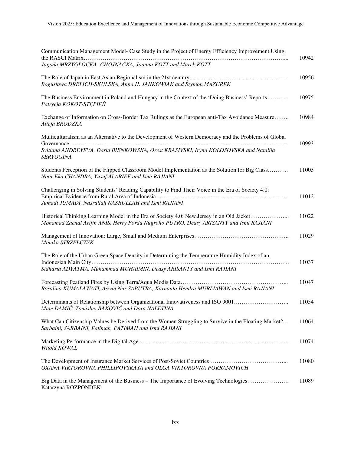| Communication Management Model- Case Study in the Project of Energy Efficiency Improvement Using                                                                                    | 10942 |
|-------------------------------------------------------------------------------------------------------------------------------------------------------------------------------------|-------|
| Jagoda MRZYGŁOCKA- CHOJNACKA, Joanna KOTT and Marek KOTT                                                                                                                            |       |
| Bogusława DRELICH-SKULSKA, Anna H. JANKOWIAK and Szymon MAZUREK                                                                                                                     | 10956 |
| The Business Environment in Poland and Hungary in the Context of the 'Doing Business' Reports<br>Patrycja KOKOT-STEPIEŃ                                                             | 10975 |
| Exchange of Information on Cross-Border Tax Rulings as the European anti-Tax Avoidance Measure<br>Alicja BRODZKA                                                                    | 10984 |
| Multiculturalism as an Alternative to the Development of Western Democracy and the Problems of Global                                                                               | 10993 |
| Svitlana ANDREYEVA, Daria BIENKOWSKA, Orest KRASIVSKI, Iryna KOLOSOVSKA and Nataliia<br><i>SERYOGINA</i>                                                                            |       |
| Students Perception of the Flipped Classroom Model Implementation as the Solution for Big Class<br>Noor Eka CHANDRA, Yusuf Al ARIEF and Ismi RAJIANI                                | 11003 |
| Challenging in Solving Students' Reading Capability to Find Their Voice in the Era of Society 4.0:<br>Jumadi JUMADI, Nasrullah NASRULLAH and Ismi RAJIANI                           | 11012 |
| Historical Thinking Learning Model in the Era of Society 4.0: New Jersey in an Old Jacket<br>Mohamad Zaenal Arifin ANIS, Herry Porda Nugroho PUTRO, Deasy ARISANTY and Ismi RAJIANI | 11022 |
| Monika STRZELCZYK                                                                                                                                                                   | 11029 |
| The Role of the Urban Green Space Density in Determining the Temperature Humidity Index of an                                                                                       |       |
| Sidharta ADYATMA, Muhammad MUHAIMIN, Deasy ARISANTY and Ismi RAJIANI                                                                                                                | 11037 |
| Rosalina KUMALAWATI, Aswin Nur SAPUTRA, Karnanto Hendra MURLIAWAN and Ismi RAJIANI                                                                                                  | 11047 |
| Determinants of Relationship between Organizational Innovativeness and ISO 9001<br>Mate DAMIC, Tomislav BAKOVIC and Dora NALETINA                                                   | 11054 |
| What Can Citizenship Values be Derived from the Women Struggling to Survive in the Floating Market?<br>Sarbaini, SARBAINI, Fatimah, FATIMAH and Ismi RAJIANI                        | 11064 |
| Witold KOWAL                                                                                                                                                                        | 11074 |
| OXANA VIKTOROVNA PHILLIPOVSKAYA and OLGA VIKTOROVNA POKRAMOVICH                                                                                                                     | 11080 |
| Big Data in the Management of the Business – The Importance of Evolving Technologies<br>Katarzyna ROZPONDEK                                                                         | 11089 |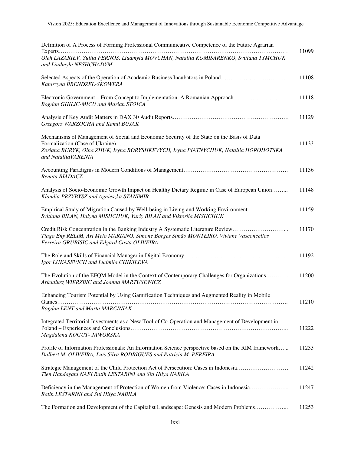| Definition of A Process of Forming Professional Communicative Competence of the Future Agrarian                                                                                                                          | 11099 |
|--------------------------------------------------------------------------------------------------------------------------------------------------------------------------------------------------------------------------|-------|
| Oleh LAZARIEV, Yuliia FERNOS, Liudmyla MOVCHAN, Nataliia KOMISARENKO, Svitlana TYMCHUK<br>and Liudmyla NESHCHADYM                                                                                                        |       |
| Selected Aspects of the Operation of Academic Business Incubators in Poland<br>Katarzyna BRENDZEL-SKOWERA                                                                                                                | 11108 |
| Electronic Government – From Concept to Implementation: A Romanian Approach<br>Bogdan GHILIC-MICU and Marian STOICA                                                                                                      | 11118 |
| Grzegorz WARZOCHA and Kamil BUJAK                                                                                                                                                                                        | 11129 |
| Mechanisms of Management of Social and Economic Security of the State on the Basis of Data<br>Zoriana BURYK, Olha ZHUK, Iryna BORYSHKEVYCH, Iryna PIATNYCHUK, Nataliia HOROHOTSKA<br>and NataliiaVARENIA                 | 11133 |
| Renata BIADACZ                                                                                                                                                                                                           | 11136 |
| Analysis of Socio-Economic Growth Impact on Healthy Dietary Regime in Case of European Union<br>Klaudia PRZYBYSZ and Agnieszka STANIMIR                                                                                  | 11148 |
| Empirical Study of Migration Caused by Well-being in Living and Working Environment<br>Svitlana BILAN, Halyna MISHCHUK, Yuriy BILAN and Viktoriia MISHCHUK                                                               | 11159 |
| Credit Risk Concentration in the Banking Industry A Systematic Literature Review<br>Tiago Eny RELIM, Ari Melo MARIANO, Simone Borges Simão MONTEIRO, Viviane Vasconcellos<br>Ferreira GRUBISIC and Edgard Costa OLIVEIRA | 11170 |
| Igor LUKASEVICH and Ludmila CHIKILEVA                                                                                                                                                                                    | 11192 |
| The Evolution of the EFQM Model in the Context of Contemporary Challenges for Organizations<br>Arkadiusz WIERZBIC and Joanna MARTUSEWICZ                                                                                 | 11200 |
| Enhancing Tourism Potential by Using Gamification Techniques and Augmented Reality in Mobile<br>Bogdan LENT and Marta MARCINIAK                                                                                          | 11210 |
| Integrated Territorial Investments as a New Tool of Co-Operation and Management of Development in<br>Magdalena KOGUT- JAWORSKA                                                                                           | 11222 |
| Profile of Information Professionals: An Information Science perspective based on the RIM framework<br>Dalbert M. OLIVEIRA, Luís Silva RODRIGUES and Patrícia M. PEREIRA                                                 | 11233 |
| Strategic Management of the Child Protection Act of Persecution: Cases in Indonesia<br>Tien Handayani NAFI.Ratih LESTARINI and Siti Hilya NABILA                                                                         | 11242 |
| Deficiency in the Management of Protection of Women from Violence: Cases in Indonesia<br>Ratih LESTARINI and Siti Hilya NABILA                                                                                           | 11247 |
| The Formation and Development of the Capitalist Landscape: Genesis and Modern Problems                                                                                                                                   | 11253 |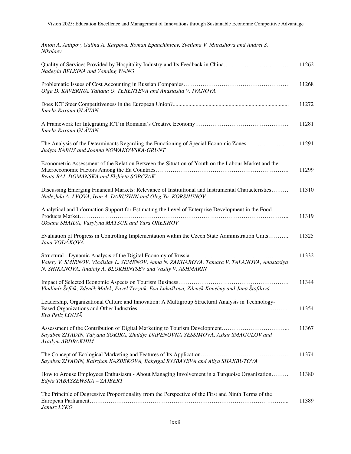| Anton A. Antipov, Galina A. Karpova, Roman Epanchintcev, Svetlana V. Murashova and Andrei S.<br>Nikolaev                                                         |       |
|------------------------------------------------------------------------------------------------------------------------------------------------------------------|-------|
| Quality of Services Provided by Hospitality Industry and Its Feedback in China<br>Nadezda BELKINA and Yanqing WANG                                               | 11262 |
| Olga D. KAVERINA, Tatiana O. TERENTEVA and Anastasiia V. IVANOVA                                                                                                 | 11268 |
| Ionela-Roxana GLĂVAN                                                                                                                                             | 11272 |
| Ionela-Roxana GLĂVAN                                                                                                                                             | 11281 |
| The Analysis of the Determinants Regarding the Functioning of Special Economic Zones<br>Judyta KABUS and Joanna NOWAKOWSKA-GRUNT                                 | 11291 |
| Econometric Assessment of the Relation Between the Situation of Youth on the Labour Market and the<br>Beata BAL-DOMANSKA and Elzbieta SOBCZAK                    | 11299 |
| Discussing Emerging Financial Markets: Relevance of Institutional and Instrumental Characteristics<br>Nadezhda A. LVOVA, Ivan A. DARUSHIN and Oleg Yu. KORSHUNOV | 11310 |
| Analytical and Information Support for Estimating the Level of Enterprise Development in the Food<br>Oksana SHAIDA, Vasylyna MATSUK and Yura OREKHOV             | 11319 |
| Evaluation of Progress in Controlling Implementation within the Czech State Administration Units<br>Jana VODÁKOVÁ                                                | 11325 |
| Valery V. SMIRNOV, Vladislav L. SEMENOV, Anna N. ZAKHAROVA, Tamara V. TALANOVA, Anastasiya<br>N. SHIKANOVA, Anatoly A. BLOKHINTSEV and Vasily V. ASHMARIN        | 11332 |
| Vladimír Šefčík, Zdeněk Málek, Pavel Tvrzník, Eva Lukášková, Zdeněk Konečný and Jana Štofilová                                                                   | 11344 |
| Leadership, Organizational Culture and Innovation: A Multigroup Structural Analysis in Technology-<br>Eva Petiz LOUSÃ                                            | 11354 |
| Sayabek ZIYADIN, Tatyana SOKIRA, Zhuldyz DAPENOVNA YESSIMOVA, Askar SMAGULOV and<br>Arailym ABDRAKHIM                                                            | 11367 |
| Sayabek ZIYADIN, Kairzhan KAZBEKOVA, Bakytgul RYSBAYEVA and Aliya SHAKBUTOVA                                                                                     | 11374 |
| How to Arouse Employees Enthusiasm - About Managing Involvement in a Turquoise Organization<br>Edyta TABASZEWSKA - ZAJBERT                                       | 11380 |
| The Principle of Degressive Proportionality from the Perspective of the First and Ninth Terms of the<br>Janusz LYKO                                              | 11389 |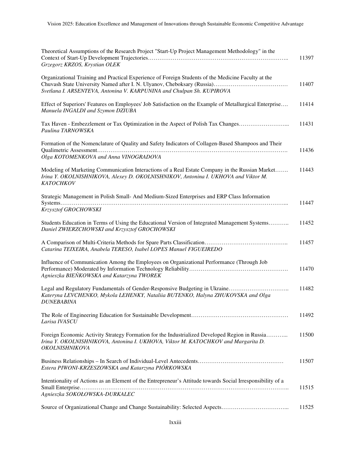| Theoretical Assumptions of the Research Project "Start-Up Project Management Methodology" in the<br>Grzegorz KRZOS, Krystian OLEK                                                                            | 11397 |
|--------------------------------------------------------------------------------------------------------------------------------------------------------------------------------------------------------------|-------|
| Organizational Training and Practical Experience of Foreign Students of the Medicine Faculty at the<br>Svetlana I. ARSENTEVA, Antonina V. KARPUNINA and Chulpan Sh. KUPIROVA                                 | 11407 |
| Effect of Superiors' Features on Employees' Job Satisfaction on the Example of Metallurgical Enterprise<br>Manuela INGALDI and Szymon DZIUBA                                                                 | 11414 |
| Tax Haven - Embezzlement or Tax Optimization in the Aspect of Polish Tax Changes<br>Paulina TARNOWSKA                                                                                                        | 11431 |
| Formation of the Nomenclature of Quality and Safety Indicators of Collagen-Based Shampoos and Their<br>Olga KOTOMENKOVA and Anna VINOGRADOVA                                                                 | 11436 |
| Modeling of Marketing Communication Interactions of a Real Estate Company in the Russian Market<br>Irina Y. OKOLNISHNIKOVA, Alexey D. OKOLNISHNIKOV, Antonina I. UKHOVA and Viktor M.<br><b>KATOCHKOV</b>    | 11443 |
| Strategic Management in Polish Small- And Medium-Sized Enterprises and ERP Class Information<br>Krzysztof GROCHOWSKI                                                                                         | 11447 |
| Students Education in Terms of Using the Educational Version of Integrated Management Systems<br>Daniel ZWIERZCHOWSKI and Krzysztof GROCHOWSKI                                                               | 11452 |
| Catarina TEIXEIRA, Anabela TERESO, Isabel LOPES Manuel FIGUEIREDO                                                                                                                                            | 11457 |
| Influence of Communication Among the Employees on Organizational Performance (Through Job<br>Agnieszka BIEŃKOWSKA and Katarzyna TWOREK                                                                       | 11470 |
| Legal and Regulatory Fundamentals of Gender-Responsive Budgeting in Ukraine<br>Kateryna LEVCHENKO, Mykola LEHENKY, Nataliia BUTENKO, Halyna ZHUKOVSKA and Olga<br><b>DUNEBABINA</b>                          | 11482 |
| Larisa IVASCU                                                                                                                                                                                                | 11492 |
| Foreign Economic Activity Strategy Formation for the Industrialized Developed Region in Russia<br>Irina Y. OKOLNISHNIKOVA, Antonina I. UKHOVA, Viktor M. KATOCHKOV and Margarita D.<br><b>OKOLNISHNIKOVA</b> | 11500 |
| Estera PIWONI-KRZESZOWSKA and Katarzyna PIÓRKOWSKA                                                                                                                                                           | 11507 |
| Intentionality of Actions as an Element of the Entrepreneur's Attitude towards Social Irresponsibility of a<br>Agnieszka SOKOŁOWSKA-DURKALEC                                                                 | 11515 |
| Source of Organizational Change and Change Sustainability: Selected Aspects                                                                                                                                  | 11525 |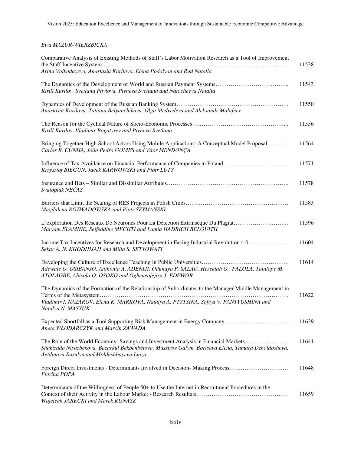## *Ewa MAZUR-WIERZBICKA*

| Comparative Analysis of Existing Methods of Staff's Labor Motivation Research as a Tool of Improvement                                                                                                                                 | 11538 |
|----------------------------------------------------------------------------------------------------------------------------------------------------------------------------------------------------------------------------------------|-------|
| Arina Volkodayeva, Anastasia Kurilova, Elena Podolyan and Rud Natalia                                                                                                                                                                  |       |
| Kirill Kurilov, Svetlana Pavlova, Pivneva Svetlana and Natocheeva Natalia                                                                                                                                                              | 11543 |
| Anastasia Kurilova, Tatiana Belyanchikova, Olga Medvedeva and Aleksandr Malafeev                                                                                                                                                       | 11550 |
| Kirill Kurilov, Vladimir Bogatyrev and Pivneva Svetlana                                                                                                                                                                                | 11556 |
| Bringing Together High School Actors Using Mobile Applications: A Conceptual Model Proposal<br>Carlos R. CUNHA, João Pedro GOMES and Vítor MENDONÇA                                                                                    | 11564 |
| Influence of Tax Avoidance on Financial Performance of Companies in Poland<br>Krzysztof BIEGUN, Jacek KARWOWSKI and Piotr LUTY                                                                                                         | 11571 |
| Svatopluk NEČAS                                                                                                                                                                                                                        | 11578 |
| Magdalena ROZWADOWSKA and Piotr SZYMAŃSKI                                                                                                                                                                                              | 11583 |
| L'exploration Des Réseaux De Neurones Pour La Détection Extrinsèque Du Plagiat<br>Maryam ELAMINE, Seifeddine MECHTI and Lamia HADRICH BELGUITH                                                                                         | 11596 |
| Income Tax Incentives for Research and Development in Facing Industrial Revolution 4.0<br>Sekar A. N. KHODHIJAH and Milla S. SETYOWATI                                                                                                 | 11604 |
| Adewale O. OSIBANJO, Anthonia A. ADENIJI, Odunayo P. SALAU, Hezekiah O. FALOLA, Tolulope M.<br>ATOLAGBE, Abisola O. OSOKO and Ogheneofejiro J. EDEWOR.                                                                                 | 11614 |
| The Dynamics of the Formation of the Relationship of Subordinates to the Manager Middle Management in<br>Vladimir I. NAZAROV, Elena K. MARKOVA, Natalya A. PTYTSINA, Sofiya V. PANTYUSHINA and<br>Natalya N. MASYUK                    | 11622 |
| Aneta WŁODARCZYK and Marcin ZAWADA                                                                                                                                                                                                     | 11629 |
| The Role of the World Economy: Savings and Investment Analysis in Financial Markets<br>Shakizada Niyazbekova, Bazarkul Bekbenbetova, Mussirov Galym, Borisova Elena, Tamara Dzholdosheva,<br>Aetdinova Rasulya and Moldashbayeva Luiza | 11641 |
| Foreign Direct Investments - Determinants Involved in Decision-Making Process<br>Florina POPA                                                                                                                                          | 11648 |
| Determinants of the Willingness of People 50+ to Use the Internet in Recruitment Procedures in the<br>Wojciech JARECKI and Marek KUNASZ                                                                                                | 11659 |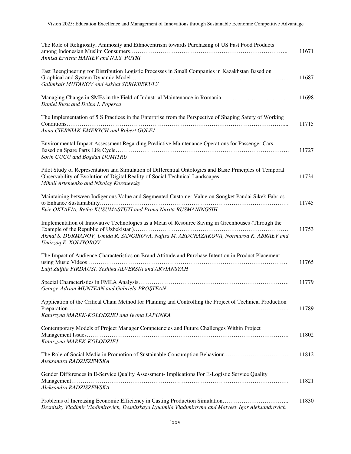| The Role of Religiosity, Animosity and Ethnocentrism towards Purchasing of US Fast Food Products<br>Annisa Erviena HANIEV and N.I.S. PUTRI                                                                                          | 11671 |
|-------------------------------------------------------------------------------------------------------------------------------------------------------------------------------------------------------------------------------------|-------|
| Fast Reengineering for Distribution Logistic Processes in Small Companies in Kazakhstan Based on<br>Galimkair MUTANOV and Askhat SERIKBEKULY                                                                                        | 11687 |
| Daniel Rusu and Doina I. Popescu                                                                                                                                                                                                    | 11698 |
| The Implementation of 5 S Practices in the Enterprise from the Perspective of Shaping Safety of Working<br>Anna CIERNIAK-EMERYCH and Robert GOLEJ                                                                                   | 11715 |
| Environmental Impact Assessment Regarding Predictive Maintenance Operations for Passenger Cars<br>Sorin CUCU and Bogdan DUMITRU                                                                                                     | 11727 |
| Pilot Study of Representation and Simulation of Differential Ontologies and Basic Principles of Temporal<br>Observability of Evolution of Digital Reality of Social-Technical Landscapes<br>Mihail Artemenko and Nikolay Korenevsky | 11734 |
| Maintaining between Indigenous Value and Segmented Customer Value on Songket Pandai Sikek Fabrics<br>Evie OKTAFIA, Retho KUSUMASTUTI and Prima Nurita RUSMANINGSIH                                                                  | 11745 |
| Implementation of Innovative Technologies as a Mean of Resource Saving in Greenhouses (Through the<br>Akmal S. DURMANOV, Umida R. SANGIROVA, Nafisa M. ABDURAZAKOVA, Normurod K. ABRAEV and<br>Umirzoq E. XOLIYOROV                 | 11753 |
| The Impact of Audience Characteristics on Brand Attitude and Purchase Intention in Product Placement<br>Lutfi Zulfita FIRDAUSI, Yeshika ALVERSIA and ARVIANSYAH                                                                     | 11765 |
| George-Adrian MUNTEAN and Gabriela PROȘTEAN                                                                                                                                                                                         | 11779 |
| Application of the Critical Chain Method for Planning and Controlling the Project of Technical Production<br>Katarzyna MAREK-KOLODZIEJ and Iwona LAPUNKA                                                                            | 11789 |
| Contemporary Models of Project Manager Competencies and Future Challenges Within Project<br>Katarzyna MAREK-KOLODZIEJ                                                                                                               | 11802 |
| Aleksandra RADZISZEWSKA                                                                                                                                                                                                             | 11812 |
| Gender Differences in E-Service Quality Assessment- Implications For E-Logistic Service Quality<br>Aleksandra RADZISZEWSKA                                                                                                          | 11821 |
| Problems of Increasing Economic Efficiency in Casting Production Simulation<br>Desnitsky Vladimir Vladimirovich, Desnitskaya Lyudmila Vladimirovna and Matveev Igor Aleksandrovich                                                  | 11830 |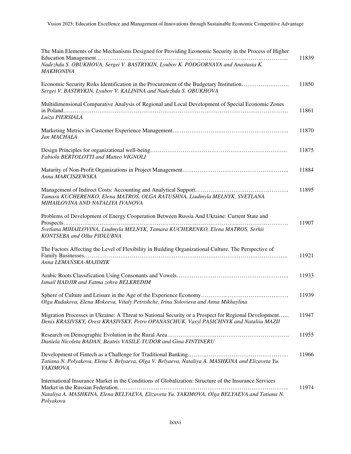| The Main Elements of the Mechanisms Designed for Providing Economic Security in the Process of Higher                                                                                                             | 11839 |
|-------------------------------------------------------------------------------------------------------------------------------------------------------------------------------------------------------------------|-------|
| Nadezhda S. OBUKHOVA, Sergei V. BASTRYKIN, Lyubov K. PODGORNAYA and Anastasia K.<br><b>MAKHONINA</b>                                                                                                              |       |
| Economic Security Risks Identification in the Procurement of the Budgetary Institution<br>Sergei V. BASTRYKIN, Lyubov V. KALININA and Nadezhda S. OBUKHOVA                                                        | 11850 |
| Multidimensional Comparative Analysis of Regional and Local Development of Special Economic Zones<br>Luiza PIERSIALA                                                                                              | 11861 |
| Jan MACHALA                                                                                                                                                                                                       | 11870 |
| Fabiola BERTOLOTTI and Matteo VIGNOLI                                                                                                                                                                             | 11875 |
| Anna MARCISZEWSKA                                                                                                                                                                                                 | 11884 |
| Tamara KUCHERENKO, Elena MATROS, OLGA RATUSHNA, Liudmyla MELNYK, SVETLANA<br>MIHAILOVINA AND NATALIYA IVANOVA                                                                                                     | 11895 |
| Problems of Development of Energy Cooperation Between Russia And Ukraine: Current State and<br>Svetlana MIHAILOVINA, Liudmyla MELNYK, Tamara KUCHERENKO, Elena MATROS, Serhii<br>KONTSEBA and Olha PIDLUBNA       | 11907 |
| The Factors Affecting the Level of Flexibility in Building Organizational Culture. The Perspective of<br>Anna LEMAŃSKA-MAJDZIK                                                                                    | 11921 |
| Ismail HADJIR and Fatma zohra BELKREDIM                                                                                                                                                                           | 11933 |
| Olga Rudakova, Elena Mokeeva, Vitaly Petrishche, Irina Solovieva and Anna Mikhaylina                                                                                                                              | 11939 |
| Migration Processes in Ukraine: A Threat to National Security or a Prospect for Regional Development<br>Denis KRASIVSKY, Orest KRASIVSKY, Petro OPANASCHUK, Vasyl PASICHNYK and Nataliia MAZII                    | 11947 |
| Daniela Nicoleta BADAN, Beatris VASILE-TUDOR and Gina FINTINERU                                                                                                                                                   | 11955 |
| Tatiana N. Polyakova, Elena S. Belyaeva, Olga V. Belyaeva, Nataliya A. MASHKINA and Elizaveta Yu.<br>YAKIMOVA                                                                                                     | 11966 |
| International Insurance Market in the Conditions of Globalization: Structure of the Insurance Services<br>Nataliya A. MASHKINA, Elena BELYAEVA, Elizaveta Yu. YAKIMOVA, Olga BELYAEVA and Tatiana N.<br>Polyakova | 11974 |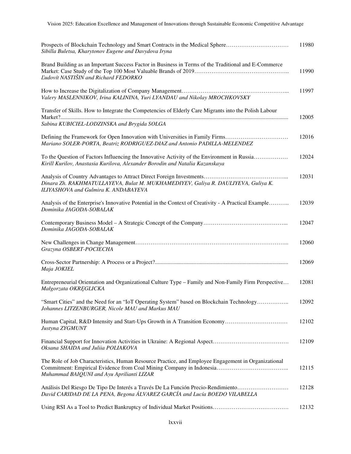| Prospects of Blockchain Technology and Smart Contracts in the Medical Sphere<br>Sibilla Buletsa, Kharytonov Eugene and Davydova Iryna                                       | 11980 |
|-----------------------------------------------------------------------------------------------------------------------------------------------------------------------------|-------|
| Brand Building as an Important Success Factor in Business in Terms of the Traditional and E-Commerce<br><b>Ludovít NASTIŠIN and Richard FEDORKO</b>                         | 11990 |
| Valery MASLENNIKOV, Irina KALININA, Yuri LYANDAU and Nikolay MROCHKOVSKY                                                                                                    | 11997 |
| Transfer of Skills. How to Integrate the Competencies of Elderly Care Migrants into the Polish Labour                                                                       | 12005 |
| Sabina KUBICIEL-LODZINSKA and Brygida SOLGA                                                                                                                                 |       |
| Defining the Framework for Open Innovation with Universities in Family Firms<br>Mariano SOLER-PORTA, Beatriz RODRIGUEZ-DIAZ and Antonio PADILLA-MELENDEZ                    | 12016 |
| To the Question of Factors Influencing the Innovative Activity of the Environment in Russia<br>Kirill Kurilov, Anastasia Kurilova, Alexander Borodin and Natalia Kazanskaya | 12024 |
| Dinara Zh. RAKHMATULLAYEVA, Bulat M. MUKHAMEDIYEV, Galiya R. DAULIYEVA, Guliya K.<br>ILIYASHOVA and Gulmira K. ANDABAYEVA                                                   | 12031 |
| Analysis of the Enterprise's Innovative Potential in the Context of Creativity - A Practical Example<br>Dominika JAGODA-SOBALAK                                             | 12039 |
| Dominika JAGODA-SOBALAK                                                                                                                                                     | 12047 |
| Grazyna OSBERT-POCIECHA                                                                                                                                                     | 12060 |
| Maja JOKIEL                                                                                                                                                                 | 12069 |
| Entrepreneurial Orientation and Organizational Culture Type – Family and Non-Family Firm Perspective<br>Małgorzata OKREGLICKA                                               | 12081 |
| "Smart Cities" and the Need for an "IoT Operating System" based on Blockchain Technology<br>Johannes LITZENBURGER, Nicole MAU and Markus MAU                                | 12092 |
| Justyna ZYGMUNT                                                                                                                                                             | 12102 |
| Oksana SHAIDA and Juliia POLIAKOVA                                                                                                                                          | 12109 |
| The Role of Job Characteristics, Human Resource Practice, and Employee Engagement in Organizational<br>Muhammad BAIQUNI and Ayu Aprilianti LIZAR                            | 12115 |
| Análisis Del Riesgo De Tipo De Interés a Través De La Función Precio-Rendimiento<br>David CARIDAD DE LA PENA, Begona ÁLVAREZ GARCÍA and Lucía BOEDO VILABELLA               | 12128 |
|                                                                                                                                                                             | 12132 |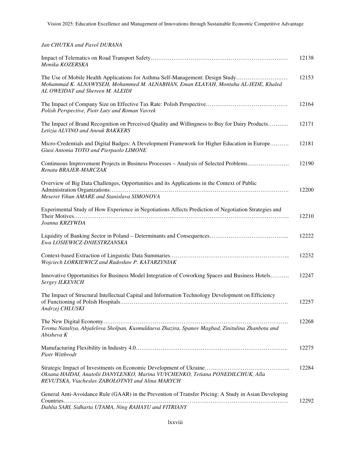| Jan CHUTKA and Pavol DURANA                                                                                                                                                                             |       |
|---------------------------------------------------------------------------------------------------------------------------------------------------------------------------------------------------------|-------|
| Monika KOZERSKA                                                                                                                                                                                         | 12138 |
| The Use of Mobile Health Applications for Asthma Self-Management: Design Study<br>Mohammad K. ALNAWYSEH, Mohammed M. ALNABHAN, Eman ELAYAH, Montaha AL-IEDE, Khaled<br>AL OWEIDAT and Shereen M. ALEIDI | 12153 |
| Polish Perspective, Piotr Luty and Roman Vavrek                                                                                                                                                         | 12164 |
| The Impact of Brand Recognition on Perceived Quality and Willingness to Buy for Dairy Products<br>Letizia ALVINO and Anouk BAKKERS                                                                      | 12171 |
| Micro-Credentials and Digital Badges: A Development Framework for Higher Education in Europe<br>Giusi Antonia TOTO and Pierpaolo LIMONE                                                                 | 12181 |
| Continuous Improvement Projects in Business Processes – Analysis of Selected Problems<br>Renata BRAJER-MARCZAK                                                                                          | 12190 |
| Overview of Big Data Challenges, Opportunities and its Applications in the Context of Public<br>Meseret Yihun AMARE and Stanislava SIMONOVA                                                             | 12200 |
| Experimental Study of How Experience in Negotiations Affects Prediction of Negotiation Strategies and<br>Joanna KRZYWDA                                                                                 | 12210 |
| Ewa LOSIEWICZ-DNIESTRZANSKA                                                                                                                                                                             | 12222 |
| Wojciech LORKIEWICZ and Radosław P. KATARZYNIAK                                                                                                                                                         | 12232 |
| Innovative Opportunities for Business Model Integration of Coworking Spaces and Business Hotels<br>Sergey ILKEVICH                                                                                      | 12247 |
| The Impact of Structural Intellectual Capital and Information Technology Development on Efficiency<br>Andrzej CHLUSKI                                                                                   | 12257 |
| Tovma Nataliya, Abjalelova Sholpan, Kusmuldaeva Zhazira, Spanov Magbad, Zinitulina Zhanbota and<br>Abisheva K                                                                                           | 12268 |
| Piotr Wittbrodt                                                                                                                                                                                         | 12275 |
| Oksana HAIDAI, Anatolii DANYLENKO, Marina VUYCHENKO, Tetiana PONEDILCHUK, Alla<br>REVUTSKA, Viacheslav ZABOLOTNYI and Alina MARYCH                                                                      | 12284 |
| General Anti-Avoidance Rule (GAAR) in the Prevention of Transfer Pricing: A Study in Asian Developing<br>Dahlia SARI, Sidharta UTAMA, Ning RAHAYU and FITRIANY                                          | 12292 |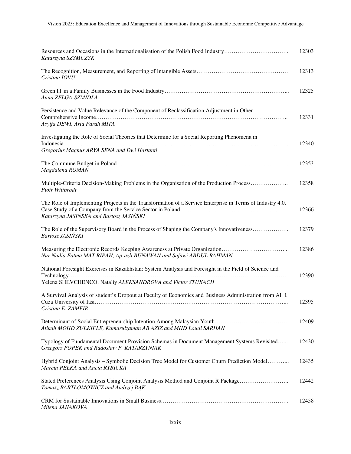| Resources and Occasions in the Internationalisation of the Polish Food Industry<br>Katarzyna SZYMCZYK                                                               | 12303 |
|---------------------------------------------------------------------------------------------------------------------------------------------------------------------|-------|
| Cristina IOVU                                                                                                                                                       | 12313 |
| Anna ZELGA-SZMIDLA                                                                                                                                                  | 12325 |
| Persistence and Value Relevance of the Component of Reclassification Adjustment in Other<br>Asyifa DEWI, Aria Farah MITA                                            | 12331 |
| Investigating the Role of Social Theories that Determine for a Social Reporting Phenomena in<br>Gregorius Magnus ARYA SENA and Dwi Hartanti                         | 12340 |
| Magdalena ROMAN                                                                                                                                                     | 12353 |
| Multiple-Criteria Decision-Making Problems in the Organisation of the Production Process<br>Piotr Wittbrodt                                                         | 12358 |
| The Role of Implementing Projects in the Transformation of a Service Enterprise in Terms of Industry 4.0.<br>Katarzyna JASIŃSKA and Bartosz JASIŃSKI                | 12366 |
| The Role of the Supervisory Board in the Process of Shaping the Company's Innovativeness<br>Bartosz JASIŃSKI                                                        | 12379 |
| Nur Nadia Fatma MAT RIPAH, Ap-azli BUNAWAN and Safawi ABDUL RAHMAN                                                                                                  | 12386 |
| National Foresight Exercises in Kazakhstan: System Analysis and Foresight in the Field of Science and<br>Yelena SHEVCHENCO, Nataliy ALEKSANDROVA and Victor STUKACH | 12390 |
| A Survival Analysis of student's Dropout at Faculty of Economics and Business Administration from Al. I.<br>Cristina E. ZAMFIR                                      | 12395 |
| Atikah MOHD ZULKIFLE, Kamarulzaman AB AZIZ and MHD Louai SARHAN                                                                                                     | 12409 |
| Typology of Fundamental Document Provision Schemas in Document Management Systems Revisited<br>Grzegorz POPEK and Radosław P. KATARZYNIAK                           | 12430 |
| Hybrid Conjoint Analysis - Symbolic Decision Tree Model for Customer Churn Prediction Model<br>Marcin PEŁKA and Aneta RYBICKA                                       | 12435 |
| Stated Preferences Analysis Using Conjoint Analysis Method and Conjoint R Package<br>Tomasz BARTŁOMOWICZ and Andrzej BĄK                                            | 12442 |
| Milena JANAKOVA                                                                                                                                                     | 12458 |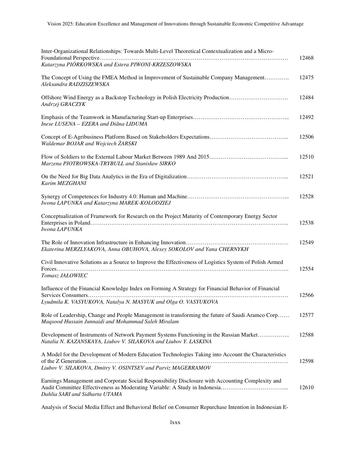| Inter-Organizational Relationships: Towards Multi-Level Theoretical Contextualization and a Micro-                                                                     | 12468 |
|------------------------------------------------------------------------------------------------------------------------------------------------------------------------|-------|
| Katarzyna PIÓRKOWSKA and Estera PIWONI-KRZESZOWSKA                                                                                                                     |       |
| The Concept of Using the FMEA Method in Improvement of Sustainable Company Management<br>Aleksandra RADZISZEWSKA                                                       | 12475 |
| Offshore Wind Energy as a Backstop Technology in Polish Electricity Production<br>Andrzej GRACZYK                                                                      | 12484 |
| Inese LUSENA - EZERA and Diāna LIDUMA                                                                                                                                  | 12492 |
| Waldemar BOJAR and Wojciech ŻARSKI                                                                                                                                     | 12506 |
| Marzena PIOTROWSKA-TRYBULL and Stanisław SIRKO                                                                                                                         | 12510 |
| Karim MEZGHANI                                                                                                                                                         | 12521 |
| Iwona LAPUNKA and Katarzyna MAREK-KOLODZIEJ                                                                                                                            | 12528 |
| Conceptualization of Framework for Research on the Project Maturity of Contemporary Energy Sector<br>Iwona LAPUNKA                                                     | 12538 |
| Ekaterina MERZLYAKOVA, Anna OBUHOVA, Alexey SOKOLOV and Yana CHERNYKH                                                                                                  | 12549 |
| Civil Innovative Solutions as a Source to Improve the Effectiveness of Logistics System of Polish Armed<br>Tomasz JAŁOWIEC                                             | 12554 |
| Influence of the Financial Knowledge Index on Forming A Strategy for Financial Behavior of Financial<br>Lyudmila K. VASYUKOVA, Natalya N. MASYUK and Olga O. VASYUKOVA | 12566 |
| Role of Leadership, Change and People Management in transforming the future of Saudi Aramco Corp<br>Maqsood Hussain Junnaidi and Mohammad Saleh Miralam                | 12577 |
| Development of Instruments of Network Payment Systems Functioning in the Russian Market<br>Natalia N. KAZANSKAYA, Liubov V. SILAKOVA and Liubov Y. LASKINA             | 12588 |
| A Model for the Development of Modern Education Technologies Taking into Account the Characteristics<br>Liubov V. SILAKOVA, Dmitry V. OSINTSEV and Parviz MAGERRAMOV   | 12598 |
| Earnings Management and Corporate Social Responsibility Disclosure with Accounting Complexity and<br>Dahlia SARI and Sidharta UTAMA                                    | 12610 |

Analysis of Social Media Effect and Behavioral Belief on Consumer Repurchase Intention in Indonesian E-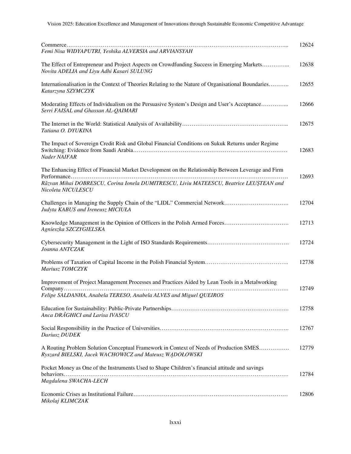| Femi Nisa WIDYAPUTRI, Yeshika ALVERSIA and ARVIANSYAH                                                                                                                                                              | 12624 |
|--------------------------------------------------------------------------------------------------------------------------------------------------------------------------------------------------------------------|-------|
| The Effect of Entrepreneur and Project Aspects on Crowdfunding Success in Emerging Markets<br>Novita ADELIA and Liyu Adhi Kasari SULUNG                                                                            | 12638 |
| Internationalisation in the Context of Theories Relating to the Nature of Organisational Boundaries<br>Katarzyna SZYMCZYK                                                                                          | 12655 |
| Moderating Effects of Individualism on the Persuasive System's Design and User's Acceptance<br>Serri FAISAL and Ghassan AL-QAIMARI                                                                                 | 12666 |
| Tatiana O. DYUKINA                                                                                                                                                                                                 | 12675 |
| The Impact of Sovereign Credit Risk and Global Financial Conditions on Sukuk Returns under Regime<br>Nader NAIFAR                                                                                                  | 12683 |
| The Enhancing Effect of Financial Market Development on the Relationship Between Leverage and Firm<br>Răzvan Mihai DOBRESCU, Corina Ionela DUMITRESCU, Liviu MATEESCU, Beatrice LEUȘTEAN and<br>Nicoleta NICULESCU | 12693 |
| Judyta KABUS and Ireneusz MICIUŁA                                                                                                                                                                                  | 12704 |
| Agnieszka SZCZYGIELSKA                                                                                                                                                                                             | 12713 |
| Joanna ANTCZAK                                                                                                                                                                                                     | 12724 |
| Mariusz TOMCZYK                                                                                                                                                                                                    | 12738 |
| Improvement of Project Management Processes and Practices Aided by Lean Tools in a Metalworking<br>Felipe SALDANHA, Anabela TERESO, Anabela ALVES and Miguel QUEIROS                                               | 12749 |
| Anca DRAGHICI and Larisa IVASCU                                                                                                                                                                                    | 12758 |
| Dariusz DUDEK                                                                                                                                                                                                      | 12767 |
| A Routing Problem Solution Conceptual Framework in Context of Needs of Production SMES<br>Ryszard BIELSKI, Jacek WACHOWICZ and Mateusz WADOŁOWSKI                                                                  | 12779 |
| Pocket Money as One of the Instruments Used to Shape Children's financial attitude and savings                                                                                                                     | 12784 |
| Magdalena SWACHA-LECH                                                                                                                                                                                              |       |
| Mikolaj KLIMCZAK                                                                                                                                                                                                   | 12806 |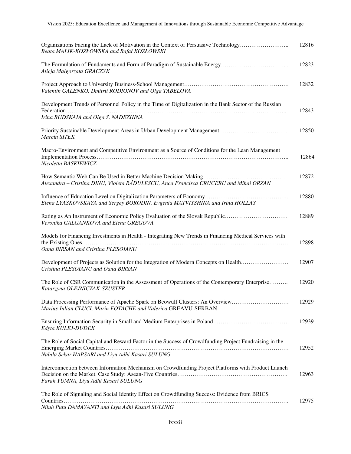| Organizations Facing the Lack of Motivation in the Context of Persuasive Technology<br>Beata MALIK-KOZŁOWSKA and Rafał KOZŁOWSKI                           | 12816 |
|------------------------------------------------------------------------------------------------------------------------------------------------------------|-------|
| Alicja Malgorzata GRACZYK                                                                                                                                  | 12823 |
| Valentin GALENKO, Dmitrii RODIONOV and Olga TABELOVA                                                                                                       | 12832 |
| Development Trends of Personnel Policy in the Time of Digitalization in the Bank Sector of the Russian<br>Irina RUDSKAIA and Olga S. NADEZHINA             | 12843 |
| <b>Marcin SITEK</b>                                                                                                                                        | 12850 |
| Macro-Environment and Competitive Environment as a Source of Conditions for the Lean Management<br>Nicoletta BASKIEWICZ                                    | 12864 |
| Alexandra - Cristina DINU, Violeta RADULESCU, Anca Francisca CRUCERU and Mihai ORZAN                                                                       | 12872 |
| Elena LYASKOVSKAYA and Sergey BORODIN, Evgenia MATVIYSHINA and Irina HOLLAY                                                                                | 12880 |
| Rating as An Instrument of Economic Policy Evaluation of the Slovak Republic<br>Veronika GALGANKOVA and Elena GREGOVA                                      | 12889 |
| Models for Financing Investments in Health - Integrating New Trends in Financing Medical Services with<br>Oana BIRSAN and Cristina PLESOIANU               | 12898 |
| Development of Projects as Solution for the Integration of Modern Concepts on Health<br>Cristina PLESOIANU and Oana BIRSAN                                 | 12907 |
| The Role of CSR Communication in the Assessment of Operations of the Contemporary Enterprise<br>Katarzyna OLEJNICZAK-SZUSTER                               | 12920 |
| Data Processing Performance of Apache Spark on Beowulf Clusters: An Overview<br>Marius-Iulian CLUCI, Marin FOTACHE and Valerica GREAVU-SERBAN              | 12929 |
| Edyta KULEJ-DUDEK                                                                                                                                          | 12939 |
| The Role of Social Capital and Reward Factor in the Success of Crowdfunding Project Fundraising in the<br>Nabila Sekar HAPSARI and Liyu Adhi Kasari SULUNG | 12952 |
| Interconnection between Information Mechanism on Crowdfunding Project Platforms with Product Launch<br>Farah YUMNA, Liyu Adhi Kasari SULUNG                | 12963 |
| The Role of Signaling and Social Identity Effect on Crowdfunding Success: Evidence from BRICS<br>Niluh Putu DAMAYANTI and Liyu Adhi Kasari SULUNG          | 12975 |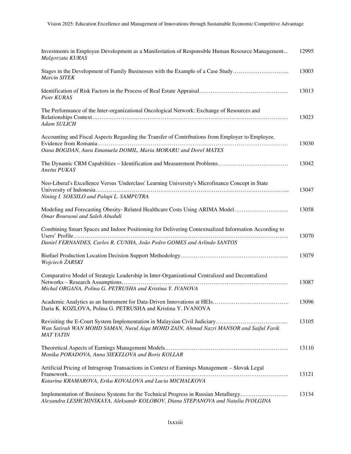| Investments in Employee Development as a Manifestation of Responsible Human Resource Management<br>Malgorzata KURAS                                                            | 12995 |
|--------------------------------------------------------------------------------------------------------------------------------------------------------------------------------|-------|
| Stages in the Development of Family Businesses with the Example of a Case Study<br><b>Marcin SITEK</b>                                                                         | 13003 |
| <b>Piotr KURAS</b>                                                                                                                                                             | 13013 |
| The Performance of the Inter-organizational Oncological Network: Exchange of Resources and<br>Adam SULICH                                                                      | 13023 |
| Accounting and Fiscal Aspects Regarding the Transfer of Contributions from Employer to Employee.<br>Oana BOGDAN, Aura Emanuela DOMIL, Maria MORARU and Dorel MATES             | 13030 |
| Anetta PUKAS                                                                                                                                                                   | 13042 |
| Neo-Liberal's Excellence Versus 'Underclass' Learning University's Microfinance Concept in State<br>Nining I. SOESILO and Palupi L. SAMPUTRA                                   | 13047 |
| Modeling and Forecasting Obesity-Related Healthcare Costs Using ARIMA Model<br>Omar Bouraoui and Saleh Alnahdi                                                                 | 13058 |
| Combining Smart Spaces and Indoor Positioning for Delivering Contextualized Information According to<br>Daniel FERNANDES, Carlos R. CUNHA, João Pedro GOMES and Arlindo SANTOS | 13070 |
| Wojciech ŻARSKI                                                                                                                                                                | 13079 |
| Comparative Model of Strategic Leadership in Inter-Organizational Centralized and Decentralized<br>Michal ORGANA, Polina G. PETRUSHA and Kristina Y. IVANOVA                   | 13087 |
| Daria K. KOZLOVA, Polina G. PETRUSHA and Kristina Y. IVANOVA                                                                                                                   | 13096 |
| Wan Satirah WAN MOHD SAMAN, Nurul Aiqa MOHD ZAIN, Ahmad Nazri MANSOR and Saiful Farik<br><b>MAT YATIN</b>                                                                      | 13105 |
| Monika PORADOVA, Anna SIEKELOVA and Boris KOLLAR                                                                                                                               | 13110 |
| Artificial Pricing of Intragroup Transactions in Context of Earnings Management - Slovak Legal                                                                                 | 13121 |
| Katarina KRAMAROVA, Erika KOVALOVA and Lucia MICHALKOVA                                                                                                                        |       |
| Implementation of Business Systems for the Technical Progress in Russian Metallurgy<br>Alexandra LESHCHINSKAYA, Aleksandr KOLOBOV, Diana STEPANOVA and Natalia IVOLGINA        | 13134 |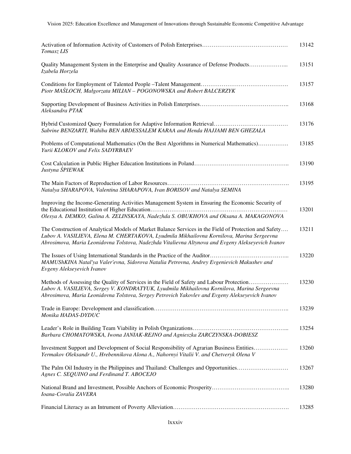| Tomasz LIS                                                                                                                                                                                                                                                                                                | 13142 |
|-----------------------------------------------------------------------------------------------------------------------------------------------------------------------------------------------------------------------------------------------------------------------------------------------------------|-------|
| Quality Management System in the Enterprise and Quality Assurance of Defense Products<br>Izabela Horzela                                                                                                                                                                                                  | 13151 |
| Piotr MASLOCH, Małgorzata MILIAN - POGONOWSKA and Robert BALCERZYK                                                                                                                                                                                                                                        | 13157 |
| Aleksandra PTAK                                                                                                                                                                                                                                                                                           | 13168 |
| Sabrine BENZARTI, Wahiba BEN ABDESSALEM KARAA and Henda HAJJAMI BEN GHEZALA                                                                                                                                                                                                                               | 13176 |
| Problems of Computational Mathematics (On the Best Algorithms in Numerical Mathematics)<br>Yurii KLOKOV and Felix SADYRBAEV                                                                                                                                                                               | 13185 |
| Justyna ŚPIEWAK                                                                                                                                                                                                                                                                                           | 13190 |
| Natalya SHARAPOVA, Valentina SHARAPOVA, Ivan BORISOV and Natalya SEMINA                                                                                                                                                                                                                                   | 13195 |
| Improving the Income-Generating Activities Management System in Ensuring the Economic Security of<br>Olesya A. DEMKO, Galina A. ZELINSKAYA, Nadezhda S. OBUKHOVA and Oksana A. MAKAGONOVA                                                                                                                 | 13201 |
| The Construction of Analytical Models of Market Balance Services in the Field of Protection and Safety<br>Lubov A. VASILIEVA, Elena M. CHERTAKOVA, Lyudmila Mikhailovna Kornilova, Marina Sergeevna<br>Abrosimova, Maria Leonidovna Tolstova, Nadezhda Vitalievna Altynova and Evgeny Alekseyevich Ivanov | 13211 |
| MAMUShKINA Natal'ya Valer'evna, Sidorova Natalia Petrovna, Andrey Evgenievich Makushev and<br>Evgeny Alekseyevich Ivanov                                                                                                                                                                                  | 13220 |
| Methods of Assessing the Quality of Services in the Field of Safety and Labour Protection<br>Lubov A. VASILIEVA, Sergey V. KONDRATYUK, Lyudmila Mikhailovna Kornilova, Marina Sergeevna<br>Abrosimova, Maria Leonidovna Tolstova, Sergey Petrovich Yakovlev and Evgeny Alekseyevich Ivanov                | 13230 |
| Monika HADAS-DYDUC                                                                                                                                                                                                                                                                                        | 13239 |
| Barbara CHOMATOWSKA, Iwona JANIAK-REJNO and Agnieszka ZARCZYNSKA-DOBIESZ                                                                                                                                                                                                                                  | 13254 |
| Investment Support and Development of Social Responsibility of Agrarian Business Entities<br>Yermakov Oleksandr U., Hrebennikova Alona A., Nahornyi Vitalii V. and Chetveryk Olena V                                                                                                                      | 13260 |
| The Palm Oil Industry in the Philippines and Thailand: Challenges and Opportunities<br>Agnes C. SEQUINO and Ferdinand T. ABOCEJO                                                                                                                                                                          | 13267 |
| Ioana-Coralia ZAVERA                                                                                                                                                                                                                                                                                      | 13280 |
|                                                                                                                                                                                                                                                                                                           | 13285 |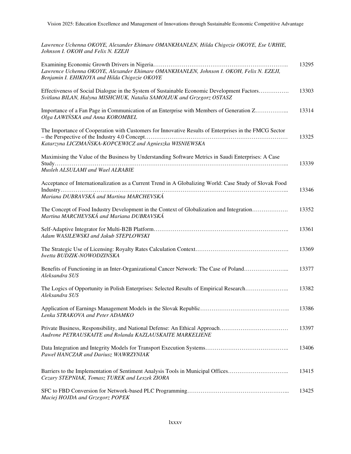*Lawrence Uchenna OKOYE, Alexander Ehimare OMANKHANLEN, Hilda Chigozie OKOYE, Ese URHIE, Johnson I. OKOH and Felix N. EZEJI* 

| Lawrence Uchenna OKOYE, Alexander Ehimare OMANKHANLEN, Johnson I. OKOH, Felix N. EZEJI,<br>Benjamin I. EHIKIOYA and Hilda Chigozie OKOYE                            | 13295 |
|---------------------------------------------------------------------------------------------------------------------------------------------------------------------|-------|
| Effectiveness of Social Dialogue in the System of Sustainable Economic Development Factors<br>Svitlana BILAN, Halyna MISHCHUK, Natalia SAMOLIUK and Grzegorz OSTASZ | 13303 |
| Importance of a Fan Page in Communication of an Enterprise with Members of Generation Z<br>Olga ŁAWIŃSKA and Anna KOROMBEL                                          | 13314 |
| The Importance of Cooperation with Customers for Innovative Results of Enterprises in the FMCG Sector<br>Katarzyna LICZMAŃSKA-KOPCEWICZ and Agnieszka WISNIEWSKA    | 13325 |
| Maximising the Value of the Business by Understanding Software Metrics in Saudi Enterprises: A Case                                                                 |       |
| Musleh ALSULAMI and Wael ALRABIE                                                                                                                                    | 13339 |
| Acceptance of Internationalization as a Current Trend in A Globalizing World: Case Study of Slovak Food                                                             |       |
| Mariana DUBRAVSKÁ and Martina MARCHEVSKÁ                                                                                                                            | 13346 |
| The Concept of Food Industry Development in the Context of Globalization and Integration<br>Martina MARCHEVSKÁ and Mariana DUBRAVSKÁ                                | 13352 |
| Adam WASILEWSKI and Jakub STEPLOWSKI                                                                                                                                | 13361 |
| Iwetta BUDZIK-NOWODZINSKA                                                                                                                                           | 13369 |
| Benefits of Functioning in an Inter-Organizational Cancer Network: The Case of Poland<br>Aleksandra SUS                                                             | 13377 |
| The Logics of Opportunity in Polish Enterprises: Selected Results of Empirical Research<br>Aleksandra SUS                                                           | 13382 |
| Lenka STRAKOVA and Peter ADAMKO                                                                                                                                     | 13386 |
| Private Business, Responsibility, and National Defense: An Ethical Approach<br>Audrone PETRAUSKAITE and Rolanda KAZLAUSKAITE MARKELIENE                             | 13397 |
| Paweł HANCZAR and Dariusz WAWRZYNIAK                                                                                                                                | 13406 |
| Barriers to the Implementation of Sentiment Analysis Tools in Municipal Offices<br>Cezary STEPNIAK, Tomasz TUREK and Leszek ZIORA                                   | 13415 |
| Maciej HOJDA and Grzegorz POPEK                                                                                                                                     | 13425 |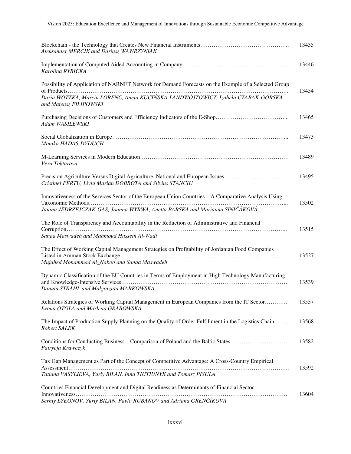| Aleksander MERCIK and Dariusz WAWRZYNIAK                                                                                                                                                                           | 13435 |
|--------------------------------------------------------------------------------------------------------------------------------------------------------------------------------------------------------------------|-------|
| Karolina RYBICKA                                                                                                                                                                                                   | 13446 |
| Possibility of Application of NARNET Network for Demand Forecasts on the Example of a Selected Group<br>Daria WOTZKA, Marcin LORENC, Aneta KUCIŃSKA-LANDWÓJTOWICZ, Izabela CZABAK-GÓRSKA<br>and Mateusz FILIPOWSKI | 13454 |
| Adam WASILEWSKI                                                                                                                                                                                                    | 13465 |
| Monika HADAS-DYDUCH                                                                                                                                                                                                | 13473 |
| Vera Toktarova                                                                                                                                                                                                     | 13489 |
| Precision Agriculture Versus Digital Agriculture. National and European Issues<br>Cristinel FERTU, Liviu Marian DOBROTA and Silvius STANCIU                                                                        | 13495 |
| Innovativeness of the Services Sector of the European Union Countries – A Comparative Analysis Using<br>Janina JĘDRZEJCZAK-GAS, Joanna WYRWA, Anetta BARSKA and Marianna SINIČÁKOVÁ                                | 13502 |
| The Role of Transparency and Accountability in the Reduction of Administrative and Financial<br>Sanaa Maswadeh and Mahmoud Hussein Al-Wadi                                                                         | 13515 |
| The Effect of Working Capital Management Strategies on Profitability of Jordanian Food Companies<br>Mujahed Mohammad Al_Naboo and Sanaa Maswadeh                                                                   | 13527 |
| Dynamic Classification of the EU Countries in Terms of Employment in High Technology Manufacturing<br>Danuta STRAHL and Małgorzata MARKOWSKA                                                                       | 13539 |
| Relations Strategies of Working Capital Management in European Companies from the IT Sector<br>Iwona OTOLA and Marlena GRABOWSKA                                                                                   | 13557 |
| The Impact of Production Supply Planning on the Quality of Order Fulfillment in the Logistics Chain<br>Robert SALEK                                                                                                | 13568 |
| Conditions for Conducting Business – Comparison of Poland and the Baltic States<br>Patrycja Krawczyk                                                                                                               | 13582 |
| Tax Gap Management as Part of the Concept of Competitive Advantage: A Cross-Country Empirical<br>Tatiana VASYLIEVA, Yuriy BILAN, Inna TIUTIUNYK and Tomasz PISULA                                                  | 13592 |
| Countries Financial Development and Digital Readiness as Determinants of Financial Sector<br>Serhiy LYEONOV, Yuriy BILAN, Pavlo RUBANOV and Adriana GRENČÍKOVÁ                                                     | 13604 |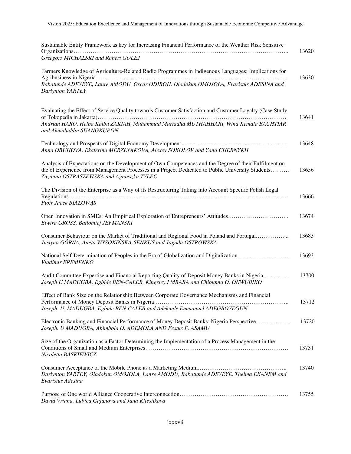| Sustainable Entity Framework as key for Increasing Financial Performance of the Weather Risk Sensitive<br>Grzegorz MICHALSKI and Robert GOLEJ                                                                                                        | 13620 |
|------------------------------------------------------------------------------------------------------------------------------------------------------------------------------------------------------------------------------------------------------|-------|
| Farmers Knowledge of Agriculture-Related Radio Programmes in Indigenous Languages: Implications for<br>Babatunde ADEYEYE, Lanre AMODU, Oscar ODIBOH, Oladokun OMOJOLA, Evaristus ADESINA and<br>Darlynton YARTEY                                     | 13630 |
| Evaluating the Effect of Service Quality towards Customer Satisfaction and Customer Loyalty (Case Study<br>Andrian HARO, Helba Kalbu ZAKIAH, Muhammad Murtadha MUTHAHHARI, Wina Kemala BACHTIAR<br>and Akmaluddin SUANGKUPON                         | 13641 |
| Anna OBUHOVA, Ekaterina MERZLYAKOVA, Alexey SOKOLOV and Yana CHERNYKH                                                                                                                                                                                | 13648 |
| Analysis of Expectations on the Development of Own Competences and the Degree of their Fulfilment on<br>the of Experience from Management Processes in a Project Dedicated to Public University Students<br>Zuzanna OSTRASZEWSKA and Agnieszka TYLEC | 13656 |
| The Division of the Enterprise as a Way of its Restructuring Taking into Account Specific Polish Legal<br>Piotr Jacek BIAŁOWĄS                                                                                                                       | 13666 |
| Open Innovation in SMEs: An Empirical Exploration of Entrepreneurs' Attitudes<br>Elwira GROSS, Batlomiej JEFMANSKI                                                                                                                                   | 13674 |
| Consumer Behaviour on the Market of Traditional and Regional Food in Poland and Portugal<br>Justyna GÓRNA, Aneta WYSOKIŃSKA-SENKUS and Jagoda OSTROWSKA                                                                                              | 13683 |
| National Self-Determination of Peoples in the Era of Globalization and Digitalization<br>Vladimir EREMENKO                                                                                                                                           | 13693 |
| Audit Committee Expertise and Financial Reporting Quality of Deposit Money Banks in Nigeria<br>Joseph U MADUGBA, Egbide BEN-CALEB, Kingsley.I MBARA and Chibunna O. ONWUBIKO                                                                         | 13700 |
| Effect of Bank Size on the Relationship Between Corporate Governance Mechanisms and Financial<br>Joseph. U. MADUGBA, Egbide BEN-CALEB and Adekunle Emmanuel ADEGBOYEGUN                                                                              | 13712 |
| Electronic Banking and Financial Performance of Money Deposit Banks: Nigeria Perspective<br>Joseph. U MADUGBA, Abimbola O. ADEMOLA AND Festus F. ASAMU                                                                                               | 13720 |
| Size of the Organization as a Factor Determining the Implementation of a Process Management in the<br>Nicoletta BASKIEWICZ                                                                                                                           | 13731 |
| Darlynton YARTEY, Oladokun OMOJOLA, Lanre AMODU, Babatunde ADEYEYE, Thelma EKANEM and<br>Evaristus Adesina                                                                                                                                           | 13740 |
| David Vrtana, Lubica Gajanova and Jana Kliestikova                                                                                                                                                                                                   | 13755 |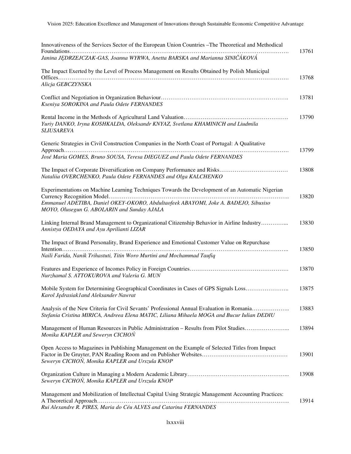| Innovativeness of the Services Sector of the European Union Countries – The Theoretical and Methodical                                                                                  | 13761 |
|-----------------------------------------------------------------------------------------------------------------------------------------------------------------------------------------|-------|
| Janina JĘDRZEJCZAK-GAS, Joanna WYRWA, Anetta BARSKA and Marianna SINIČÁKOVÁ                                                                                                             |       |
| The Impact Exerted by the Level of Process Management on Results Obtained by Polish Municipal<br>Alicja GEBCZYNSKA                                                                      | 13768 |
| Kseniya SOROKINA and Paula Odete FERNANDES                                                                                                                                              | 13781 |
| Yuriy DANKO, Iryna KOSHKALDA, Oleksandr KNYAZ, Svetlana KHAMINICH and Liudmila<br><b>SLIUSAREVA</b>                                                                                     | 13790 |
| Generic Strategies in Civil Construction Companies in the North Coast of Portugal: A Qualitative                                                                                        | 13799 |
| José Maria GOMES, Bruno SOUSA, Teresa DIEGUEZ and Paula Odete FERNANDES                                                                                                                 |       |
| Nataliia OVERCHENKO, Paula Odete FERNANDES and Olga KALCHENKO                                                                                                                           | 13808 |
| Experimentations on Machine Learning Techniques Towards the Development of an Automatic Nigerian                                                                                        | 13820 |
| Emmanuel ADETIBA, Daniel OKEY-OKORO, Abdultaofeek ABAYOMI, Joke A. BADEJO, Sibusiso<br>MOYO, Olusegun G. ABOLARIN and Sunday AJALA                                                      |       |
| Linking Internal Brand Management to Organizational Citizenship Behavior in Airline Industry<br>Annistya OEDAYA and Ayu Aprilianti LIZAR                                                | 13830 |
| The Impact of Brand Personality, Brand Experience and Emotional Customer Value on Repurchase                                                                                            | 13850 |
| Naili Farida, Nanik Trihastuti, Titin Woro Murtini and Mochammad Taufiq                                                                                                                 |       |
| Nurzhamal S. ATTOKUROVA and Valeria G. MUN                                                                                                                                              | 13870 |
| Mobile System for Determining Geographical Coordinates in Cases of GPS Signals Loss<br>Karol Jędrasiak1 and Aleksander Nawrat                                                           | 13875 |
| Analysis of the New Criteria for Civil Sevants' Professional Annual Evaluation in Romania<br>Stefania Cristina MIRICA, Andreea Elena MATIC, Liliana Mihaela MOGA and Bucur Iulian DEDIU | 13883 |
| Management of Human Resources in Public Administration - Results from Pilot Studies<br>Monika KAPLER and Seweryn CICHON                                                                 | 13894 |
| Open Access to Magazines in Publishing Management on the Example of Selected Titles from Impact<br>Seweryn CICHON, Monika KAPLER and Urszula KNOP                                       | 13901 |
| Seweryn CICHON, Monika KAPLER and Urszula KNOP                                                                                                                                          | 13908 |
| Management and Mobilization of Intellectual Capital Using Strategic Management Accounting Practices:<br>Rui Alexandre R. PIRES, Maria do Céu ALVES and Catarina FERNANDES               | 13914 |